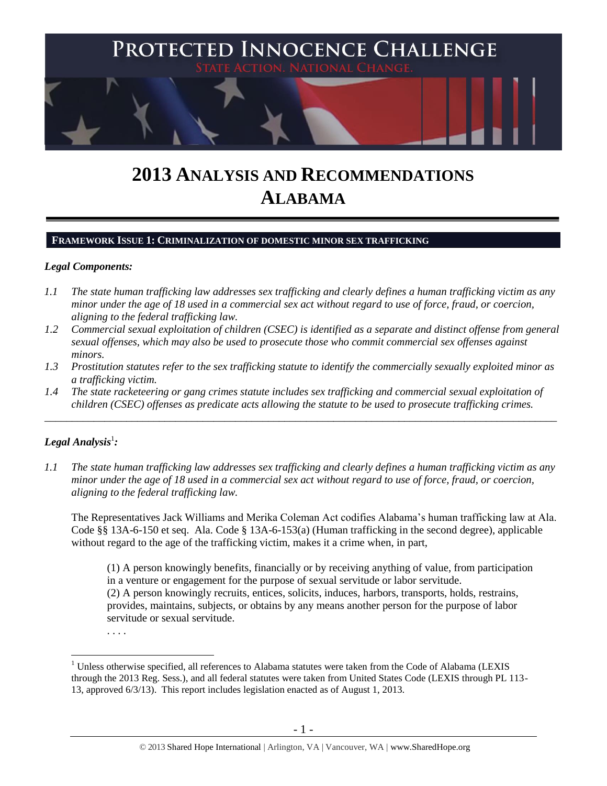

# **2013 ANALYSIS AND RECOMMENDATIONS ALABAMA**

### **FRAMEWORK ISSUE 1: CRIMINALIZATION OF DOMESTIC MINOR SEX TRAFFICKING**

# *Legal Components:*

- *1.1 The state human trafficking law addresses sex trafficking and clearly defines a human trafficking victim as any minor under the age of 18 used in a commercial sex act without regard to use of force, fraud, or coercion, aligning to the federal trafficking law.*
- *1.2 Commercial sexual exploitation of children (CSEC) is identified as a separate and distinct offense from general sexual offenses, which may also be used to prosecute those who commit commercial sex offenses against minors.*
- *1.3 Prostitution statutes refer to the sex trafficking statute to identify the commercially sexually exploited minor as a trafficking victim.*
- *1.4 The state racketeering or gang crimes statute includes sex trafficking and commercial sexual exploitation of children (CSEC) offenses as predicate acts allowing the statute to be used to prosecute trafficking crimes.*

\_\_\_\_\_\_\_\_\_\_\_\_\_\_\_\_\_\_\_\_\_\_\_\_\_\_\_\_\_\_\_\_\_\_\_\_\_\_\_\_\_\_\_\_\_\_\_\_\_\_\_\_\_\_\_\_\_\_\_\_\_\_\_\_\_\_\_\_\_\_\_\_\_\_\_\_\_\_\_\_\_\_\_\_\_\_\_\_\_\_\_\_\_\_

# $\bm{L}$ egal Analysis $^1$ :

*1.1 The state human trafficking law addresses sex trafficking and clearly defines a human trafficking victim as any minor under the age of 18 used in a commercial sex act without regard to use of force, fraud, or coercion, aligning to the federal trafficking law.*

The Representatives Jack Williams and Merika Coleman Act codifies Alabama's human trafficking law at Ala. Code §§ 13A-6-150 et seq. Ala. Code § 13A-6-153(a) (Human trafficking in the second degree), applicable without regard to the age of the trafficking victim, makes it a crime when, in part,

(1) A person knowingly benefits, financially or by receiving anything of value, from participation in a venture or engagement for the purpose of sexual servitude or labor servitude. (2) A person knowingly recruits, entices, solicits, induces, harbors, transports, holds, restrains, provides, maintains, subjects, or obtains by any means another person for the purpose of labor servitude or sexual servitude.

. . . .

<sup>&</sup>lt;sup>1</sup> Unless otherwise specified, all references to Alabama statutes were taken from the Code of Alabama (LEXIS through the 2013 Reg. Sess.), and all federal statutes were taken from United States Code (LEXIS through PL 113- 13, approved 6/3/13). This report includes legislation enacted as of August 1, 2013.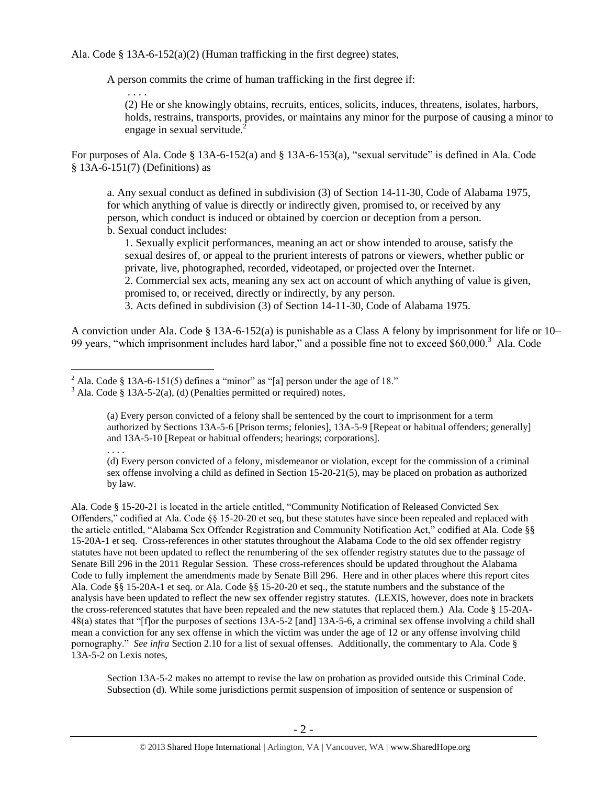Ala. Code § 13A-6-152(a)(2) (Human trafficking in the first degree) states,

A person commits the crime of human trafficking in the first degree if:

. . . . (2) He or she knowingly obtains, recruits, entices, solicits, induces, threatens, isolates, harbors, holds, restrains, transports, provides, or maintains any minor for the purpose of causing a minor to engage in sexual servitude.<sup>2</sup>

For purposes of Ala. Code § 13A-6-152(a) and § 13A-6-153(a), "sexual servitude" is defined in Ala. Code § 13A-6-151(7) (Definitions) as

a. Any sexual conduct as defined in subdivision (3) of Section 14-11-30, Code of Alabama 1975, for which anything of value is directly or indirectly given, promised to, or received by any person, which conduct is induced or obtained by coercion or deception from a person. b. Sexual conduct includes:

1. Sexually explicit performances, meaning an act or show intended to arouse, satisfy the sexual desires of, or appeal to the prurient interests of patrons or viewers, whether public or private, live, photographed, recorded, videotaped, or projected over the Internet. 2. Commercial sex acts, meaning any sex act on account of which anything of value is given, promised to, or received, directly or indirectly, by any person.

<span id="page-1-0"></span>3. Acts defined in subdivision (3) of Section 14-11-30, Code of Alabama 1975.

A conviction under Ala. Code § 13A-6-152(a) is punishable as a Class A felony by imprisonment for life or 10– 99 years, "which imprisonment includes hard labor," and a possible fine not to exceed \$60,000.<sup>3</sup> Ala. Code

 $\overline{a}$ 

. . . . (d) Every person convicted of a felony, misdemeanor or violation, except for the commission of a criminal sex offense involving a child as defined in Section 15-20-21(5), may be placed on probation as authorized by law.

Ala. Code § 15-20-21 is located in the article entitled, "Community Notification of Released Convicted Sex Offenders," codified at Ala. Code §§ 15-20-20 et seq, but these statutes have since been repealed and replaced with the article entitled, "Alabama Sex Offender Registration and Community Notification Act," codified at Ala. Code §§ 15-20A-1 et seq. Cross-references in other statutes throughout the Alabama Code to the old sex offender registry statutes have not been updated to reflect the renumbering of the sex offender registry statutes due to the passage of Senate Bill 296 in the 2011 Regular Session. These cross-references should be updated throughout the Alabama Code to fully implement the amendments made by Senate Bill 296. Here and in other places where this report cites Ala. Code §§ 15-20A-1 et seq. or Ala. Code §§ 15-20-20 et seq., the statute numbers and the substance of the analysis have been updated to reflect the new sex offender registry statutes. (LEXIS, however, does note in brackets the cross-referenced statutes that have been repealed and the new statutes that replaced them.) Ala. Code § 15-20A-48(a) states that "[f]or the purposes of sections 13A-5-2 [and] 13A-5-6, a criminal sex offense involving a child shall mean a conviction for any sex offense in which the victim was under the age of 12 or any offense involving child pornography." *See infra* Section 2.10 for a list of sexual offenses. Additionally, the commentary to Ala. Code § 13A-5-2 on Lexis notes,

Section 13A-5-2 makes no attempt to revise the law on probation as provided outside this Criminal Code. Subsection (d). While some jurisdictions permit suspension of imposition of sentence or suspension of

<sup>&</sup>lt;sup>2</sup> Ala. Code § 13A-6-151(5) defines a "minor" as "[a] person under the age of 18."

 $3$  Ala. Code § 13A-5-2(a), (d) (Penalties permitted or required) notes,

<sup>(</sup>a) Every person convicted of a felony shall be sentenced by the court to imprisonment for a term authorized by Sections 13A-5-6 [Prison terms; felonies], 13A-5-9 [Repeat or habitual offenders; generally] and 13A-5-10 [Repeat or habitual offenders; hearings; corporations].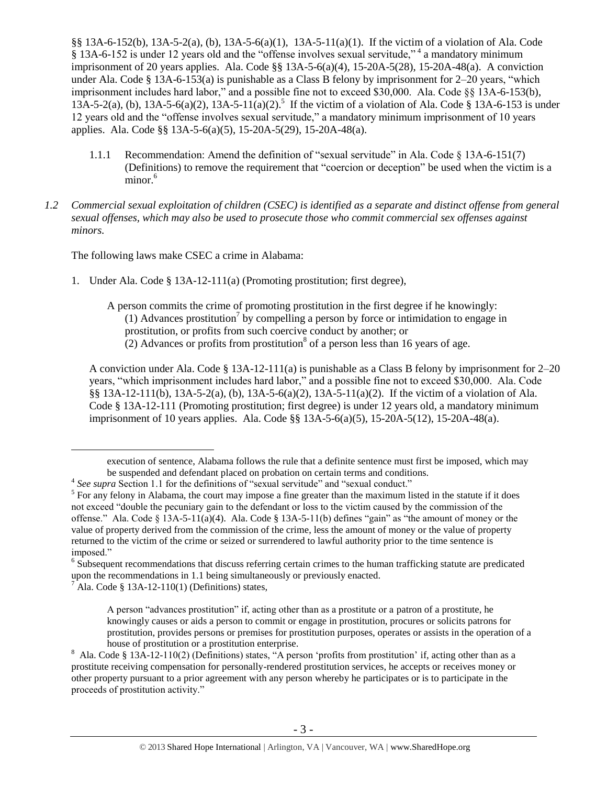§§ 13A-6-152(b), 13A-5-2(a), (b), 13A-5-6(a)(1), 13A-5-11(a)(1). If the victim of a violation of Ala. Code § 13A-6-152 is under 12 years old and the "offense involves sexual servitude,"<sup>4</sup> a mandatory minimum imprisonment of 20 years applies. Ala. Code §§ 13A-5-6(a)(4), 15-20A-5(28), 15-20A-48(a). A conviction under Ala. Code § 13A-6-153(a) is punishable as a Class B felony by imprisonment for 2–20 years, "which imprisonment includes hard labor," and a possible fine not to exceed \$30,000. Ala. Code §§ 13A-6-153(b),  $13A-5-2(a)$ , (b),  $13A-5-6(a)(2)$ ,  $13A-5-11(a)(2)$ .<sup>5</sup> If the victim of a violation of Ala. Code § 13A-6-153 is under 12 years old and the "offense involves sexual servitude," a mandatory minimum imprisonment of 10 years applies. Ala. Code §§ 13A-5-6(a)(5), 15-20A-5(29), 15-20A-48(a).

- 1.1.1 Recommendation: Amend the definition of "sexual servitude" in Ala. Code § 13A-6-151(7) (Definitions) to remove the requirement that "coercion or deception" be used when the victim is a minor. 6
- *1.2 Commercial sexual exploitation of children (CSEC) is identified as a separate and distinct offense from general sexual offenses, which may also be used to prosecute those who commit commercial sex offenses against minors.*

The following laws make CSEC a crime in Alabama:

- 1. Under Ala. Code § 13A-12-111(a) (Promoting prostitution; first degree),
	- A person commits the crime of promoting prostitution in the first degree if he knowingly: (1) Advances prostitution<sup>7</sup> by compelling a person by force or intimidation to engage in prostitution, or profits from such coercive conduct by another; or  $(2)$  Advances or profits from prostitution<sup>8</sup> of a person less than 16 years of age.

A conviction under Ala. Code § 13A-12-111(a) is punishable as a Class B felony by imprisonment for  $2-20$ years, "which imprisonment includes hard labor," and a possible fine not to exceed \$30,000. Ala. Code §§ 13A-12-111(b), 13A-5-2(a), (b), 13A-5-6(a)(2), 13A-5-11(a)(2). If the victim of a violation of Ala. Code § 13A-12-111 (Promoting prostitution; first degree) is under 12 years old, a mandatory minimum imprisonment of 10 years applies. Ala. Code §§ 13A-5-6(a)(5), 15-20A-5(12), 15-20A-48(a).

execution of sentence, Alabama follows the rule that a definite sentence must first be imposed, which may be suspended and defendant placed on probation on certain terms and conditions.

<sup>&</sup>lt;sup>4</sup> See supra Section 1.1 for the definitions of "sexual servitude" and "sexual conduct."

 $<sup>5</sup>$  For any felony in Alabama, the court may impose a fine greater than the maximum listed in the statute if it does</sup> not exceed "double the pecuniary gain to the defendant or loss to the victim caused by the commission of the offense." Ala. Code § 13A-5-11(a)(4). Ala. Code § 13A-5-11(b) defines "gain" as "the amount of money or the value of property derived from the commission of the crime, less the amount of money or the value of property returned to the victim of the crime or seized or surrendered to lawful authority prior to the time sentence is imposed."

<sup>&</sup>lt;sup>6</sup> Subsequent recommendations that discuss referring certain crimes to the human trafficking statute are predicated upon the recommendations in 1.1 being simultaneously or previously enacted.

 $^7$ Ala. Code § 13A-12-110(1) (Definitions) states,

A person "advances prostitution" if, acting other than as a prostitute or a patron of a prostitute, he knowingly causes or aids a person to commit or engage in prostitution, procures or solicits patrons for prostitution, provides persons or premises for prostitution purposes, operates or assists in the operation of a house of prostitution or a prostitution enterprise.

 $8$  Ala. Code § 13A-12-110(2) (Definitions) states, "A person 'profits from prostitution' if, acting other than as a prostitute receiving compensation for personally-rendered prostitution services, he accepts or receives money or other property pursuant to a prior agreement with any person whereby he participates or is to participate in the proceeds of prostitution activity."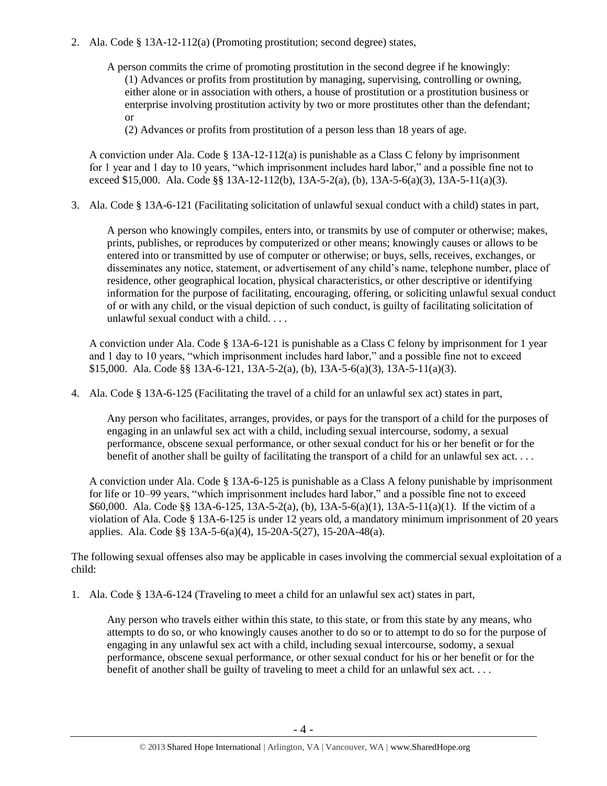- 2. Ala. Code § 13A-12-112(a) (Promoting prostitution; second degree) states,
	- A person commits the crime of promoting prostitution in the second degree if he knowingly: (1) Advances or profits from prostitution by managing, supervising, controlling or owning, either alone or in association with others, a house of prostitution or a prostitution business or enterprise involving prostitution activity by two or more prostitutes other than the defendant; or

(2) Advances or profits from prostitution of a person less than 18 years of age.

A conviction under Ala. Code  $\S$  13A-12-112(a) is punishable as a Class C felony by imprisonment for 1 year and 1 day to 10 years, "which imprisonment includes hard labor," and a possible fine not to exceed \$15,000. Ala. Code §§ 13A-12-112(b), 13A-5-2(a), (b), 13A-5-6(a)(3), 13A-5-11(a)(3).

3. Ala. Code § 13A-6-121 (Facilitating solicitation of unlawful sexual conduct with a child) states in part,

A person who knowingly compiles, enters into, or transmits by use of computer or otherwise; makes, prints, publishes, or reproduces by computerized or other means; knowingly causes or allows to be entered into or transmitted by use of computer or otherwise; or buys, sells, receives, exchanges, or disseminates any notice, statement, or advertisement of any child's name, telephone number, place of residence, other geographical location, physical characteristics, or other descriptive or identifying information for the purpose of facilitating, encouraging, offering, or soliciting unlawful sexual conduct of or with any child, or the visual depiction of such conduct, is guilty of facilitating solicitation of unlawful sexual conduct with a child. . . .

A conviction under Ala. Code § 13A-6-121 is punishable as a Class C felony by imprisonment for 1 year and 1 day to 10 years, "which imprisonment includes hard labor," and a possible fine not to exceed \$15,000. Ala. Code §§ 13A-6-121, 13A-5-2(a), (b), 13A-5-6(a)(3), 13A-5-11(a)(3).

4. Ala. Code § 13A-6-125 (Facilitating the travel of a child for an unlawful sex act) states in part,

Any person who facilitates, arranges, provides, or pays for the transport of a child for the purposes of engaging in an unlawful sex act with a child, including sexual intercourse, sodomy, a sexual performance, obscene sexual performance, or other sexual conduct for his or her benefit or for the benefit of another shall be guilty of facilitating the transport of a child for an unlawful sex act. . . .

A conviction under Ala. Code § 13A-6-125 is punishable as a Class A felony punishable by imprisonment for life or 10–99 years, "which imprisonment includes hard labor," and a possible fine not to exceed \$60,000. Ala. Code §§ 13A-6-125, 13A-5-2(a), (b), 13A-5-6(a)(1), 13A-5-11(a)(1). If the victim of a violation of Ala. Code § 13A-6-125 is under 12 years old, a mandatory minimum imprisonment of 20 years applies. Ala. Code §§ 13A-5-6(a)(4), 15-20A-5(27), 15-20A-48(a).

The following sexual offenses also may be applicable in cases involving the commercial sexual exploitation of a child:

1. Ala. Code § 13A-6-124 (Traveling to meet a child for an unlawful sex act) states in part,

Any person who travels either within this state, to this state, or from this state by any means, who attempts to do so, or who knowingly causes another to do so or to attempt to do so for the purpose of engaging in any unlawful sex act with a child, including sexual intercourse, sodomy, a sexual performance, obscene sexual performance, or other sexual conduct for his or her benefit or for the benefit of another shall be guilty of traveling to meet a child for an unlawful sex act. . . .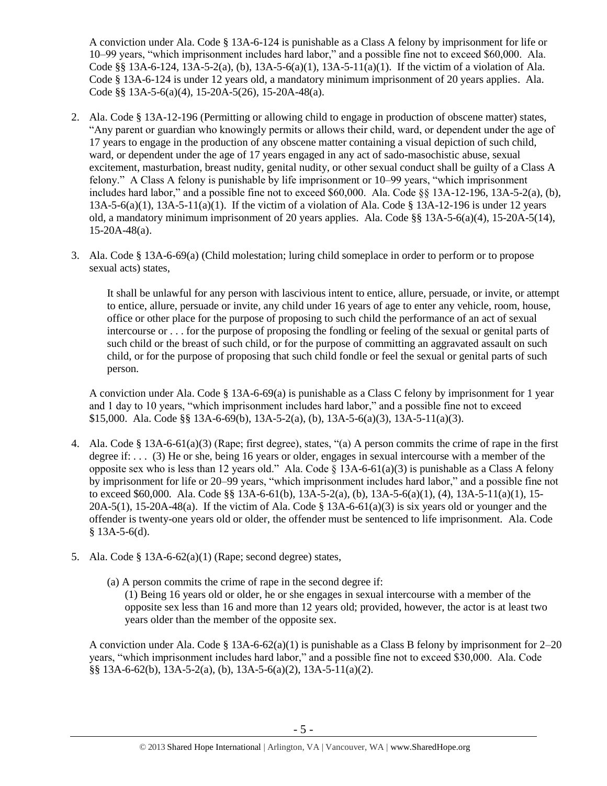A conviction under Ala. Code § 13A-6-124 is punishable as a Class A felony by imprisonment for life or 10–99 years, "which imprisonment includes hard labor," and a possible fine not to exceed \$60,000. Ala. Code §§ 13A-6-124, 13A-5-2(a), (b), 13A-5-6(a)(1), 13A-5-11(a)(1). If the victim of a violation of Ala. Code § 13A-6-124 is under 12 years old, a mandatory minimum imprisonment of 20 years applies. Ala. Code §§ 13A-5-6(a)(4), 15-20A-5(26), 15-20A-48(a).

- 2. Ala. Code § 13A-12-196 (Permitting or allowing child to engage in production of obscene matter) states, "Any parent or guardian who knowingly permits or allows their child, ward, or dependent under the age of 17 years to engage in the production of any obscene matter containing a visual depiction of such child, ward, or dependent under the age of 17 years engaged in any act of sado-masochistic abuse, sexual excitement, masturbation, breast nudity, genital nudity, or other sexual conduct shall be guilty of a Class A felony." A Class A felony is punishable by life imprisonment or 10–99 years, "which imprisonment includes hard labor," and a possible fine not to exceed \$60,000. Ala. Code §§ 13A-12-196, 13A-5-2(a), (b), 13A-5-6(a)(1), 13A-5-11(a)(1). If the victim of a violation of Ala. Code § 13A-12-196 is under 12 years old, a mandatory minimum imprisonment of 20 years applies. Ala. Code §§ 13A-5-6(a)(4), 15-20A-5(14), 15-20A-48(a).
- 3. Ala. Code § 13A-6-69(a) (Child molestation; luring child someplace in order to perform or to propose sexual acts) states,

It shall be unlawful for any person with lascivious intent to entice, allure, persuade, or invite, or attempt to entice, allure, persuade or invite, any child under 16 years of age to enter any vehicle, room, house, office or other place for the purpose of proposing to such child the performance of an act of sexual intercourse or . . . for the purpose of proposing the fondling or feeling of the sexual or genital parts of such child or the breast of such child, or for the purpose of committing an aggravated assault on such child, or for the purpose of proposing that such child fondle or feel the sexual or genital parts of such person.

A conviction under Ala. Code § 13A-6-69(a) is punishable as a Class C felony by imprisonment for 1 year and 1 day to 10 years, "which imprisonment includes hard labor," and a possible fine not to exceed \$15,000. Ala. Code §§ 13A-6-69(b), 13A-5-2(a), (b), 13A-5-6(a)(3), 13A-5-11(a)(3).

- 4. Ala. Code § 13A-6-61(a)(3) (Rape; first degree), states, "(a) A person commits the crime of rape in the first degree if: . . . (3) He or she, being 16 years or older, engages in sexual intercourse with a member of the opposite sex who is less than 12 years old." Ala. Code  $\S$  13A-6-61(a)(3) is punishable as a Class A felony by imprisonment for life or 20–99 years, "which imprisonment includes hard labor," and a possible fine not to exceed \$60,000. Ala. Code §§ 13A-6-61(b), 13A-5-2(a), (b), 13A-5-6(a)(1), (4), 13A-5-11(a)(1), 15-  $20A-5(1)$ ,  $15-20A-48(a)$ . If the victim of Ala. Code § 13A-6-61(a)(3) is six years old or younger and the offender is twenty-one years old or older, the offender must be sentenced to life imprisonment. Ala. Code  $§$  13A-5-6(d).
- 5. Ala. Code  $\S 13A-6-62(a)(1)$  (Rape; second degree) states,
	- (a) A person commits the crime of rape in the second degree if: (1) Being 16 years old or older, he or she engages in sexual intercourse with a member of the opposite sex less than 16 and more than 12 years old; provided, however, the actor is at least two years older than the member of the opposite sex.

A conviction under Ala. Code § 13A-6-62(a)(1) is punishable as a Class B felony by imprisonment for 2–20 years, "which imprisonment includes hard labor," and a possible fine not to exceed \$30,000. Ala. Code §§ 13A-6-62(b), 13A-5-2(a), (b), 13A-5-6(a)(2), 13A-5-11(a)(2).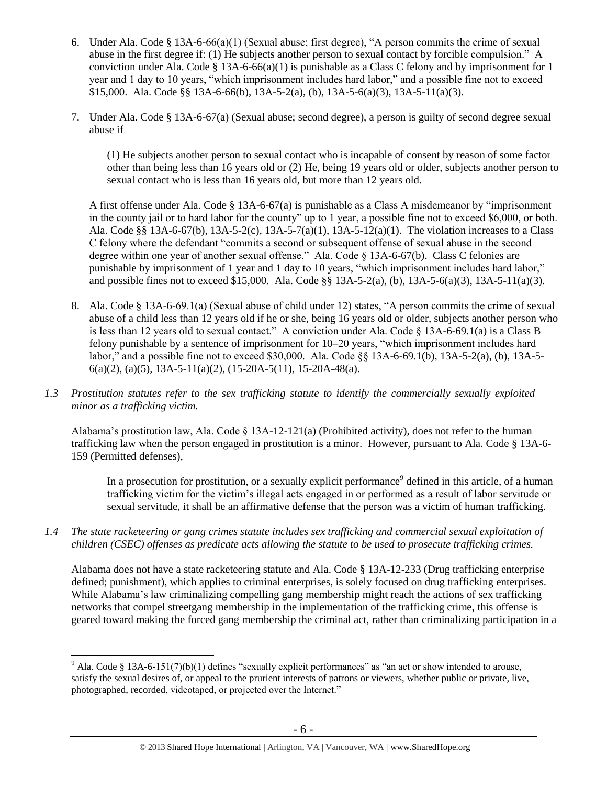- 6. Under Ala. Code § 13A-6-66(a)(1) (Sexual abuse; first degree), "A person commits the crime of sexual abuse in the first degree if: (1) He subjects another person to sexual contact by forcible compulsion." A conviction under Ala. Code § 13A-6-66(a)(1) is punishable as a Class C felony and by imprisonment for 1 year and 1 day to 10 years, "which imprisonment includes hard labor," and a possible fine not to exceed  $$15,000.$  Ala. Code  $\S$ § 13A-6-66(b), 13A-5-2(a), (b), 13A-5-6(a)(3), 13A-5-11(a)(3).
- 7. Under Ala. Code § 13A-6-67(a) (Sexual abuse; second degree), a person is guilty of second degree sexual abuse if

(1) He subjects another person to sexual contact who is incapable of consent by reason of some factor other than being less than 16 years old or (2) He, being 19 years old or older, subjects another person to sexual contact who is less than 16 years old, but more than 12 years old.

A first offense under Ala. Code § 13A-6-67(a) is punishable as a Class A misdemeanor by "imprisonment in the county jail or to hard labor for the county" up to 1 year, a possible fine not to exceed \$6,000, or both. Ala. Code §§ 13A-6-67(b), 13A-5-2(c), 13A-5-7(a)(1), 13A-5-12(a)(1). The violation increases to a Class C felony where the defendant "commits a second or subsequent offense of sexual abuse in the second degree within one year of another sexual offense." Ala. Code § 13A-6-67(b). Class C felonies are punishable by imprisonment of 1 year and 1 day to 10 years, "which imprisonment includes hard labor," and possible fines not to exceed \$15,000. Ala. Code §§ 13A-5-2(a), (b), 13A-5-6(a)(3), 13A-5-11(a)(3).

- 8. Ala. Code § 13A-6-69.1(a) (Sexual abuse of child under 12) states, "A person commits the crime of sexual abuse of a child less than 12 years old if he or she, being 16 years old or older, subjects another person who is less than 12 years old to sexual contact." A conviction under Ala. Code § 13A-6-69.1(a) is a Class B felony punishable by a sentence of imprisonment for 10–20 years, "which imprisonment includes hard labor," and a possible fine not to exceed \$30,000. Ala. Code §§ 13A-6-69.1(b), 13A-5-2(a), (b), 13A-5-  $6(a)(2)$ ,  $(a)(5)$ , 13A-5-11(a)(2), (15-20A-5(11), 15-20A-48(a).
- *1.3 Prostitution statutes refer to the sex trafficking statute to identify the commercially sexually exploited minor as a trafficking victim.*

Alabama's prostitution law, Ala. Code § 13A-12-121(a) (Prohibited activity), does not refer to the human trafficking law when the person engaged in prostitution is a minor. However, pursuant to Ala. Code § 13A-6- 159 (Permitted defenses),

In a prosecution for prostitution, or a sexually explicit performance<sup>9</sup> defined in this article, of a human trafficking victim for the victim's illegal acts engaged in or performed as a result of labor servitude or sexual servitude, it shall be an affirmative defense that the person was a victim of human trafficking.

*1.4 The state racketeering or gang crimes statute includes sex trafficking and commercial sexual exploitation of children (CSEC) offenses as predicate acts allowing the statute to be used to prosecute trafficking crimes.* 

Alabama does not have a state racketeering statute and Ala. Code § 13A-12-233 (Drug trafficking enterprise defined; punishment), which applies to criminal enterprises, is solely focused on drug trafficking enterprises. While Alabama's law criminalizing compelling gang membership might reach the actions of sex trafficking networks that compel streetgang membership in the implementation of the trafficking crime, this offense is geared toward making the forced gang membership the criminal act, rather than criminalizing participation in a

 $\overline{a}$ <sup>9</sup> Ala. Code § 13A-6-151(7)(b)(1) defines "sexually explicit performances" as "an act or show intended to arouse, satisfy the sexual desires of, or appeal to the prurient interests of patrons or viewers, whether public or private, live, photographed, recorded, videotaped, or projected over the Internet."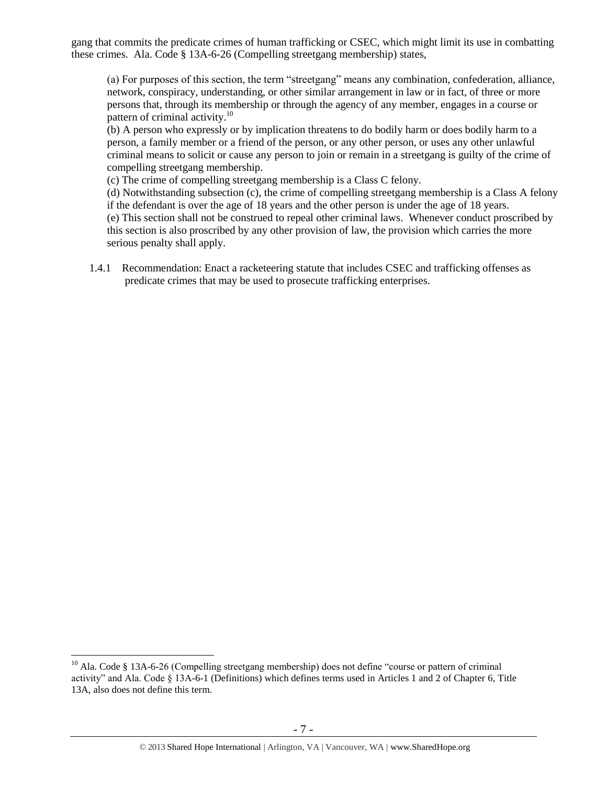gang that commits the predicate crimes of human trafficking or CSEC, which might limit its use in combatting these crimes. Ala. Code § 13A-6-26 (Compelling streetgang membership) states,

(a) For purposes of this section, the term "streetgang" means any combination, confederation, alliance, network, conspiracy, understanding, or other similar arrangement in law or in fact, of three or more persons that, through its membership or through the agency of any member, engages in a course or pattern of criminal activity. $^{10}$ 

(b) A person who expressly or by implication threatens to do bodily harm or does bodily harm to a person, a family member or a friend of the person, or any other person, or uses any other unlawful criminal means to solicit or cause any person to join or remain in a streetgang is guilty of the crime of compelling streetgang membership.

(c) The crime of compelling streetgang membership is a Class C felony.

(d) Notwithstanding subsection (c), the crime of compelling streetgang membership is a Class A felony if the defendant is over the age of 18 years and the other person is under the age of 18 years. (e) This section shall not be construed to repeal other criminal laws. Whenever conduct proscribed by this section is also proscribed by any other provision of law, the provision which carries the more serious penalty shall apply.

1.4.1 Recommendation: Enact a racketeering statute that includes CSEC and trafficking offenses as predicate crimes that may be used to prosecute trafficking enterprises.

<sup>&</sup>lt;sup>10</sup> Ala. Code § 13A-6-26 (Compelling streetgang membership) does not define "course or pattern of criminal activity" and Ala. Code § 13A-6-1 (Definitions) which defines terms used in Articles 1 and 2 of Chapter 6, Title 13A, also does not define this term.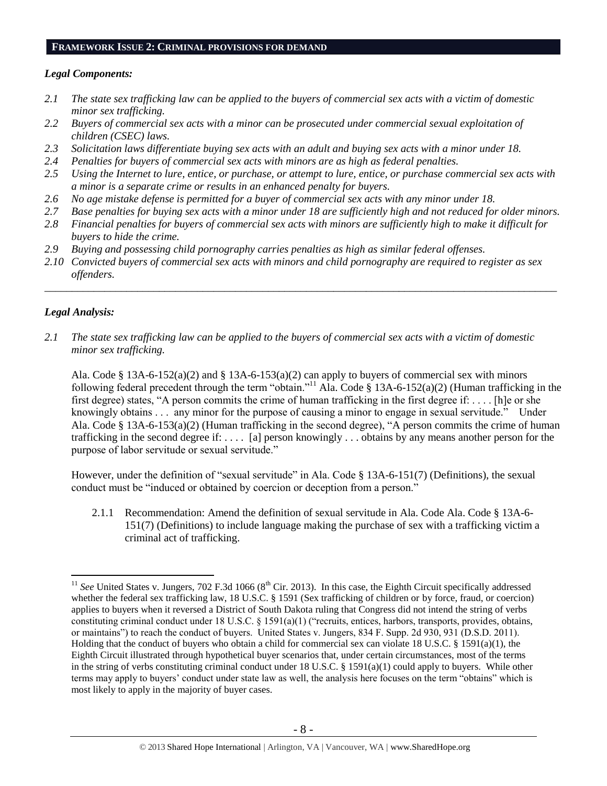#### **FRAMEWORK ISSUE 2: CRIMINAL PROVISIONS FOR DEMAND**

### *Legal Components:*

- *2.1 The state sex trafficking law can be applied to the buyers of commercial sex acts with a victim of domestic minor sex trafficking.*
- *2.2 Buyers of commercial sex acts with a minor can be prosecuted under commercial sexual exploitation of children (CSEC) laws.*
- *2.3 Solicitation laws differentiate buying sex acts with an adult and buying sex acts with a minor under 18.*
- *2.4 Penalties for buyers of commercial sex acts with minors are as high as federal penalties.*
- *2.5 Using the Internet to lure, entice, or purchase, or attempt to lure, entice, or purchase commercial sex acts with a minor is a separate crime or results in an enhanced penalty for buyers.*
- *2.6 No age mistake defense is permitted for a buyer of commercial sex acts with any minor under 18.*
- *2.7 Base penalties for buying sex acts with a minor under 18 are sufficiently high and not reduced for older minors.*
- *2.8 Financial penalties for buyers of commercial sex acts with minors are sufficiently high to make it difficult for buyers to hide the crime.*
- *2.9 Buying and possessing child pornography carries penalties as high as similar federal offenses.*
- *2.10 Convicted buyers of commercial sex acts with minors and child pornography are required to register as sex offenders.*

\_\_\_\_\_\_\_\_\_\_\_\_\_\_\_\_\_\_\_\_\_\_\_\_\_\_\_\_\_\_\_\_\_\_\_\_\_\_\_\_\_\_\_\_\_\_\_\_\_\_\_\_\_\_\_\_\_\_\_\_\_\_\_\_\_\_\_\_\_\_\_\_\_\_\_\_\_\_\_\_\_\_\_\_\_\_\_\_\_\_\_\_\_\_

# *Legal Analysis:*

 $\overline{a}$ 

*2.1 The state sex trafficking law can be applied to the buyers of commercial sex acts with a victim of domestic minor sex trafficking.*

Ala. Code § 13A-6-152(a)(2) and § 13A-6-153(a)(2) can apply to buyers of commercial sex with minors following federal precedent through the term "obtain."<sup>11</sup> Ala. Code § 13A-6-152(a)(2) (Human trafficking in the first degree) states, "A person commits the crime of human trafficking in the first degree if: . . . . [h]e or she knowingly obtains . . . any minor for the purpose of causing a minor to engage in sexual servitude." Under Ala. Code § 13A-6-153(a)(2) (Human trafficking in the second degree), "A person commits the crime of human trafficking in the second degree if: . . . . [a] person knowingly . . . obtains by any means another person for the purpose of labor servitude or sexual servitude."

However, under the definition of "sexual servitude" in Ala. Code § 13A-6-151(7) (Definitions), the sexual conduct must be "induced or obtained by coercion or deception from a person."

2.1.1 Recommendation: Amend the definition of sexual servitude in Ala. Code Ala. Code § 13A-6- 151(7) (Definitions) to include language making the purchase of sex with a trafficking victim a criminal act of trafficking.

 $11$  *See* United States v. Jungers, 702 F.3d 1066 ( $8<sup>th</sup>$  Cir. 2013). In this case, the Eighth Circuit specifically addressed whether the federal sex trafficking law, 18 U.S.C. § 1591 (Sex trafficking of children or by force, fraud, or coercion) applies to buyers when it reversed a District of South Dakota ruling that Congress did not intend the string of verbs constituting criminal conduct under 18 U.S.C. § 1591(a)(1) ("recruits, entices, harbors, transports, provides, obtains, or maintains") to reach the conduct of buyers. United States v. Jungers, 834 F. Supp. 2d 930, 931 (D.S.D. 2011). Holding that the conduct of buyers who obtain a child for commercial sex can violate 18 U.S.C. § 1591(a)(1), the Eighth Circuit illustrated through hypothetical buyer scenarios that, under certain circumstances, most of the terms in the string of verbs constituting criminal conduct under 18 U.S.C. § 1591(a)(1) could apply to buyers. While other terms may apply to buyers' conduct under state law as well, the analysis here focuses on the term "obtains" which is most likely to apply in the majority of buyer cases.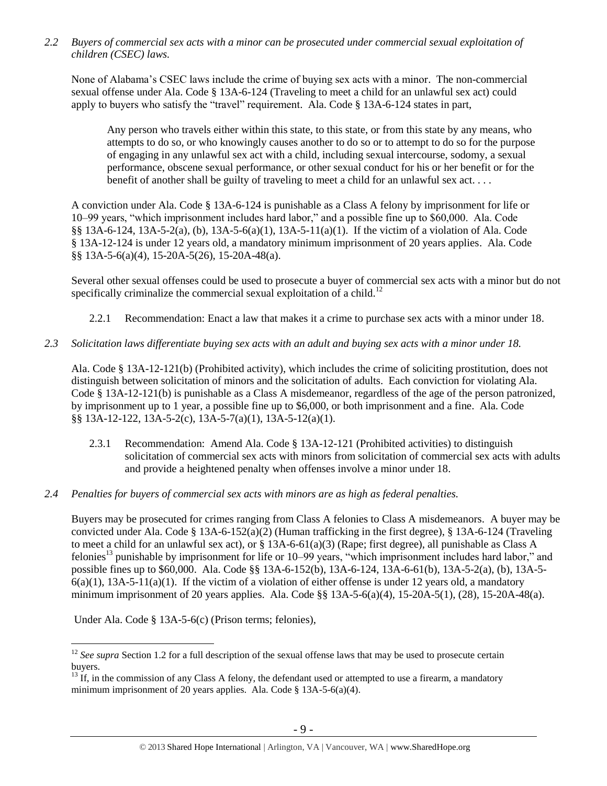*2.2 Buyers of commercial sex acts with a minor can be prosecuted under commercial sexual exploitation of children (CSEC) laws.*

None of Alabama's CSEC laws include the crime of buying sex acts with a minor. The non-commercial sexual offense under Ala. Code § 13A-6-124 (Traveling to meet a child for an unlawful sex act) could apply to buyers who satisfy the "travel" requirement. Ala. Code § 13A-6-124 states in part,

Any person who travels either within this state, to this state, or from this state by any means, who attempts to do so, or who knowingly causes another to do so or to attempt to do so for the purpose of engaging in any unlawful sex act with a child, including sexual intercourse, sodomy, a sexual performance, obscene sexual performance, or other sexual conduct for his or her benefit or for the benefit of another shall be guilty of traveling to meet a child for an unlawful sex act. . . .

A conviction under Ala. Code § 13A-6-124 is punishable as a Class A felony by imprisonment for life or 10–99 years, "which imprisonment includes hard labor," and a possible fine up to \$60,000. Ala. Code §§ 13A-6-124, 13A-5-2(a), (b), 13A-5-6(a)(1), 13A-5-11(a)(1). If the victim of a violation of Ala. Code § 13A-12-124 is under 12 years old, a mandatory minimum imprisonment of 20 years applies. Ala. Code §§ 13A-5-6(a)(4), 15-20A-5(26), 15-20A-48(a).

Several other sexual offenses could be used to prosecute a buyer of commercial sex acts with a minor but do not specifically criminalize the commercial sexual exploitation of a child.<sup>12</sup>

- 2.2.1 Recommendation: Enact a law that makes it a crime to purchase sex acts with a minor under 18.
- *2.3 Solicitation laws differentiate buying sex acts with an adult and buying sex acts with a minor under 18.*

Ala. Code § 13A-12-121(b) (Prohibited activity), which includes the crime of soliciting prostitution, does not distinguish between solicitation of minors and the solicitation of adults. Each conviction for violating Ala. Code § 13A-12-121(b) is punishable as a Class A misdemeanor, regardless of the age of the person patronized, by imprisonment up to 1 year, a possible fine up to \$6,000, or both imprisonment and a fine. Ala. Code §§ 13A-12-122, 13A-5-2(c), 13A-5-7(a)(1), 13A-5-12(a)(1).

- 2.3.1 Recommendation: Amend Ala. Code § 13A-12-121 (Prohibited activities) to distinguish solicitation of commercial sex acts with minors from solicitation of commercial sex acts with adults and provide a heightened penalty when offenses involve a minor under 18.
- *2.4 Penalties for buyers of commercial sex acts with minors are as high as federal penalties.*

<span id="page-8-0"></span>Buyers may be prosecuted for crimes ranging from Class A felonies to Class A misdemeanors. A buyer may be convicted under Ala. Code § 13A-6-152(a)(2) (Human trafficking in the first degree), § 13A-6-124 (Traveling to meet a child for an unlawful sex act), or  $\S$  13A-6-61(a)(3) (Rape; first degree), all punishable as Class A felonies<sup>13</sup> punishable by imprisonment for life or 10–99 years, "which imprisonment includes hard labor," and possible fines up to \$60,000. Ala. Code §§ 13A-6-152(b), 13A-6-124, 13A-6-61(b), 13A-5-2(a), (b), 13A-5-  $6(a)(1)$ , 13A-5-11(a)(1). If the victim of a violation of either offense is under 12 years old, a mandatory minimum imprisonment of 20 years applies. Ala. Code §§ 13A-5-6(a)(4), 15-20A-5(1), (28), 15-20A-48(a).

Under Ala. Code § 13A-5-6(c) (Prison terms; felonies),

<sup>&</sup>lt;sup>12</sup> *See supra* Section 1.2 for a full description of the sexual offense laws that may be used to prosecute certain buyers.

 $13 \text{ If, in the commission of any Class A fellow, the defendant used or attempted to use a firearm, a mandatory.}$ minimum imprisonment of 20 years applies. Ala. Code § 13A-5-6(a)(4).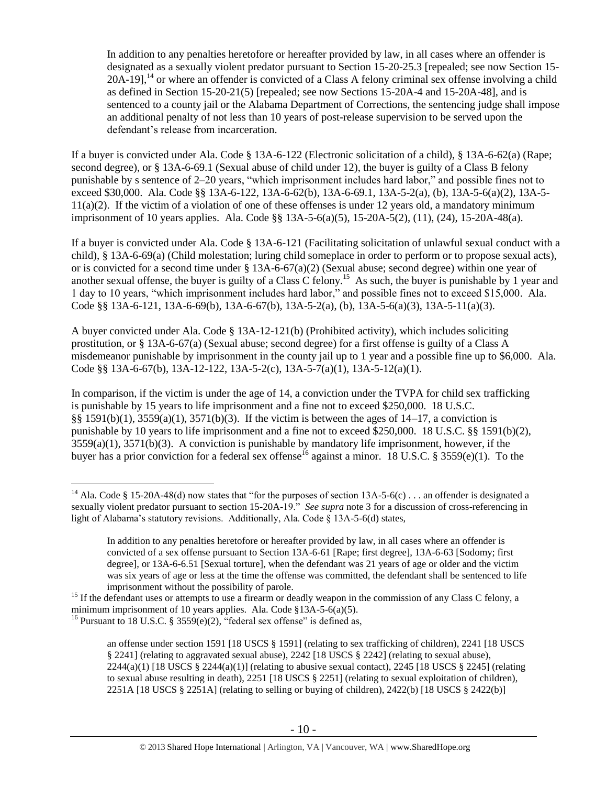<span id="page-9-0"></span>In addition to any penalties heretofore or hereafter provided by law, in all cases where an offender is designated as a sexually violent predator pursuant to Section 15-20-25.3 [repealed; see now Section 15-  $20A-19$ <sup>14</sup> or where an offender is convicted of a Class A felony criminal sex offense involving a child as defined in Section 15-20-21(5) [repealed; see now Sections 15-20A-4 and 15-20A-48], and is sentenced to a county jail or the Alabama Department of Corrections, the sentencing judge shall impose an additional penalty of not less than 10 years of post-release supervision to be served upon the defendant's release from incarceration.

If a buyer is convicted under Ala. Code § 13A-6-122 (Electronic solicitation of a child), § 13A-6-62(a) (Rape; second degree), or § 13A-6-69.1 (Sexual abuse of child under 12), the buyer is guilty of a Class B felony punishable by s sentence of 2–20 years, "which imprisonment includes hard labor," and possible fines not to exceed \$30,000. Ala. Code §§ 13A-6-122, 13A-6-62(b), 13A-6-69.1, 13A-5-2(a), (b), 13A-5-6(a)(2), 13A-5-  $11(a)(2)$ . If the victim of a violation of one of these offenses is under 12 years old, a mandatory minimum imprisonment of 10 years applies. Ala. Code §§ 13A-5-6(a)(5), 15-20A-5(2), (11), (24), 15-20A-48(a).

<span id="page-9-1"></span>If a buyer is convicted under Ala. Code § 13A-6-121 (Facilitating solicitation of unlawful sexual conduct with a child), § 13A-6-69(a) (Child molestation; luring child someplace in order to perform or to propose sexual acts), or is convicted for a second time under § 13A-6-67(a)(2) (Sexual abuse; second degree) within one year of another sexual offense, the buyer is guilty of a Class C felony.<sup>15</sup> As such, the buyer is punishable by 1 year and 1 day to 10 years, "which imprisonment includes hard labor," and possible fines not to exceed \$15,000. Ala. Code §§ 13A-6-121, 13A-6-69(b), 13A-6-67(b), 13A-5-2(a), (b), 13A-5-6(a)(3), 13A-5-11(a)(3).

A buyer convicted under Ala. Code § 13A-12-121(b) (Prohibited activity), which includes soliciting prostitution, or § 13A-6-67(a) (Sexual abuse; second degree) for a first offense is guilty of a Class A misdemeanor punishable by imprisonment in the county jail up to 1 year and a possible fine up to \$6,000. Ala. Code §§ 13A-6-67(b), 13A-12-122, 13A-5-2(c), 13A-5-7(a)(1), 13A-5-12(a)(1).

In comparison, if the victim is under the age of 14, a conviction under the TVPA for child sex trafficking is punishable by 15 years to life imprisonment and a fine not to exceed \$250,000. 18 U.S.C. §§ 1591(b)(1),  $3559(a)(1)$ ,  $3571(b)(3)$ . If the victim is between the ages of 14–17, a conviction is punishable by 10 years to life imprisonment and a fine not to exceed \$250,000. 18 U.S.C. §§ 1591(b)(2),  $3559(a)(1)$ ,  $3571(b)(3)$ . A conviction is punishable by mandatory life imprisonment, however, if the buyer has a prior conviction for a federal sex offense<sup>16</sup> against a minor. 18 U.S.C. § 3559(e)(1). To the

<sup>&</sup>lt;sup>14</sup> Ala. Code § 15-20A-48(d) now states that "for the purposes of section  $13A-5-6(c)$ ... an offender is designated a sexually violent predator pursuant to section 15-20A-19." *See supra* note [3](#page-1-0) for a discussion of cross-referencing in light of Alabama's statutory revisions. Additionally, Ala. Code § 13A-5-6(d) states,

<span id="page-9-2"></span>In addition to any penalties heretofore or hereafter provided by law, in all cases where an offender is convicted of a sex offense pursuant to Section 13A-6-61 [Rape; first degree], 13A-6-63 [Sodomy; first degree], or 13A-6-6.51 [Sexual torture], when the defendant was 21 years of age or older and the victim was six years of age or less at the time the offense was committed, the defendant shall be sentenced to life imprisonment without the possibility of parole.

<sup>&</sup>lt;sup>15</sup> If the defendant uses or attempts to use a firearm or deadly weapon in the commission of any Class C felony, a minimum imprisonment of 10 years applies. Ala. Code §13A-5-6(a)(5).

<sup>&</sup>lt;sup>16</sup> Pursuant to 18 U.S.C. § 3559 $(e)(2)$ , "federal sex offense" is defined as,

an offense under section 1591 [18 USCS § 1591] (relating to sex trafficking of children), 2241 [18 USCS § 2241] (relating to aggravated sexual abuse), 2242 [18 USCS § 2242] (relating to sexual abuse), 2244(a)(1) [18 USCS § 2244(a)(1)] (relating to abusive sexual contact), 2245 [18 USCS § 2245] (relating to sexual abuse resulting in death), 2251 [18 USCS § 2251] (relating to sexual exploitation of children), 2251A [18 USCS § 2251A] (relating to selling or buying of children), 2422(b) [18 USCS § 2422(b)]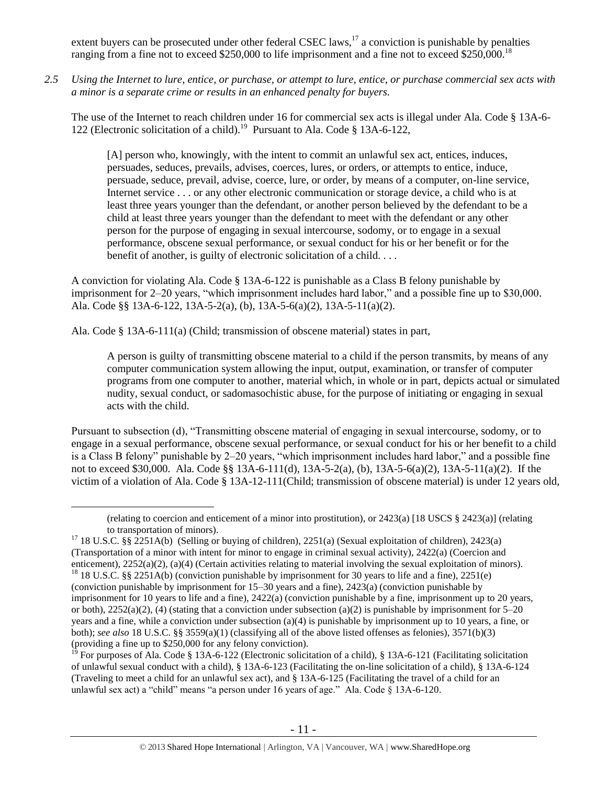extent buyers can be prosecuted under other federal CSEC laws,<sup>17</sup> a conviction is punishable by penalties ranging from a fine not to exceed \$250,000 to life imprisonment and a fine not to exceed \$250,000.<sup>18</sup>

*2.5 Using the Internet to lure, entice, or purchase, or attempt to lure, entice, or purchase commercial sex acts with a minor is a separate crime or results in an enhanced penalty for buyers.*

The use of the Internet to reach children under 16 for commercial sex acts is illegal under Ala. Code § 13A-6- 122 (Electronic solicitation of a child).<sup>19</sup> Pursuant to Ala. Code § 13A-6-122,

[A] person who, knowingly, with the intent to commit an unlawful sex act, entices, induces, persuades, seduces, prevails, advises, coerces, lures, or orders, or attempts to entice, induce, persuade, seduce, prevail, advise, coerce, lure, or order, by means of a computer, on-line service, Internet service . . . or any other electronic communication or storage device, a child who is at least three years younger than the defendant, or another person believed by the defendant to be a child at least three years younger than the defendant to meet with the defendant or any other person for the purpose of engaging in sexual intercourse, sodomy, or to engage in a sexual performance, obscene sexual performance, or sexual conduct for his or her benefit or for the benefit of another, is guilty of electronic solicitation of a child. . . .

A conviction for violating Ala. Code § 13A-6-122 is punishable as a Class B felony punishable by imprisonment for 2–20 years, "which imprisonment includes hard labor," and a possible fine up to \$30,000. Ala. Code §§ 13A-6-122, 13A-5-2(a), (b), 13A-5-6(a)(2), 13A-5-11(a)(2).

Ala. Code § 13A-6-111(a) (Child; transmission of obscene material) states in part,

 $\overline{a}$ 

A person is guilty of transmitting obscene material to a child if the person transmits, by means of any computer communication system allowing the input, output, examination, or transfer of computer programs from one computer to another, material which, in whole or in part, depicts actual or simulated nudity, sexual conduct, or sadomasochistic abuse, for the purpose of initiating or engaging in sexual acts with the child.

Pursuant to subsection (d), "Transmitting obscene material of engaging in sexual intercourse, sodomy, or to engage in a sexual performance, obscene sexual performance, or sexual conduct for his or her benefit to a child is a Class B felony" punishable by 2–20 years, "which imprisonment includes hard labor," and a possible fine not to exceed \$30,000. Ala. Code §§ 13A-6-111(d), 13A-5-2(a), (b), 13A-5-6(a)(2), 13A-5-11(a)(2). If the victim of a violation of Ala. Code § 13A-12-111(Child; transmission of obscene material) is under 12 years old,

<sup>(</sup>relating to coercion and enticement of a minor into prostitution), or 2423(a) [18 USCS § 2423(a)] (relating to transportation of minors).

<sup>&</sup>lt;sup>17</sup> 18 U.S.C. §§ 2251A(b) (Selling or buying of children), 2251(a) (Sexual exploitation of children), 2423(a) (Transportation of a minor with intent for minor to engage in criminal sexual activity), 2422(a) (Coercion and enticement), 2252(a)(2), (a)(4) (Certain activities relating to material involving the sexual exploitation of minors). <sup>18</sup> 18 U.S.C. §§ 2251A(b) (conviction punishable by imprisonment for 30 years to life and a fine), 2251(e) (conviction punishable by imprisonment for 15–30 years and a fine), 2423(a) (conviction punishable by imprisonment for 10 years to life and a fine), 2422(a) (conviction punishable by a fine, imprisonment up to 20 years, or both),  $2252(a)(2)$ , (4) (stating that a conviction under subsection (a)(2) is punishable by imprisonment for 5–20 years and a fine, while a conviction under subsection (a)(4) is punishable by imprisonment up to 10 years, a fine, or both); *see also* 18 U.S.C. §§ 3559(a)(1) (classifying all of the above listed offenses as felonies), 3571(b)(3) (providing a fine up to \$250,000 for any felony conviction).

<sup>&</sup>lt;sup>19</sup> For purposes of Ala. Code § 13A-6-122 (Electronic solicitation of a child), § 13A-6-121 (Facilitating solicitation of unlawful sexual conduct with a child), § 13A-6-123 (Facilitating the on-line solicitation of a child), § 13A-6-124 (Traveling to meet a child for an unlawful sex act), and § 13A-6-125 (Facilitating the travel of a child for an unlawful sex act) a "child" means "a person under 16 years of age." Ala. Code § 13A-6-120.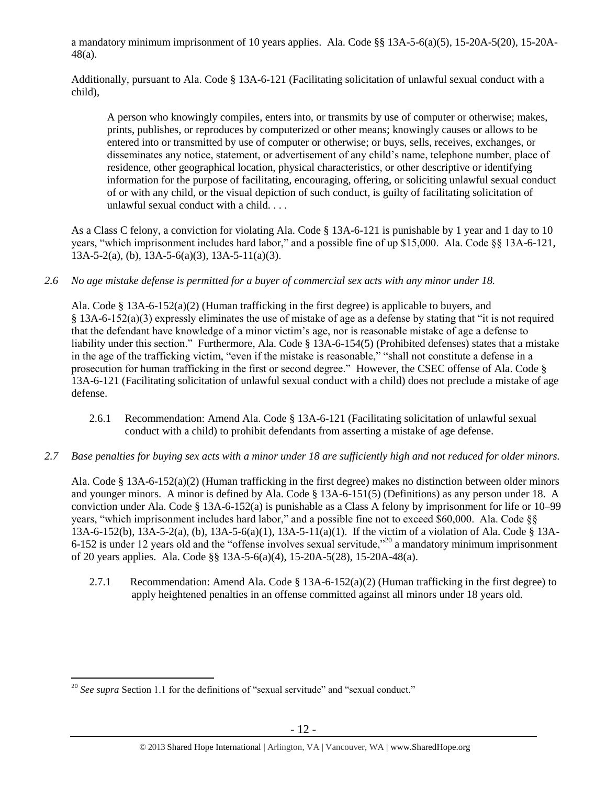a mandatory minimum imprisonment of 10 years applies. Ala. Code §§ 13A-5-6(a)(5), 15-20A-5(20), 15-20A-48(a).

Additionally, pursuant to Ala. Code § 13A-6-121 (Facilitating solicitation of unlawful sexual conduct with a child),

A person who knowingly compiles, enters into, or transmits by use of computer or otherwise; makes, prints, publishes, or reproduces by computerized or other means; knowingly causes or allows to be entered into or transmitted by use of computer or otherwise; or buys, sells, receives, exchanges, or disseminates any notice, statement, or advertisement of any child's name, telephone number, place of residence, other geographical location, physical characteristics, or other descriptive or identifying information for the purpose of facilitating, encouraging, offering, or soliciting unlawful sexual conduct of or with any child, or the visual depiction of such conduct, is guilty of facilitating solicitation of unlawful sexual conduct with a child. . . .

As a Class C felony, a conviction for violating Ala. Code § 13A-6-121 is punishable by 1 year and 1 day to 10 years, "which imprisonment includes hard labor," and a possible fine of up \$15,000. Ala. Code §§ 13A-6-121, 13A-5-2(a), (b), 13A-5-6(a)(3), 13A-5-11(a)(3).

*2.6 No age mistake defense is permitted for a buyer of commercial sex acts with any minor under 18.*

Ala. Code § 13A-6-152(a)(2) (Human trafficking in the first degree) is applicable to buyers, and § 13A-6-152(a)(3) expressly eliminates the use of mistake of age as a defense by stating that "it is not required that the defendant have knowledge of a minor victim's age, nor is reasonable mistake of age a defense to liability under this section." Furthermore, Ala. Code § 13A-6-154(5) (Prohibited defenses) states that a mistake in the age of the trafficking victim, "even if the mistake is reasonable," "shall not constitute a defense in a prosecution for human trafficking in the first or second degree." However, the CSEC offense of Ala. Code § 13A-6-121 (Facilitating solicitation of unlawful sexual conduct with a child) does not preclude a mistake of age defense.

- 2.6.1 Recommendation: Amend Ala. Code § 13A-6-121 (Facilitating solicitation of unlawful sexual conduct with a child) to prohibit defendants from asserting a mistake of age defense.
- *2.7 Base penalties for buying sex acts with a minor under 18 are sufficiently high and not reduced for older minors.*

Ala. Code § 13A-6-152(a)(2) (Human trafficking in the first degree) makes no distinction between older minors and younger minors. A minor is defined by Ala. Code § 13A-6-151(5) (Definitions) as any person under 18. A conviction under Ala. Code § 13A-6-152(a) is punishable as a Class A felony by imprisonment for life or 10–99 years, "which imprisonment includes hard labor," and a possible fine not to exceed \$60,000. Ala. Code §§ 13A-6-152(b), 13A-5-2(a), (b), 13A-5-6(a)(1), 13A-5-11(a)(1). If the victim of a violation of Ala. Code § 13A-6-152 is under 12 years old and the "offense involves sexual servitude,"  $20^\circ$  a mandatory minimum imprisonment of 20 years applies. Ala. Code §§ 13A-5-6(a)(4), 15-20A-5(28), 15-20A-48(a).

2.7.1 Recommendation: Amend Ala. Code § 13A-6-152(a)(2) (Human trafficking in the first degree) to apply heightened penalties in an offense committed against all minors under 18 years old.

 $\overline{a}$ <sup>20</sup> *See supra* Section 1.1 for the definitions of "sexual servitude" and "sexual conduct."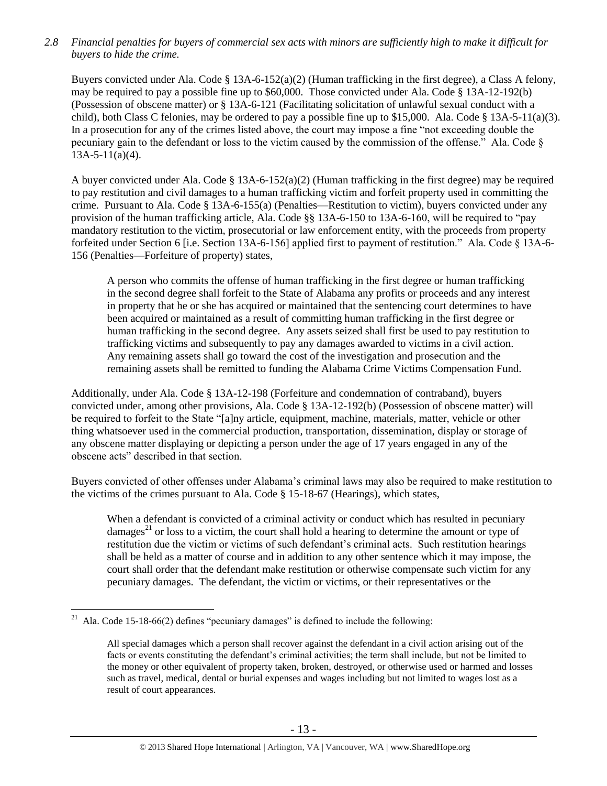*2.8 Financial penalties for buyers of commercial sex acts with minors are sufficiently high to make it difficult for buyers to hide the crime.* 

Buyers convicted under Ala. Code § 13A-6-152(a)(2) (Human trafficking in the first degree), a Class A felony, may be required to pay a possible fine up to \$60,000. Those convicted under Ala. Code § 13A-12-192(b) (Possession of obscene matter) or § 13A-6-121 (Facilitating solicitation of unlawful sexual conduct with a child), both Class C felonies, may be ordered to pay a possible fine up to \$15,000. Ala. Code § 13A-5-11(a)(3). In a prosecution for any of the crimes listed above, the court may impose a fine "not exceeding double the pecuniary gain to the defendant or loss to the victim caused by the commission of the offense." Ala. Code § 13A-5-11(a)(4).

A buyer convicted under Ala. Code  $\S 13A-6-152(a)(2)$  (Human trafficking in the first degree) may be required to pay restitution and civil damages to a human trafficking victim and forfeit property used in committing the crime. Pursuant to Ala. Code § 13A-6-155(a) (Penalties—Restitution to victim), buyers convicted under any provision of the human trafficking article, Ala. Code §§ 13A-6-150 to 13A-6-160, will be required to "pay mandatory restitution to the victim, prosecutorial or law enforcement entity, with the proceeds from property forfeited under Section 6 [i.e. Section 13A-6-156] applied first to payment of restitution." Ala. Code § 13A-6- 156 (Penalties—Forfeiture of property) states,

A person who commits the offense of human trafficking in the first degree or human trafficking in the second degree shall forfeit to the State of Alabama any profits or proceeds and any interest in property that he or she has acquired or maintained that the sentencing court determines to have been acquired or maintained as a result of committing human trafficking in the first degree or human trafficking in the second degree. Any assets seized shall first be used to pay restitution to trafficking victims and subsequently to pay any damages awarded to victims in a civil action. Any remaining assets shall go toward the cost of the investigation and prosecution and the remaining assets shall be remitted to funding the Alabama Crime Victims Compensation Fund.

Additionally, under Ala. Code § 13A-12-198 (Forfeiture and condemnation of contraband), buyers convicted under, among other provisions, Ala. Code § 13A-12-192(b) (Possession of obscene matter) will be required to forfeit to the State "[a]ny article, equipment, machine, materials, matter, vehicle or other thing whatsoever used in the commercial production, transportation, dissemination, display or storage of any obscene matter displaying or depicting a person under the age of 17 years engaged in any of the obscene acts" described in that section.

Buyers convicted of other offenses under Alabama's criminal laws may also be required to make restitution to the victims of the crimes pursuant to Ala. Code § 15-18-67 (Hearings), which states,

<span id="page-12-0"></span>When a defendant is convicted of a criminal activity or conduct which has resulted in pecuniary damages<sup>21</sup> or loss to a victim, the court shall hold a hearing to determine the amount or type of restitution due the victim or victims of such defendant's criminal acts. Such restitution hearings shall be held as a matter of course and in addition to any other sentence which it may impose, the court shall order that the defendant make restitution or otherwise compensate such victim for any pecuniary damages. The defendant, the victim or victims, or their representatives or the

<sup>&</sup>lt;sup>21</sup> Ala. Code 15-18-66(2) defines "pecuniary damages" is defined to include the following:

All special damages which a person shall recover against the defendant in a civil action arising out of the facts or events constituting the defendant's criminal activities; the term shall include, but not be limited to the money or other equivalent of property taken, broken, destroyed, or otherwise used or harmed and losses such as travel, medical, dental or burial expenses and wages including but not limited to wages lost as a result of court appearances.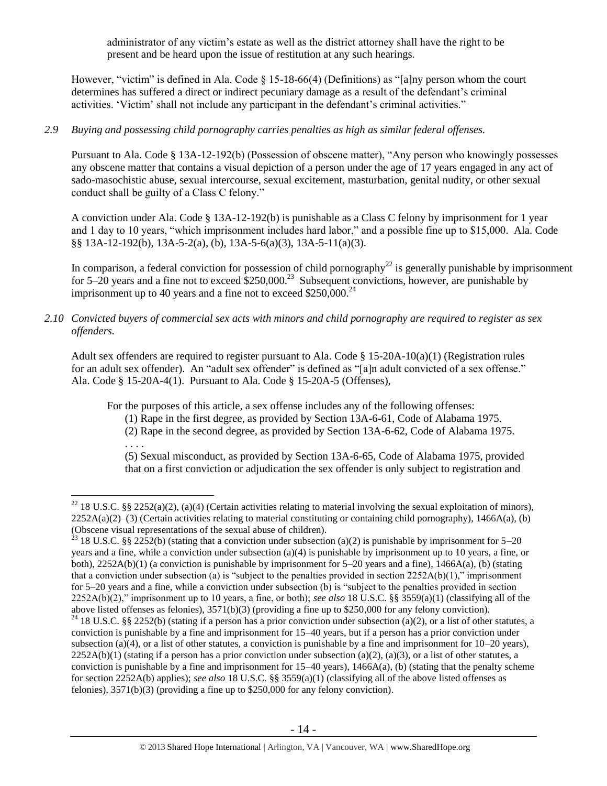administrator of any victim's estate as well as the district attorney shall have the right to be present and be heard upon the issue of restitution at any such hearings.

However, "victim" is defined in Ala. Code § 15-18-66(4) (Definitions) as "[a]ny person whom the court determines has suffered a direct or indirect pecuniary damage as a result of the defendant's criminal activities. 'Victim' shall not include any participant in the defendant's criminal activities."

# *2.9 Buying and possessing child pornography carries penalties as high as similar federal offenses.*

Pursuant to Ala. Code § 13A-12-192(b) (Possession of obscene matter), "Any person who knowingly possesses any obscene matter that contains a visual depiction of a person under the age of 17 years engaged in any act of sado-masochistic abuse, sexual intercourse, sexual excitement, masturbation, genital nudity, or other sexual conduct shall be guilty of a Class C felony."

A conviction under Ala. Code § 13A-12-192(b) is punishable as a Class C felony by imprisonment for 1 year and 1 day to 10 years, "which imprisonment includes hard labor," and a possible fine up to \$15,000. Ala. Code §§ 13A-12-192(b), 13A-5-2(a), (b), 13A-5-6(a)(3), 13A-5-11(a)(3).

In comparison, a federal conviction for possession of child pornography<sup>22</sup> is generally punishable by imprisonment for 5–20 years and a fine not to exceed  $$250,000.<sup>23</sup>$  Subsequent convictions, however, are punishable by imprisonment up to 40 years and a fine not to exceed  $$250,000.<sup>24</sup>$ 

*2.10 Convicted buyers of commercial sex acts with minors and child pornography are required to register as sex offenders.* 

Adult sex offenders are required to register pursuant to Ala. Code § 15-20A-10(a)(1) (Registration rules for an adult sex offender). An "adult sex offender" is defined as "[a]n adult convicted of a sex offense." Ala. Code § 15-20A-4(1). Pursuant to Ala. Code § 15-20A-5 (Offenses),

For the purposes of this article, a sex offense includes any of the following offenses:

- (1) Rape in the first degree, as provided by Section 13A-6-61, Code of Alabama 1975.
- (2) Rape in the second degree, as provided by Section 13A-6-62, Code of Alabama 1975.

. . . .

 $\overline{a}$ 

(5) Sexual misconduct, as provided by Section 13A-6-65, Code of Alabama 1975, provided that on a first conviction or adjudication the sex offender is only subject to registration and

<sup>&</sup>lt;sup>22</sup> 18 U.S.C. §§ 2252(a)(2), (a)(4) (Certain activities relating to material involving the sexual exploitation of minors),  $2252A(a)(2)$ –(3) (Certain activities relating to material constituting or containing child pornography), 1466A(a), (b) (Obscene visual representations of the sexual abuse of children).

<sup>&</sup>lt;sup>23</sup> 18 U.S.C. §§ 2252(b) (stating that a conviction under subsection (a)(2) is punishable by imprisonment for 5–20 years and a fine, while a conviction under subsection (a)(4) is punishable by imprisonment up to 10 years, a fine, or both), 2252A(b)(1) (a conviction is punishable by imprisonment for 5–20 years and a fine), 1466A(a), (b) (stating that a conviction under subsection (a) is "subject to the penalties provided in section  $2252A(b)(1)$ ," imprisonment for 5–20 years and a fine, while a conviction under subsection (b) is "subject to the penalties provided in section 2252A(b)(2)," imprisonment up to 10 years, a fine, or both); *see also* 18 U.S.C. §§ 3559(a)(1) (classifying all of the above listed offenses as felonies), 3571(b)(3) (providing a fine up to \$250,000 for any felony conviction).

<sup>&</sup>lt;sup>24</sup> 18 U.S.C. §§ 2252(b) (stating if a person has a prior conviction under subsection (a)(2), or a list of other statutes, a conviction is punishable by a fine and imprisonment for 15–40 years, but if a person has a prior conviction under subsection (a)(4), or a list of other statutes, a conviction is punishable by a fine and imprisonment for  $10-20$  years),  $2252A(b)(1)$  (stating if a person has a prior conviction under subsection (a)(2), (a)(3), or a list of other statutes, a conviction is punishable by a fine and imprisonment for  $15-40$  years),  $1466A(a)$ , (b) (stating that the penalty scheme for section 2252A(b) applies); *see also* 18 U.S.C. §§ 3559(a)(1) (classifying all of the above listed offenses as felonies), 3571(b)(3) (providing a fine up to \$250,000 for any felony conviction).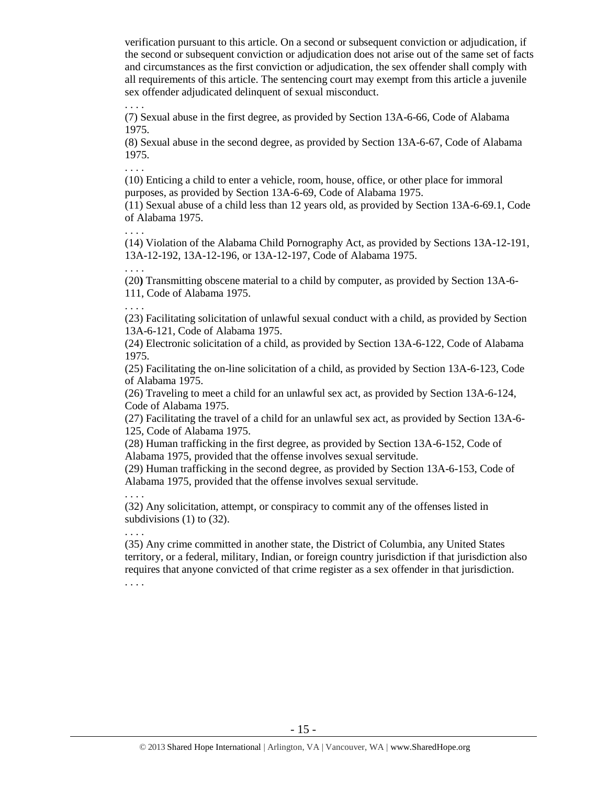verification pursuant to this article. On a second or subsequent conviction or adjudication, if the second or subsequent conviction or adjudication does not arise out of the same set of facts and circumstances as the first conviction or adjudication, the sex offender shall comply with all requirements of this article. The sentencing court may exempt from this article a juvenile sex offender adjudicated delinquent of sexual misconduct.

(7) Sexual abuse in the first degree, as provided by Section 13A-6-66, Code of Alabama 1975.

(8) Sexual abuse in the second degree, as provided by Section 13A-6-67, Code of Alabama 1975.

. . . .

. . . .

(10) Enticing a child to enter a vehicle, room, house, office, or other place for immoral purposes, as provided by Section 13A-6-69, Code of Alabama 1975.

(11) Sexual abuse of a child less than 12 years old, as provided by Section 13A-6-69.1, Code of Alabama 1975.

. . . . (14) Violation of the Alabama Child Pornography Act, as provided by Sections 13A-12-191, 13A-12-192, 13A-12-196, or 13A-12-197, Code of Alabama 1975.

(20**)** Transmitting obscene material to a child by computer, as provided by Section 13A-6- 111, Code of Alabama 1975.

. . . .

. . . .

(23) Facilitating solicitation of unlawful sexual conduct with a child, as provided by Section 13A-6-121, Code of Alabama 1975.

(24) Electronic solicitation of a child, as provided by Section 13A-6-122, Code of Alabama 1975.

(25) Facilitating the on-line solicitation of a child, as provided by Section 13A-6-123, Code of Alabama 1975.

(26) Traveling to meet a child for an unlawful sex act, as provided by Section 13A-6-124, Code of Alabama 1975.

(27) Facilitating the travel of a child for an unlawful sex act, as provided by Section 13A-6- 125, Code of Alabama 1975.

(28) Human trafficking in the first degree, as provided by Section 13A-6-152, Code of Alabama 1975, provided that the offense involves sexual servitude.

(29) Human trafficking in the second degree, as provided by Section 13A-6-153, Code of Alabama 1975, provided that the offense involves sexual servitude.

(32) Any solicitation, attempt, or conspiracy to commit any of the offenses listed in subdivisions (1) to (32).

. . . .

. . . .

(35) Any crime committed in another state, the District of Columbia, any United States territory, or a federal, military, Indian, or foreign country jurisdiction if that jurisdiction also requires that anyone convicted of that crime register as a sex offender in that jurisdiction.

. . . .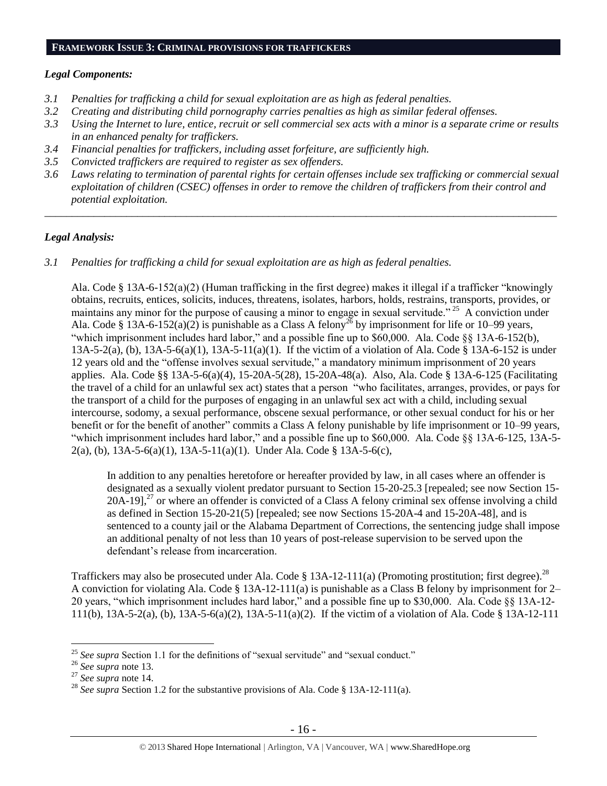#### **FRAMEWORK ISSUE 3: CRIMINAL PROVISIONS FOR TRAFFICKERS**

# *Legal Components:*

- *3.1 Penalties for trafficking a child for sexual exploitation are as high as federal penalties.*
- *3.2 Creating and distributing child pornography carries penalties as high as similar federal offenses.*
- *3.3 Using the Internet to lure, entice, recruit or sell commercial sex acts with a minor is a separate crime or results in an enhanced penalty for traffickers.*
- *3.4 Financial penalties for traffickers, including asset forfeiture, are sufficiently high.*
- *3.5 Convicted traffickers are required to register as sex offenders.*
- *3.6 Laws relating to termination of parental rights for certain offenses include sex trafficking or commercial sexual exploitation of children (CSEC) offenses in order to remove the children of traffickers from their control and potential exploitation.*

*\_\_\_\_\_\_\_\_\_\_\_\_\_\_\_\_\_\_\_\_\_\_\_\_\_\_\_\_\_\_\_\_\_\_\_\_\_\_\_\_\_\_\_\_\_\_\_\_\_\_\_\_\_\_\_\_\_\_\_\_\_\_\_\_\_\_\_\_\_\_\_\_\_\_\_\_\_\_\_\_\_\_\_\_\_\_\_\_\_\_\_\_\_\_*

# *Legal Analysis:*

*3.1 Penalties for trafficking a child for sexual exploitation are as high as federal penalties.* 

Ala. Code § 13A-6-152(a)(2) (Human trafficking in the first degree) makes it illegal if a trafficker "knowingly obtains, recruits, entices, solicits, induces, threatens, isolates, harbors, holds, restrains, transports, provides, or maintains any minor for the purpose of causing a minor to engage in sexual servitude."  $25$  A conviction under Ala. Code § 13A-6-152(a)(2) is punishable as a Class A felony<sup>26</sup> by imprisonment for life or 10–99 years, "which imprisonment includes hard labor," and a possible fine up to \$60,000. Ala. Code §§ 13A-6-152(b), 13A-5-2(a), (b), 13A-5-6(a)(1), 13A-5-11(a)(1). If the victim of a violation of Ala. Code § 13A-6-152 is under 12 years old and the "offense involves sexual servitude," a mandatory minimum imprisonment of 20 years applies. Ala. Code §§ 13A-5-6(a)(4), 15-20A-5(28), 15-20A-48(a). Also, Ala. Code § 13A-6-125 (Facilitating the travel of a child for an unlawful sex act) states that a person "who facilitates, arranges, provides, or pays for the transport of a child for the purposes of engaging in an unlawful sex act with a child, including sexual intercourse, sodomy, a sexual performance, obscene sexual performance, or other sexual conduct for his or her benefit or for the benefit of another" commits a Class A felony punishable by life imprisonment or 10–99 years, "which imprisonment includes hard labor," and a possible fine up to \$60,000. Ala. Code §§ 13A-6-125, 13A-5- 2(a), (b), 13A-5-6(a)(1), 13A-5-11(a)(1). Under Ala. Code § 13A-5-6(c),

In addition to any penalties heretofore or hereafter provided by law, in all cases where an offender is designated as a sexually violent predator pursuant to Section 15-20-25.3 [repealed; see now Section 15-  $20A-19$ ],<sup>27</sup> or where an offender is convicted of a Class A felony criminal sex offense involving a child as defined in Section 15-20-21(5) [repealed; see now Sections 15-20A-4 and 15-20A-48], and is sentenced to a county jail or the Alabama Department of Corrections, the sentencing judge shall impose an additional penalty of not less than 10 years of post-release supervision to be served upon the defendant's release from incarceration.

Traffickers may also be prosecuted under Ala. Code  $\S 13A-12-111(a)$  (Promoting prostitution; first degree).<sup>28</sup> A conviction for violating Ala. Code  $\S$  13A-12-111(a) is punishable as a Class B felony by imprisonment for 2– 20 years, "which imprisonment includes hard labor," and a possible fine up to \$30,000. Ala. Code §§ 13A-12- 111(b), 13A-5-2(a), (b), 13A-5-6(a)(2), 13A-5-11(a)(2). If the victim of a violation of Ala. Code § 13A-12-111

<sup>&</sup>lt;sup>25</sup> See supra Section 1.1 for the definitions of "sexual servitude" and "sexual conduct."

<sup>26</sup> *See supra* note [13.](#page-8-0)

<sup>27</sup> *See supra* note [14.](#page-9-0)

<sup>&</sup>lt;sup>28</sup> *See supra* Section 1.2 for the substantive provisions of Ala. Code § 13A-12-111(a).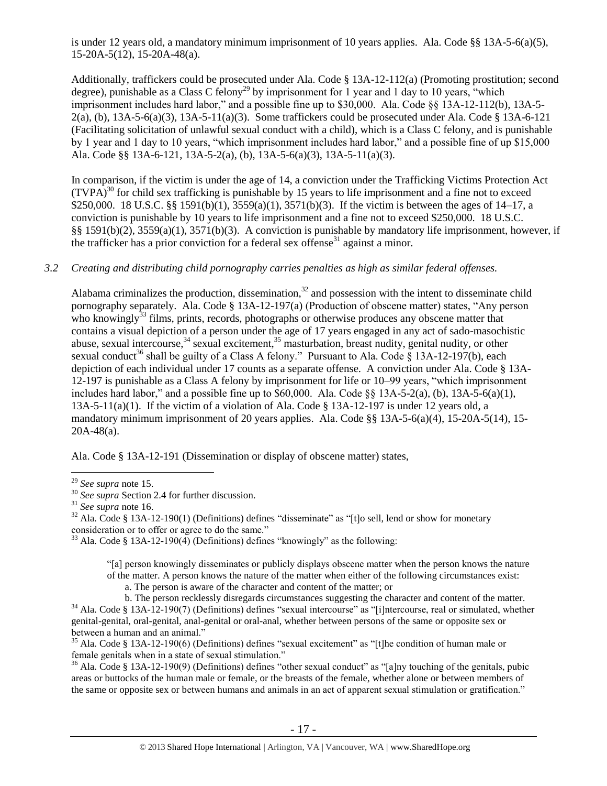is under 12 years old, a mandatory minimum imprisonment of 10 years applies. Ala. Code §§ 13A-5-6(a)(5), 15-20A-5(12), 15-20A-48(a).

Additionally, traffickers could be prosecuted under Ala. Code § 13A-12-112(a) (Promoting prostitution; second degree), punishable as a Class C felony<sup>29</sup> by imprisonment for 1 year and 1 day to 10 years, "which imprisonment includes hard labor," and a possible fine up to \$30,000. Ala. Code §§ 13A-12-112(b), 13A-5-  $2(a)$ , (b), 13A-5-6(a)(3), 13A-5-11(a)(3). Some traffickers could be prosecuted under Ala. Code § 13A-6-121 (Facilitating solicitation of unlawful sexual conduct with a child), which is a Class C felony, and is punishable by 1 year and 1 day to 10 years, "which imprisonment includes hard labor," and a possible fine of up \$15,000 Ala. Code §§ 13A-6-121, 13A-5-2(a), (b), 13A-5-6(a)(3), 13A-5-11(a)(3).

In comparison, if the victim is under the age of 14, a conviction under the Trafficking Victims Protection Act  $(TVPA)<sup>30</sup>$  for child sex trafficking is punishable by 15 years to life imprisonment and a fine not to exceed \$250,000. 18 U.S.C. §§ 1591(b)(1), 3559(a)(1), 3571(b)(3). If the victim is between the ages of 14–17, a conviction is punishable by 10 years to life imprisonment and a fine not to exceed \$250,000. 18 U.S.C. §§ 1591(b)(2), 3559(a)(1), 3571(b)(3). A conviction is punishable by mandatory life imprisonment, however, if the trafficker has a prior conviction for a federal sex offense<sup>31</sup> against a minor.

# *3.2 Creating and distributing child pornography carries penalties as high as similar federal offenses.*

<span id="page-16-4"></span><span id="page-16-3"></span><span id="page-16-2"></span><span id="page-16-1"></span><span id="page-16-0"></span>Alabama criminalizes the production, dissemination, $32$  and possession with the intent to disseminate child pornography separately. Ala. Code § 13A-12-197(a) (Production of obscene matter) states, "Any person who knowingly<sup>33</sup> films, prints, records, photographs or otherwise produces any obscene matter that contains a visual depiction of a person under the age of 17 years engaged in any act of sado-masochistic abuse, sexual intercourse,  $34$  sexual excitement,  $35$  masturbation, breast nudity, genital nudity, or other sexual conduct<sup>36</sup> shall be guilty of a Class A felony." Pursuant to Ala. Code § 13A-12-197(b), each depiction of each individual under 17 counts as a separate offense. A conviction under Ala. Code § 13A-12-197 is punishable as a Class A felony by imprisonment for life or 10–99 years, "which imprisonment includes hard labor," and a possible fine up to  $$60,000$ . Ala. Code  $\S$ § 13A-5-2(a), (b), 13A-5-6(a)(1), 13A-5-11(a)(1). If the victim of a violation of Ala. Code § 13A-12-197 is under 12 years old, a mandatory minimum imprisonment of 20 years applies. Ala. Code §§ 13A-5-6(a)(4), 15-20A-5(14), 15- 20A-48(a).

Ala. Code § 13A-12-191 (Dissemination or display of obscene matter) states,

 $\overline{a}$ 

 $33$  Ala. Code § 13A-12-190(4) (Definitions) defines "knowingly" as the following:

"[a] person knowingly disseminates or publicly displays obscene matter when the person knows the nature of the matter. A person knows the nature of the matter when either of the following circumstances exist:

b. The person recklessly disregards circumstances suggesting the character and content of the matter.

<sup>29</sup> *See supra* note [15.](#page-9-1)

<sup>30</sup> *See supra* Section 2.4 for further discussion.

<sup>31</sup> *See supra* note [16.](#page-9-2) 

 $32$  Ala. Code § 13A-12-190(1) (Definitions) defines "disseminate" as "[t]o sell, lend or show for monetary consideration or to offer or agree to do the same."

a. The person is aware of the character and content of the matter; or

<sup>&</sup>lt;sup>34</sup> Ala. Code § 13A-12-190(7) (Definitions) defines "sexual intercourse" as "[i]ntercourse, real or simulated, whether genital-genital, oral-genital, anal-genital or oral-anal, whether between persons of the same or opposite sex or between a human and an animal."

<sup>&</sup>lt;sup>35</sup> Ala. Code § 13A-12-190(6) (Definitions) defines "sexual excitement" as "[t]he condition of human male or female genitals when in a state of sexual stimulation."

 $36$  Ala. Code § 13A-12-190(9) (Definitions) defines "other sexual conduct" as "[a]ny touching of the genitals, pubic areas or buttocks of the human male or female, or the breasts of the female, whether alone or between members of the same or opposite sex or between humans and animals in an act of apparent sexual stimulation or gratification."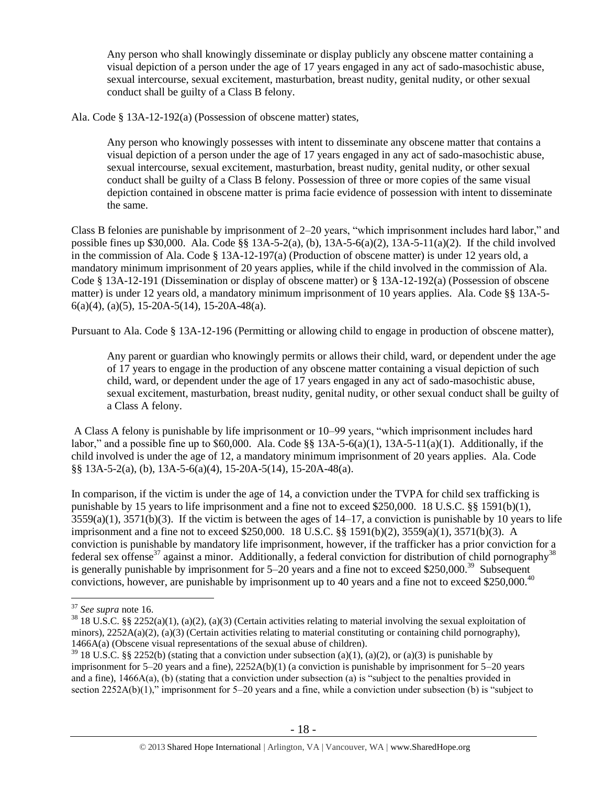Any person who shall knowingly disseminate or display publicly any obscene matter containing a visual depiction of a person under the age of 17 years engaged in any act of sado-masochistic abuse, sexual intercourse, sexual excitement, masturbation, breast nudity, genital nudity, or other sexual conduct shall be guilty of a Class B felony.

Ala. Code § 13A-12-192(a) (Possession of obscene matter) states,

Any person who knowingly possesses with intent to disseminate any obscene matter that contains a visual depiction of a person under the age of 17 years engaged in any act of sado-masochistic abuse, sexual intercourse, sexual excitement, masturbation, breast nudity, genital nudity, or other sexual conduct shall be guilty of a Class B felony. Possession of three or more copies of the same visual depiction contained in obscene matter is prima facie evidence of possession with intent to disseminate the same.

Class B felonies are punishable by imprisonment of 2–20 years, "which imprisonment includes hard labor," and possible fines up \$30,000. Ala. Code §§ 13A-5-2(a), (b), 13A-5-6(a)(2), 13A-5-11(a)(2). If the child involved in the commission of Ala. Code § 13A-12-197(a) (Production of obscene matter) is under 12 years old, a mandatory minimum imprisonment of 20 years applies, while if the child involved in the commission of Ala. Code § 13A-12-191 (Dissemination or display of obscene matter) or § 13A-12-192(a) (Possession of obscene matter) is under 12 years old, a mandatory minimum imprisonment of 10 years applies. Ala. Code §§ 13A-5-  $6(a)(4)$ ,  $(a)(5)$ , 15-20A-5(14), 15-20A-48(a).

Pursuant to Ala. Code § 13A-12-196 (Permitting or allowing child to engage in production of obscene matter),

Any parent or guardian who knowingly permits or allows their child, ward, or dependent under the age of 17 years to engage in the production of any obscene matter containing a visual depiction of such child, ward, or dependent under the age of 17 years engaged in any act of sado-masochistic abuse, sexual excitement, masturbation, breast nudity, genital nudity, or other sexual conduct shall be guilty of a Class A felony.

A Class A felony is punishable by life imprisonment or 10–99 years, "which imprisonment includes hard labor," and a possible fine up to  $$60,000$ . Ala. Code  $\$  13A-5-6(a)(1), 13A-5-11(a)(1). Additionally, if the child involved is under the age of 12, a mandatory minimum imprisonment of 20 years applies. Ala. Code §§ 13A-5-2(a), (b), 13A-5-6(a)(4), 15-20A-5(14), 15-20A-48(a).

In comparison, if the victim is under the age of 14, a conviction under the TVPA for child sex trafficking is punishable by 15 years to life imprisonment and a fine not to exceed \$250,000. 18 U.S.C. §§ 1591(b)(1),  $3559(a)(1)$ ,  $3571(b)(3)$ . If the victim is between the ages of  $14-17$ , a conviction is punishable by 10 years to life imprisonment and a fine not to exceed \$250,000. 18 U.S.C. §§ 1591(b)(2), 3559(a)(1), 3571(b)(3). A conviction is punishable by mandatory life imprisonment, however, if the trafficker has a prior conviction for a federal sex offense<sup>37</sup> against a minor. Additionally, a federal conviction for distribution of child pornography<sup>38</sup> is generally punishable by imprisonment for 5–20 years and a fine not to exceed \$250,000.<sup>39</sup> Subsequent convictions, however, are punishable by imprisonment up to 40 years and a fine not to exceed \$250,000.<sup>40</sup>

<sup>37</sup> *See supra* note [16.](#page-9-2) 

 $38\,18$  U.S.C. §§ 2252(a)(1), (a)(2), (a)(3) (Certain activities relating to material involving the sexual exploitation of minors),  $2252A(a)(2)$ , (a)(3) (Certain activities relating to material constituting or containing child pornography), 1466A(a) (Obscene visual representations of the sexual abuse of children).

 $39$  18 U.S.C. §§ 2252(b) (stating that a conviction under subsection (a)(1), (a)(2), or (a)(3) is punishable by imprisonment for 5–20 years and a fine), 2252A(b)(1) (a conviction is punishable by imprisonment for 5–20 years and a fine), 1466A(a), (b) (stating that a conviction under subsection (a) is "subject to the penalties provided in section 2252A(b)(1)," imprisonment for 5–20 years and a fine, while a conviction under subsection (b) is "subject to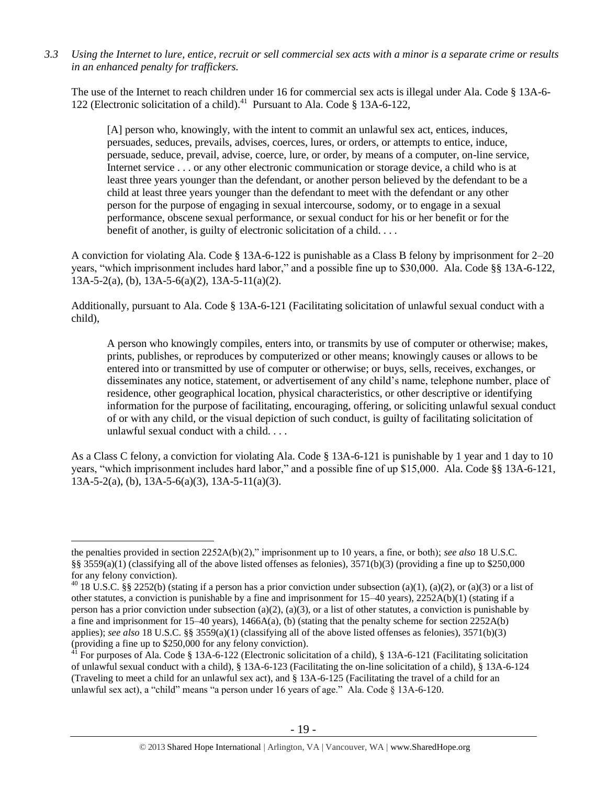*3.3 Using the Internet to lure, entice, recruit or sell commercial sex acts with a minor is a separate crime or results in an enhanced penalty for traffickers.*

The use of the Internet to reach children under 16 for commercial sex acts is illegal under Ala. Code § 13A-6- 122 (Electronic solicitation of a child).<sup>41</sup> Pursuant to Ala. Code § 13A-6-122,

[A] person who, knowingly, with the intent to commit an unlawful sex act, entices, induces, persuades, seduces, prevails, advises, coerces, lures, or orders, or attempts to entice, induce, persuade, seduce, prevail, advise, coerce, lure, or order, by means of a computer, on-line service, Internet service . . . or any other electronic communication or storage device, a child who is at least three years younger than the defendant, or another person believed by the defendant to be a child at least three years younger than the defendant to meet with the defendant or any other person for the purpose of engaging in sexual intercourse, sodomy, or to engage in a sexual performance, obscene sexual performance, or sexual conduct for his or her benefit or for the benefit of another, is guilty of electronic solicitation of a child. . . .

A conviction for violating Ala. Code § 13A-6-122 is punishable as a Class B felony by imprisonment for 2–20 years, "which imprisonment includes hard labor," and a possible fine up to \$30,000. Ala. Code §§ 13A-6-122,  $13A-5-2(a)$ , (b),  $13A-5-6(a)(2)$ ,  $13A-5-11(a)(2)$ .

Additionally, pursuant to Ala. Code § 13A-6-121 (Facilitating solicitation of unlawful sexual conduct with a child),

A person who knowingly compiles, enters into, or transmits by use of computer or otherwise; makes, prints, publishes, or reproduces by computerized or other means; knowingly causes or allows to be entered into or transmitted by use of computer or otherwise; or buys, sells, receives, exchanges, or disseminates any notice, statement, or advertisement of any child's name, telephone number, place of residence, other geographical location, physical characteristics, or other descriptive or identifying information for the purpose of facilitating, encouraging, offering, or soliciting unlawful sexual conduct of or with any child, or the visual depiction of such conduct, is guilty of facilitating solicitation of unlawful sexual conduct with a child. . . .

As a Class C felony, a conviction for violating Ala. Code § 13A-6-121 is punishable by 1 year and 1 day to 10 years, "which imprisonment includes hard labor," and a possible fine of up \$15,000. Ala. Code §§ 13A-6-121,  $13A-5-2(a)$ , (b),  $13A-5-6(a)(3)$ ,  $13A-5-11(a)(3)$ .

the penalties provided in section 2252A(b)(2)," imprisonment up to 10 years, a fine, or both); *see also* 18 U.S.C. §§ 3559(a)(1) (classifying all of the above listed offenses as felonies),  $3571(b)(3)$  (providing a fine up to \$250,000 for any felony conviction).

<sup>&</sup>lt;sup>40</sup> 18 U.S.C. §§ 2252(b) (stating if a person has a prior conviction under subsection (a)(1), (a)(2), or (a)(3) or a list of other statutes, a conviction is punishable by a fine and imprisonment for 15–40 years), 2252A(b)(1) (stating if a person has a prior conviction under subsection (a)(2), (a)(3), or a list of other statutes, a conviction is punishable by a fine and imprisonment for  $15-40$  years),  $1466A(a)$ , (b) (stating that the penalty scheme for section  $2252A(b)$ applies); *see also* 18 U.S.C. §§ 3559(a)(1) (classifying all of the above listed offenses as felonies), 3571(b)(3) (providing a fine up to \$250,000 for any felony conviction).

<sup>&</sup>lt;sup>41</sup> For purposes of Ala. Code § 13A-6-122 (Electronic solicitation of a child), § 13A-6-121 (Facilitating solicitation of unlawful sexual conduct with a child), § 13A-6-123 (Facilitating the on-line solicitation of a child), § 13A-6-124 (Traveling to meet a child for an unlawful sex act), and § 13A-6-125 (Facilitating the travel of a child for an unlawful sex act), a "child" means "a person under 16 years of age." Ala. Code § 13A-6-120.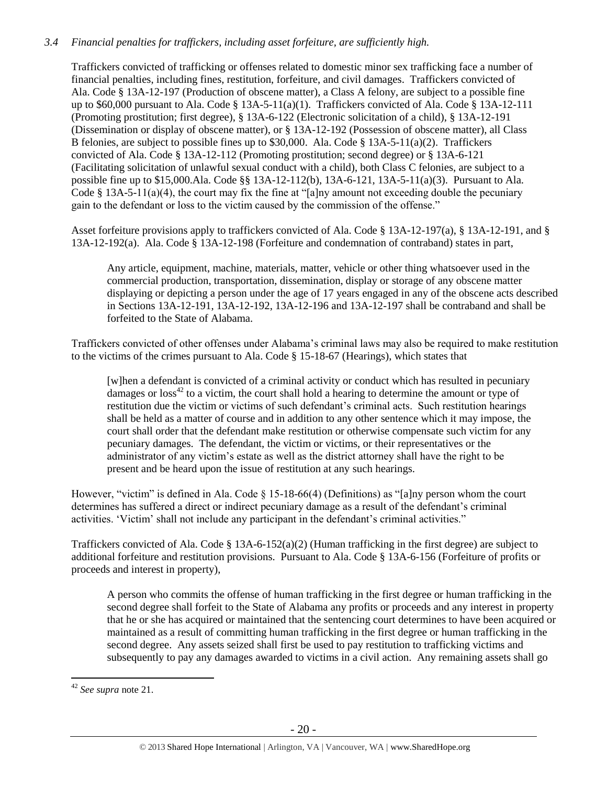# *3.4 Financial penalties for traffickers, including asset forfeiture, are sufficiently high.*

Traffickers convicted of trafficking or offenses related to domestic minor sex trafficking face a number of financial penalties, including fines, restitution, forfeiture, and civil damages. Traffickers convicted of Ala. Code § 13A-12-197 (Production of obscene matter), a Class A felony, are subject to a possible fine up to \$60,000 pursuant to Ala. Code § 13A-5-11(a)(1). Traffickers convicted of Ala. Code § 13A-12-111 (Promoting prostitution; first degree), § 13A-6-122 (Electronic solicitation of a child), § 13A-12-191 (Dissemination or display of obscene matter), or § 13A-12-192 (Possession of obscene matter), all Class B felonies, are subject to possible fines up to \$30,000. Ala. Code § 13A-5-11(a)(2). Traffickers convicted of Ala. Code § 13A-12-112 (Promoting prostitution; second degree) or § 13A-6-121 (Facilitating solicitation of unlawful sexual conduct with a child), both Class C felonies, are subject to a possible fine up to \$15,000.Ala. Code §§ 13A-12-112(b), 13A-6-121, 13A-5-11(a)(3). Pursuant to Ala. Code § 13A-5-11(a)(4), the court may fix the fine at "[a]ny amount not exceeding double the pecuniary gain to the defendant or loss to the victim caused by the commission of the offense."

Asset forfeiture provisions apply to traffickers convicted of Ala. Code § 13A-12-197(a), § 13A-12-191, and § 13A-12-192(a). Ala. Code § 13A-12-198 (Forfeiture and condemnation of contraband) states in part,

Any article, equipment, machine, materials, matter, vehicle or other thing whatsoever used in the commercial production, transportation, dissemination, display or storage of any obscene matter displaying or depicting a person under the age of 17 years engaged in any of the obscene acts described in Sections 13A-12-191, 13A-12-192, 13A-12-196 and 13A-12-197 shall be contraband and shall be forfeited to the State of Alabama.

Traffickers convicted of other offenses under Alabama's criminal laws may also be required to make restitution to the victims of the crimes pursuant to Ala. Code § 15-18-67 (Hearings), which states that

[w]hen a defendant is convicted of a criminal activity or conduct which has resulted in pecuniary damages or  $loss^{42}$  to a victim, the court shall hold a hearing to determine the amount or type of restitution due the victim or victims of such defendant's criminal acts. Such restitution hearings shall be held as a matter of course and in addition to any other sentence which it may impose, the court shall order that the defendant make restitution or otherwise compensate such victim for any pecuniary damages. The defendant, the victim or victims, or their representatives or the administrator of any victim's estate as well as the district attorney shall have the right to be present and be heard upon the issue of restitution at any such hearings.

However, "victim" is defined in Ala. Code § 15-18-66(4) (Definitions) as "[a]ny person whom the court determines has suffered a direct or indirect pecuniary damage as a result of the defendant's criminal activities. 'Victim' shall not include any participant in the defendant's criminal activities."

Traffickers convicted of Ala. Code  $\S 13A-6-152(a)(2)$  (Human trafficking in the first degree) are subject to additional forfeiture and restitution provisions. Pursuant to Ala. Code § 13A-6-156 (Forfeiture of profits or proceeds and interest in property),

A person who commits the offense of human trafficking in the first degree or human trafficking in the second degree shall forfeit to the State of Alabama any profits or proceeds and any interest in property that he or she has acquired or maintained that the sentencing court determines to have been acquired or maintained as a result of committing human trafficking in the first degree or human trafficking in the second degree. Any assets seized shall first be used to pay restitution to trafficking victims and subsequently to pay any damages awarded to victims in a civil action. Any remaining assets shall go

<sup>42</sup> *See supra* note [21.](#page-12-0)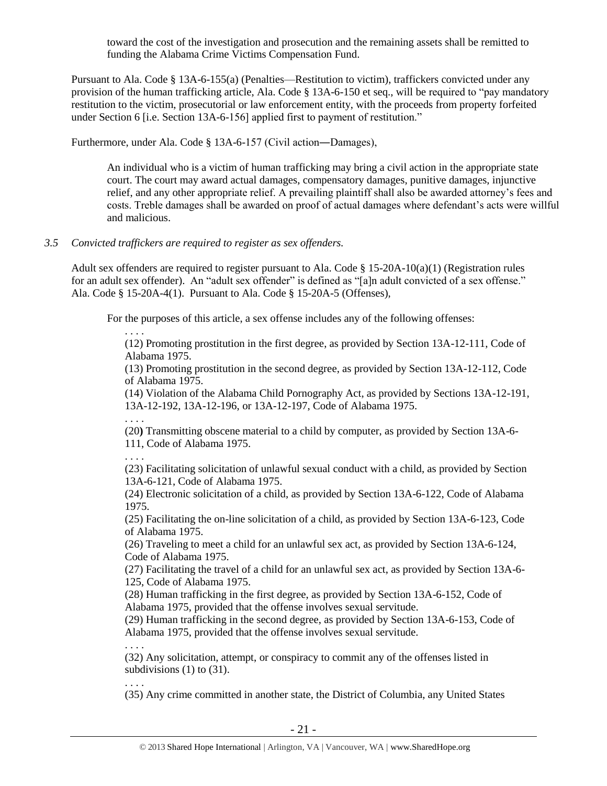toward the cost of the investigation and prosecution and the remaining assets shall be remitted to funding the Alabama Crime Victims Compensation Fund.

Pursuant to Ala. Code § 13A-6-155(a) (Penalties—Restitution to victim), traffickers convicted under any provision of the human trafficking article, Ala. Code § 13A-6-150 et seq., will be required to "pay mandatory restitution to the victim, prosecutorial or law enforcement entity, with the proceeds from property forfeited under Section 6 [i.e. Section 13A-6-156] applied first to payment of restitution."

Furthermore, under Ala. Code § 13A-6-157 (Civil action―Damages),

An individual who is a victim of human trafficking may bring a civil action in the appropriate state court. The court may award actual damages, compensatory damages, punitive damages, injunctive relief, and any other appropriate relief. A prevailing plaintiff shall also be awarded attorney's fees and costs. Treble damages shall be awarded on proof of actual damages where defendant's acts were willful and malicious.

# *3.5 Convicted traffickers are required to register as sex offenders.*

Adult sex offenders are required to register pursuant to Ala. Code § 15-20A-10(a)(1) (Registration rules for an adult sex offender). An "adult sex offender" is defined as "[a]n adult convicted of a sex offense." Ala. Code § 15-20A-4(1). Pursuant to Ala. Code § 15-20A-5 (Offenses),

For the purposes of this article, a sex offense includes any of the following offenses:

. . . . (12) Promoting prostitution in the first degree, as provided by Section 13A-12-111, Code of Alabama 1975.

(13) Promoting prostitution in the second degree, as provided by Section 13A-12-112, Code of Alabama 1975.

(14) Violation of the Alabama Child Pornography Act, as provided by Sections 13A-12-191, 13A-12-192, 13A-12-196, or 13A-12-197, Code of Alabama 1975.

. . . .

(20**)** Transmitting obscene material to a child by computer, as provided by Section 13A-6- 111, Code of Alabama 1975.

. . . .

. . . .

(23) Facilitating solicitation of unlawful sexual conduct with a child, as provided by Section 13A-6-121, Code of Alabama 1975.

(24) Electronic solicitation of a child, as provided by Section 13A-6-122, Code of Alabama 1975.

(25) Facilitating the on-line solicitation of a child, as provided by Section 13A-6-123, Code of Alabama 1975.

(26) Traveling to meet a child for an unlawful sex act, as provided by Section 13A-6-124, Code of Alabama 1975.

(27) Facilitating the travel of a child for an unlawful sex act, as provided by Section 13A-6- 125, Code of Alabama 1975.

(28) Human trafficking in the first degree, as provided by Section 13A-6-152, Code of Alabama 1975, provided that the offense involves sexual servitude.

(29) Human trafficking in the second degree, as provided by Section 13A-6-153, Code of Alabama 1975, provided that the offense involves sexual servitude.

(32) Any solicitation, attempt, or conspiracy to commit any of the offenses listed in subdivisions (1) to (31).

. . . . (35) Any crime committed in another state, the District of Columbia, any United States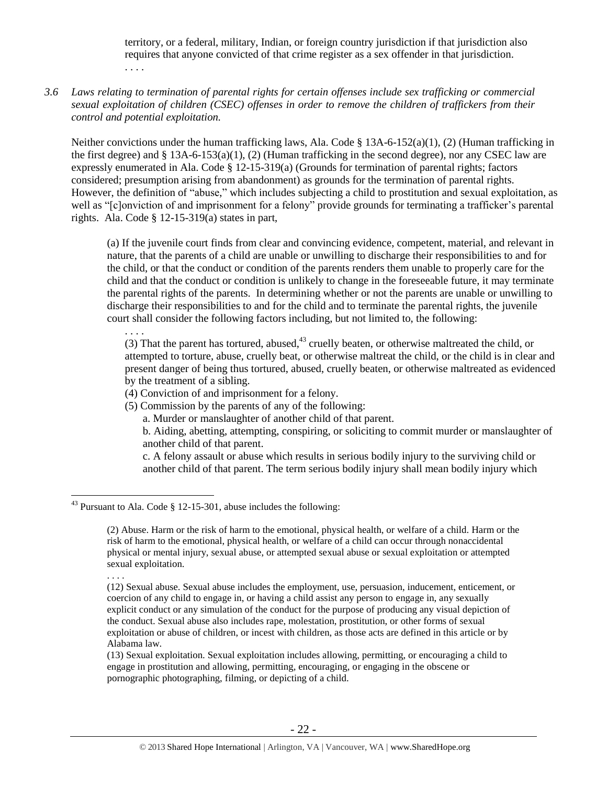territory, or a federal, military, Indian, or foreign country jurisdiction if that jurisdiction also requires that anyone convicted of that crime register as a sex offender in that jurisdiction. . . . .

### *3.6 Laws relating to termination of parental rights for certain offenses include sex trafficking or commercial sexual exploitation of children (CSEC) offenses in order to remove the children of traffickers from their control and potential exploitation.*

Neither convictions under the human trafficking laws, Ala. Code § 13A-6-152(a)(1), (2) (Human trafficking in the first degree) and  $\S$  13A-6-153(a)(1), (2) (Human trafficking in the second degree), nor any CSEC law are expressly enumerated in Ala. Code § 12-15-319(a) (Grounds for termination of parental rights; factors considered; presumption arising from abandonment) as grounds for the termination of parental rights. However, the definition of "abuse," which includes subjecting a child to prostitution and sexual exploitation, as well as "[c]onviction of and imprisonment for a felony" provide grounds for terminating a trafficker's parental rights. Ala. Code § 12-15-319(a) states in part,

(a) If the juvenile court finds from clear and convincing evidence, competent, material, and relevant in nature, that the parents of a child are unable or unwilling to discharge their responsibilities to and for the child, or that the conduct or condition of the parents renders them unable to properly care for the child and that the conduct or condition is unlikely to change in the foreseeable future, it may terminate the parental rights of the parents. In determining whether or not the parents are unable or unwilling to discharge their responsibilities to and for the child and to terminate the parental rights, the juvenile court shall consider the following factors including, but not limited to, the following:

. . . .

(3) That the parent has tortured, abused, $43$  cruelly beaten, or otherwise maltreated the child, or attempted to torture, abuse, cruelly beat, or otherwise maltreat the child, or the child is in clear and present danger of being thus tortured, abused, cruelly beaten, or otherwise maltreated as evidenced by the treatment of a sibling.

- (4) Conviction of and imprisonment for a felony.
- (5) Commission by the parents of any of the following:
	- a. Murder or manslaughter of another child of that parent.

b. Aiding, abetting, attempting, conspiring, or soliciting to commit murder or manslaughter of another child of that parent.

c. A felony assault or abuse which results in serious bodily injury to the surviving child or another child of that parent. The term serious bodily injury shall mean bodily injury which

. . . .

<sup>&</sup>lt;sup>43</sup> Pursuant to Ala. Code § 12-15-301, abuse includes the following:

<sup>(2)</sup> Abuse. Harm or the risk of harm to the emotional, physical health, or welfare of a child. Harm or the risk of harm to the emotional, physical health, or welfare of a child can occur through nonaccidental physical or mental injury, sexual abuse, or attempted sexual abuse or sexual exploitation or attempted sexual exploitation.

<sup>(12)</sup> Sexual abuse. Sexual abuse includes the employment, use, persuasion, inducement, enticement, or coercion of any child to engage in, or having a child assist any person to engage in, any sexually explicit conduct or any simulation of the conduct for the purpose of producing any visual depiction of the conduct. Sexual abuse also includes rape, molestation, prostitution, or other forms of sexual exploitation or abuse of children, or incest with children, as those acts are defined in this article or by Alabama law.

<sup>(13)</sup> Sexual exploitation. Sexual exploitation includes allowing, permitting, or encouraging a child to engage in prostitution and allowing, permitting, encouraging, or engaging in the obscene or pornographic photographing, filming, or depicting of a child.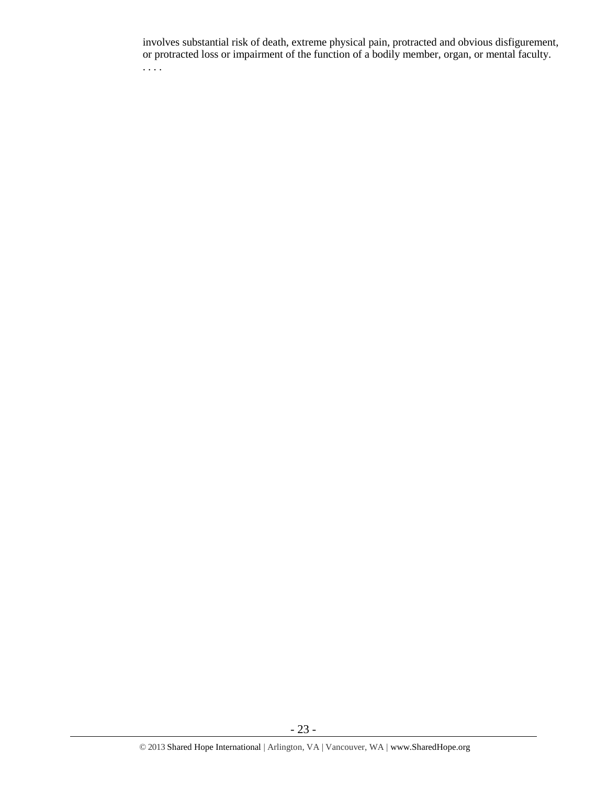involves substantial risk of death, extreme physical pain, protracted and obvious disfigurement, or protracted loss or impairment of the function of a bodily member, organ, or mental faculty. . . . .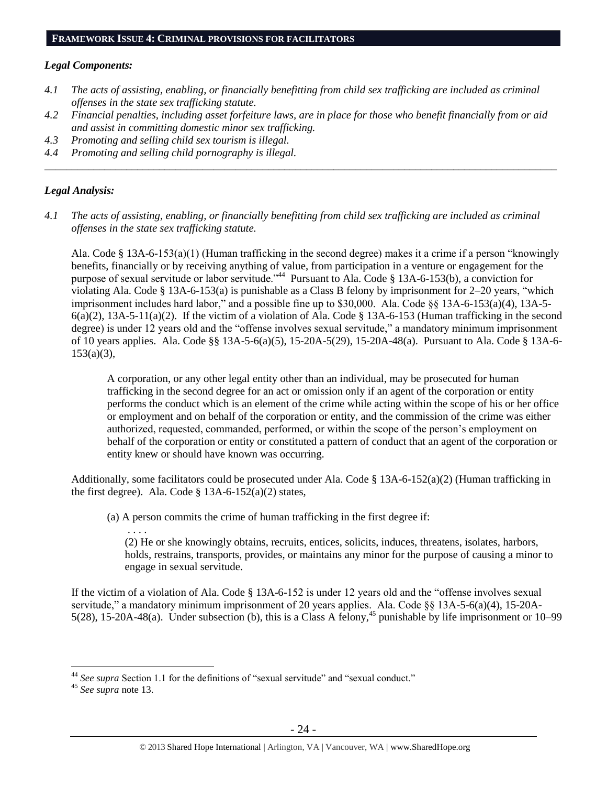### **FRAMEWORK ISSUE 4: CRIMINAL PROVISIONS FOR FACILITATORS**

### *Legal Components:*

- *4.1 The acts of assisting, enabling, or financially benefitting from child sex trafficking are included as criminal offenses in the state sex trafficking statute.*
- *4.2 Financial penalties, including asset forfeiture laws, are in place for those who benefit financially from or aid and assist in committing domestic minor sex trafficking.*

*\_\_\_\_\_\_\_\_\_\_\_\_\_\_\_\_\_\_\_\_\_\_\_\_\_\_\_\_\_\_\_\_\_\_\_\_\_\_\_\_\_\_\_\_\_\_\_\_\_\_\_\_\_\_\_\_\_\_\_\_\_\_\_\_\_\_\_\_\_\_\_\_\_\_\_\_\_\_\_\_\_\_\_\_\_\_\_\_\_\_\_\_\_\_*

- *4.3 Promoting and selling child sex tourism is illegal.*
- *4.4 Promoting and selling child pornography is illegal.*

### *Legal Analysis:*

*4.1 The acts of assisting, enabling, or financially benefitting from child sex trafficking are included as criminal offenses in the state sex trafficking statute.*

Ala. Code § 13A-6-153(a)(1) (Human trafficking in the second degree) makes it a crime if a person "knowingly benefits, financially or by receiving anything of value, from participation in a venture or engagement for the purpose of sexual servitude or labor servitude."<sup>44</sup> Pursuant to Ala. Code § 13A-6-153(b), a conviction for violating Ala. Code § 13A-6-153(a) is punishable as a Class B felony by imprisonment for 2–20 years, "which imprisonment includes hard labor," and a possible fine up to \$30,000. Ala. Code §§ 13A-6-153(a)(4), 13A-5-  $6(a)(2)$ , 13A-5-11(a)(2). If the victim of a violation of Ala. Code § 13A-6-153 (Human trafficking in the second degree) is under 12 years old and the "offense involves sexual servitude," a mandatory minimum imprisonment of 10 years applies. Ala. Code §§ 13A-5-6(a)(5), 15-20A-5(29), 15-20A-48(a). Pursuant to Ala. Code § 13A-6-  $153(a)(3)$ ,

A corporation, or any other legal entity other than an individual, may be prosecuted for human trafficking in the second degree for an act or omission only if an agent of the corporation or entity performs the conduct which is an element of the crime while acting within the scope of his or her office or employment and on behalf of the corporation or entity, and the commission of the crime was either authorized, requested, commanded, performed, or within the scope of the person's employment on behalf of the corporation or entity or constituted a pattern of conduct that an agent of the corporation or entity knew or should have known was occurring.

Additionally, some facilitators could be prosecuted under Ala. Code  $\S$  13A-6-152(a)(2) (Human trafficking in the first degree). Ala. Code  $\S$  13A-6-152(a)(2) states,

(a) A person commits the crime of human trafficking in the first degree if:

(2) He or she knowingly obtains, recruits, entices, solicits, induces, threatens, isolates, harbors, holds, restrains, transports, provides, or maintains any minor for the purpose of causing a minor to engage in sexual servitude.

If the victim of a violation of Ala. Code § 13A-6-152 is under 12 years old and the "offense involves sexual servitude," a mandatory minimum imprisonment of 20 years applies. Ala. Code §§ 13A-5-6(a)(4), 15-20A-5(28), 15-20A-48(a). Under subsection (b), this is a Class A felony,<sup>45</sup> punishable by life imprisonment or 10–99

. . . .

 $\overline{a}$ <sup>44</sup> *See supra* Section 1.1 for the definitions of "sexual servitude" and "sexual conduct."

<sup>45</sup> *See supra* note [13.](#page-8-0)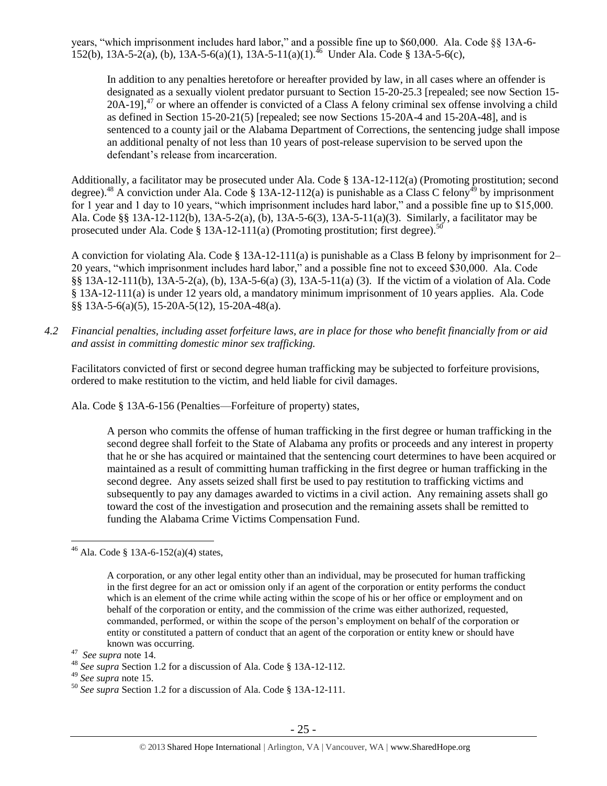years, "which imprisonment includes hard labor," and a possible fine up to \$60,000. Ala. Code §§ 13A-6- 152(b), 13A-5-2(a), (b), 13A-5-6(a)(1), 13A-5-11(a)(1).<sup>46</sup> Under Ala. Code § 13A-5-6(c),

In addition to any penalties heretofore or hereafter provided by law, in all cases where an offender is designated as a sexually violent predator pursuant to Section 15-20-25.3 [repealed; see now Section 15-  $20A-19$ ,<sup>47</sup> or where an offender is convicted of a Class A felony criminal sex offense involving a child as defined in Section 15-20-21(5) [repealed; see now Sections 15-20A-4 and 15-20A-48], and is sentenced to a county jail or the Alabama Department of Corrections, the sentencing judge shall impose an additional penalty of not less than 10 years of post-release supervision to be served upon the defendant's release from incarceration.

Additionally, a facilitator may be prosecuted under Ala. Code § 13A-12-112(a) (Promoting prostitution; second degree).<sup>48</sup> A conviction under Ala. Code § 13A-12-112(a) is punishable as a Class C felony<sup>49</sup> by imprisonment for 1 year and 1 day to 10 years, "which imprisonment includes hard labor," and a possible fine up to \$15,000. Ala. Code §§ 13A-12-112(b), 13A-5-2(a), (b), 13A-5-6(3), 13A-5-11(a)(3). Similarly, a facilitator may be prosecuted under Ala. Code § 13A-12-111(a) (Promoting prostitution; first degree).<sup>50</sup>

A conviction for violating Ala. Code § 13A-12-111(a) is punishable as a Class B felony by imprisonment for 2– 20 years, "which imprisonment includes hard labor," and a possible fine not to exceed \$30,000. Ala. Code §§ 13A-12-111(b), 13A-5-2(a), (b), 13A-5-6(a) (3), 13A-5-11(a) (3). If the victim of a violation of Ala. Code § 13A-12-111(a) is under 12 years old, a mandatory minimum imprisonment of 10 years applies. Ala. Code §§ 13A-5-6(a)(5), 15-20A-5(12), 15-20A-48(a).

*4.2 Financial penalties, including asset forfeiture laws, are in place for those who benefit financially from or aid and assist in committing domestic minor sex trafficking.*

Facilitators convicted of first or second degree human trafficking may be subjected to forfeiture provisions, ordered to make restitution to the victim, and held liable for civil damages.

Ala. Code § 13A-6-156 (Penalties—Forfeiture of property) states,

A person who commits the offense of human trafficking in the first degree or human trafficking in the second degree shall forfeit to the State of Alabama any profits or proceeds and any interest in property that he or she has acquired or maintained that the sentencing court determines to have been acquired or maintained as a result of committing human trafficking in the first degree or human trafficking in the second degree. Any assets seized shall first be used to pay restitution to trafficking victims and subsequently to pay any damages awarded to victims in a civil action. Any remaining assets shall go toward the cost of the investigation and prosecution and the remaining assets shall be remitted to funding the Alabama Crime Victims Compensation Fund.

<sup>&</sup>lt;sup>46</sup> Ala. Code § 13A-6-152(a)(4) states,

A corporation, or any other legal entity other than an individual, may be prosecuted for human trafficking in the first degree for an act or omission only if an agent of the corporation or entity performs the conduct which is an element of the crime while acting within the scope of his or her office or employment and on behalf of the corporation or entity, and the commission of the crime was either authorized, requested, commanded, performed, or within the scope of the person's employment on behalf of the corporation or entity or constituted a pattern of conduct that an agent of the corporation or entity knew or should have known was occurring.

<sup>47</sup> *See supra* note [14.](#page-9-0)

<sup>48</sup> *See supra* Section 1.2 for a discussion of Ala. Code § 13A-12-112.

<sup>49</sup> *See supra* note [15.](#page-9-1)

<sup>50</sup> *See supra* Section 1.2 for a discussion of Ala. Code § 13A-12-111.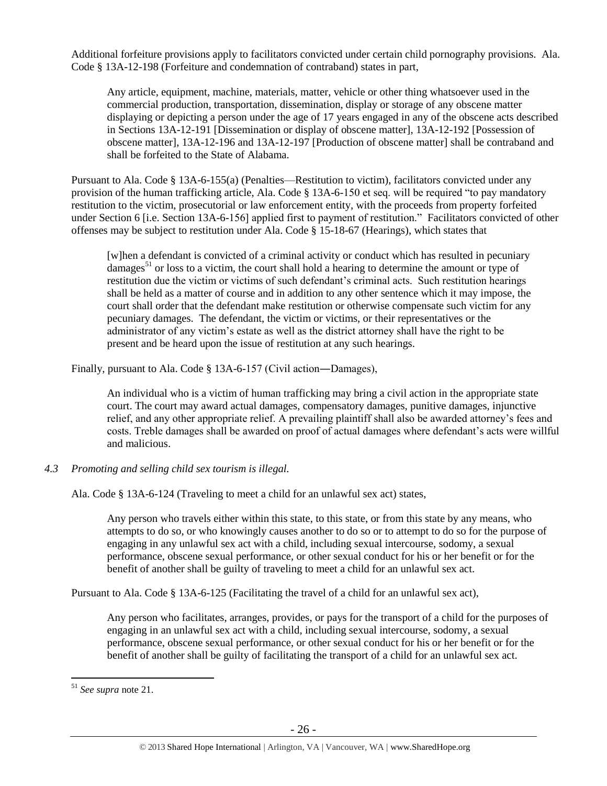Additional forfeiture provisions apply to facilitators convicted under certain child pornography provisions. Ala. Code § 13A-12-198 (Forfeiture and condemnation of contraband) states in part,

Any article, equipment, machine, materials, matter, vehicle or other thing whatsoever used in the commercial production, transportation, dissemination, display or storage of any obscene matter displaying or depicting a person under the age of 17 years engaged in any of the obscene acts described in Sections 13A-12-191 [Dissemination or display of obscene matter], 13A-12-192 [Possession of obscene matter], 13A-12-196 and 13A-12-197 [Production of obscene matter] shall be contraband and shall be forfeited to the State of Alabama.

Pursuant to Ala. Code § 13A-6-155(a) (Penalties—Restitution to victim), facilitators convicted under any provision of the human trafficking article, Ala. Code § 13A-6-150 et seq. will be required "to pay mandatory restitution to the victim, prosecutorial or law enforcement entity, with the proceeds from property forfeited under Section 6 [i.e. Section 13A-6-156] applied first to payment of restitution." Facilitators convicted of other offenses may be subject to restitution under Ala. Code § 15-18-67 (Hearings), which states that

[w]hen a defendant is convicted of a criminal activity or conduct which has resulted in pecuniary damages<sup>51</sup> or loss to a victim, the court shall hold a hearing to determine the amount or type of restitution due the victim or victims of such defendant's criminal acts. Such restitution hearings shall be held as a matter of course and in addition to any other sentence which it may impose, the court shall order that the defendant make restitution or otherwise compensate such victim for any pecuniary damages. The defendant, the victim or victims, or their representatives or the administrator of any victim's estate as well as the district attorney shall have the right to be present and be heard upon the issue of restitution at any such hearings.

Finally, pursuant to Ala. Code § 13A-6-157 (Civil action―Damages),

An individual who is a victim of human trafficking may bring a civil action in the appropriate state court. The court may award actual damages, compensatory damages, punitive damages, injunctive relief, and any other appropriate relief. A prevailing plaintiff shall also be awarded attorney's fees and costs. Treble damages shall be awarded on proof of actual damages where defendant's acts were willful and malicious.

*4.3 Promoting and selling child sex tourism is illegal.*

Ala. Code § 13A-6-124 (Traveling to meet a child for an unlawful sex act) states,

Any person who travels either within this state, to this state, or from this state by any means, who attempts to do so, or who knowingly causes another to do so or to attempt to do so for the purpose of engaging in any unlawful sex act with a child, including sexual intercourse, sodomy, a sexual performance, obscene sexual performance, or other sexual conduct for his or her benefit or for the benefit of another shall be guilty of traveling to meet a child for an unlawful sex act.

Pursuant to Ala. Code § 13A-6-125 (Facilitating the travel of a child for an unlawful sex act),

Any person who facilitates, arranges, provides, or pays for the transport of a child for the purposes of engaging in an unlawful sex act with a child, including sexual intercourse, sodomy, a sexual performance, obscene sexual performance, or other sexual conduct for his or her benefit or for the benefit of another shall be guilty of facilitating the transport of a child for an unlawful sex act.

<sup>51</sup> *See supra* note [21.](#page-12-0)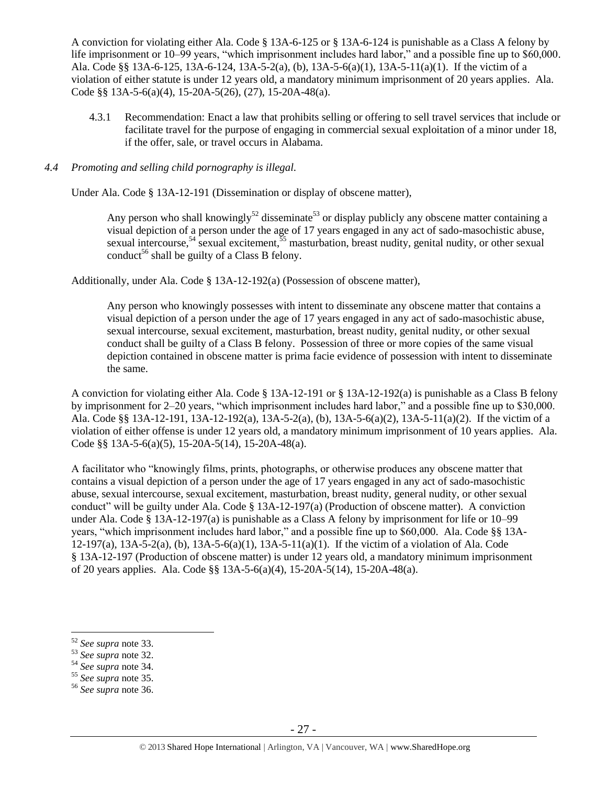A conviction for violating either Ala. Code § 13A-6-125 or § 13A-6-124 is punishable as a Class A felony by life imprisonment or 10–99 years, "which imprisonment includes hard labor," and a possible fine up to \$60,000. Ala. Code §§ 13A-6-125, 13A-6-124, 13A-5-2(a), (b), 13A-5-6(a)(1), 13A-5-11(a)(1). If the victim of a violation of either statute is under 12 years old, a mandatory minimum imprisonment of 20 years applies. Ala. Code §§ 13A-5-6(a)(4), 15-20A-5(26), (27), 15-20A-48(a).

4.3.1 Recommendation: Enact a law that prohibits selling or offering to sell travel services that include or facilitate travel for the purpose of engaging in commercial sexual exploitation of a minor under 18, if the offer, sale, or travel occurs in Alabama.

### *4.4 Promoting and selling child pornography is illegal.*

Under Ala. Code § 13A-12-191 (Dissemination or display of obscene matter),

Any person who shall knowingly<sup>52</sup> disseminate<sup>53</sup> or display publicly any obscene matter containing a visual depiction of a person under the age of 17 years engaged in any act of sado-masochistic abuse, sexual intercourse,<sup>54</sup> sexual excitement,  $55$  masturbation, breast nudity, genital nudity, or other sexual conduct<sup>56</sup> shall be guilty of a Class B felony.

Additionally, under Ala. Code § 13A-12-192(a) (Possession of obscene matter),

Any person who knowingly possesses with intent to disseminate any obscene matter that contains a visual depiction of a person under the age of 17 years engaged in any act of sado-masochistic abuse, sexual intercourse, sexual excitement, masturbation, breast nudity, genital nudity, or other sexual conduct shall be guilty of a Class B felony. Possession of three or more copies of the same visual depiction contained in obscene matter is prima facie evidence of possession with intent to disseminate the same.

A conviction for violating either Ala. Code § 13A-12-191 or § 13A-12-192(a) is punishable as a Class B felony by imprisonment for 2–20 years, "which imprisonment includes hard labor," and a possible fine up to \$30,000. Ala. Code §§ 13A-12-191, 13A-12-192(a), 13A-5-2(a), (b), 13A-5-6(a)(2), 13A-5-11(a)(2). If the victim of a violation of either offense is under 12 years old, a mandatory minimum imprisonment of 10 years applies. Ala. Code §§ 13A-5-6(a)(5), 15-20A-5(14), 15-20A-48(a).

A facilitator who "knowingly films, prints, photographs, or otherwise produces any obscene matter that contains a visual depiction of a person under the age of 17 years engaged in any act of sado-masochistic abuse, sexual intercourse, sexual excitement, masturbation, breast nudity, general nudity, or other sexual conduct" will be guilty under Ala. Code § 13A-12-197(a) (Production of obscene matter). A conviction under Ala. Code § 13A-12-197(a) is punishable as a Class A felony by imprisonment for life or 10–99 years, "which imprisonment includes hard labor," and a possible fine up to \$60,000. Ala. Code §§ 13A-12-197(a), 13A-5-2(a), (b), 13A-5-6(a)(1), 13A-5-11(a)(1). If the victim of a violation of Ala. Code § 13A-12-197 (Production of obscene matter) is under 12 years old, a mandatory minimum imprisonment of 20 years applies. Ala. Code §§ 13A-5-6(a)(4), 15-20A-5(14), 15-20A-48(a).

<sup>52</sup> *See supra* note [33.](#page-16-0) 

<sup>53</sup> *See supra* note [32.](#page-16-1) 

<sup>54</sup> *See supra* note [34.](#page-16-2) 

<sup>55</sup> *See supra* note [35.](#page-16-3)

<sup>56</sup> *See supra* note [36.](#page-16-4)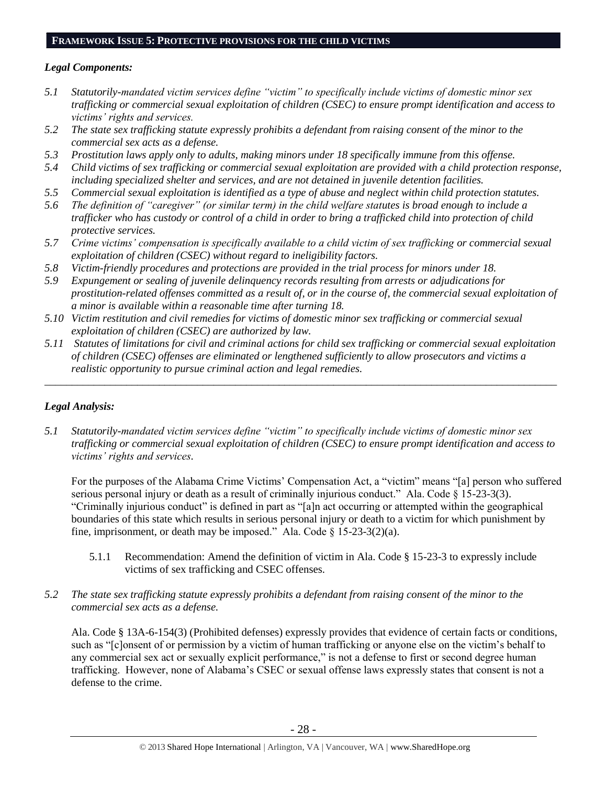### **FRAMEWORK ISSUE 5: PROTECTIVE PROVISIONS FOR THE CHILD VICTIMS**

# *Legal Components:*

- *5.1 Statutorily-mandated victim services define "victim" to specifically include victims of domestic minor sex trafficking or commercial sexual exploitation of children (CSEC) to ensure prompt identification and access to victims' rights and services.*
- *5.2 The state sex trafficking statute expressly prohibits a defendant from raising consent of the minor to the commercial sex acts as a defense.*
- *5.3 Prostitution laws apply only to adults, making minors under 18 specifically immune from this offense.*
- *5.4 Child victims of sex trafficking or commercial sexual exploitation are provided with a child protection response, including specialized shelter and services, and are not detained in juvenile detention facilities.*
- *5.5 Commercial sexual exploitation is identified as a type of abuse and neglect within child protection statutes.*
- *5.6 The definition of "caregiver" (or similar term) in the child welfare statutes is broad enough to include a*  trafficker who has custody or control of a child in order to bring a trafficked child into protection of child *protective services.*
- *5.7 Crime victims' compensation is specifically available to a child victim of sex trafficking or commercial sexual exploitation of children (CSEC) without regard to ineligibility factors.*
- *5.8 Victim-friendly procedures and protections are provided in the trial process for minors under 18.*
- *5.9 Expungement or sealing of juvenile delinquency records resulting from arrests or adjudications for prostitution-related offenses committed as a result of, or in the course of, the commercial sexual exploitation of a minor is available within a reasonable time after turning 18.*
- *5.10 Victim restitution and civil remedies for victims of domestic minor sex trafficking or commercial sexual exploitation of children (CSEC) are authorized by law.*
- *5.11 Statutes of limitations for civil and criminal actions for child sex trafficking or commercial sexual exploitation of children (CSEC) offenses are eliminated or lengthened sufficiently to allow prosecutors and victims a realistic opportunity to pursue criminal action and legal remedies.*

*\_\_\_\_\_\_\_\_\_\_\_\_\_\_\_\_\_\_\_\_\_\_\_\_\_\_\_\_\_\_\_\_\_\_\_\_\_\_\_\_\_\_\_\_\_\_\_\_\_\_\_\_\_\_\_\_\_\_\_\_\_\_\_\_\_\_\_\_\_\_\_\_\_\_\_\_\_\_\_\_\_\_\_\_\_\_\_\_\_\_\_\_\_\_*

# *Legal Analysis:*

*5.1 Statutorily-mandated victim services define "victim" to specifically include victims of domestic minor sex trafficking or commercial sexual exploitation of children (CSEC) to ensure prompt identification and access to victims' rights and services.*

For the purposes of the Alabama Crime Victims' Compensation Act, a "victim" means "[a] person who suffered serious personal injury or death as a result of criminally injurious conduct." Ala. Code § 15-23-3(3). "Criminally injurious conduct" is defined in part as "[a]n act occurring or attempted within the geographical boundaries of this state which results in serious personal injury or death to a victim for which punishment by fine, imprisonment, or death may be imposed." Ala. Code  $\S$  15-23-3(2)(a).

- 5.1.1 Recommendation: Amend the definition of victim in Ala. Code § 15-23-3 to expressly include victims of sex trafficking and CSEC offenses.
- *5.2 The state sex trafficking statute expressly prohibits a defendant from raising consent of the minor to the commercial sex acts as a defense.*

Ala. Code § 13A-6-154(3) (Prohibited defenses) expressly provides that evidence of certain facts or conditions, such as "[c]onsent of or permission by a victim of human trafficking or anyone else on the victim's behalf to any commercial sex act or sexually explicit performance," is not a defense to first or second degree human trafficking. However, none of Alabama's CSEC or sexual offense laws expressly states that consent is not a defense to the crime.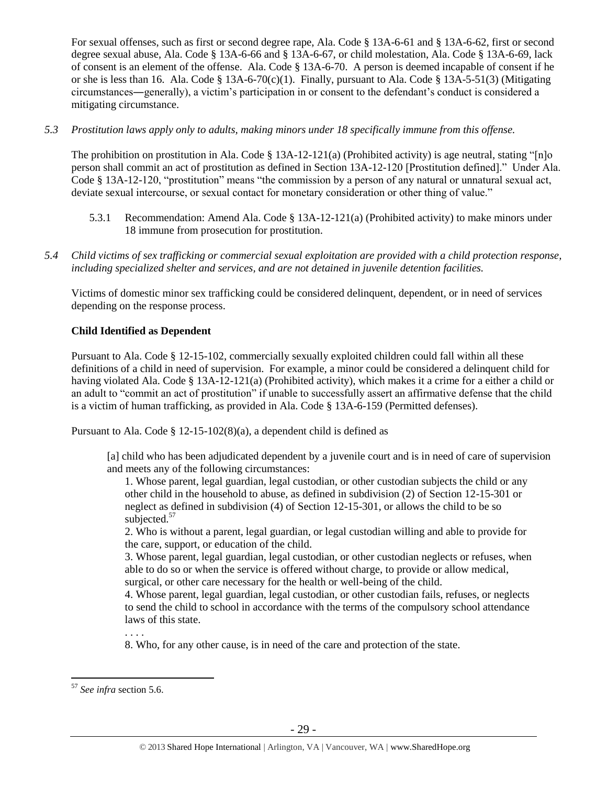For sexual offenses, such as first or second degree rape, Ala. Code § 13A-6-61 and § 13A-6-62, first or second degree sexual abuse, Ala. Code § 13A-6-66 and § 13A-6-67, or child molestation, Ala. Code § 13A-6-69, lack of consent is an element of the offense. Ala. Code § 13A-6-70. A person is deemed incapable of consent if he or she is less than 16. Ala. Code § 13A-6-70(c)(1). Finally, pursuant to Ala. Code § 13A-5-51(3) (Mitigating circumstances―generally), a victim's participation in or consent to the defendant's conduct is considered a mitigating circumstance.

# *5.3 Prostitution laws apply only to adults, making minors under 18 specifically immune from this offense.*

The prohibition on prostitution in Ala. Code  $\S$  13A-12-121(a) (Prohibited activity) is age neutral, stating "[n]o person shall commit an act of prostitution as defined in Section 13A-12-120 [Prostitution defined]." Under Ala. Code § 13A-12-120, "prostitution" means "the commission by a person of any natural or unnatural sexual act, deviate sexual intercourse, or sexual contact for monetary consideration or other thing of value."

- 5.3.1 Recommendation: Amend Ala. Code § 13A-12-121(a) (Prohibited activity) to make minors under 18 immune from prosecution for prostitution.
- *5.4 Child victims of sex trafficking or commercial sexual exploitation are provided with a child protection response, including specialized shelter and services, and are not detained in juvenile detention facilities.*

Victims of domestic minor sex trafficking could be considered delinquent, dependent, or in need of services depending on the response process.

# **Child Identified as Dependent**

Pursuant to Ala. Code § 12-15-102, commercially sexually exploited children could fall within all these definitions of a child in need of supervision. For example, a minor could be considered a delinquent child for having violated Ala. Code § 13A-12-121(a) (Prohibited activity), which makes it a crime for a either a child or an adult to "commit an act of prostitution" if unable to successfully assert an affirmative defense that the child is a victim of human trafficking, as provided in Ala. Code § 13A-6-159 (Permitted defenses).

Pursuant to Ala. Code § 12-15-102(8)(a), a dependent child is defined as

[a] child who has been adjudicated dependent by a juvenile court and is in need of care of supervision and meets any of the following circumstances:

1. Whose parent, legal guardian, legal custodian, or other custodian subjects the child or any other child in the household to abuse, as defined in subdivision (2) of Section 12-15-301 or neglect as defined in subdivision (4) of Section 12-15-301, or allows the child to be so subjected.<sup>57</sup>

2. Who is without a parent, legal guardian, or legal custodian willing and able to provide for the care, support, or education of the child.

3. Whose parent, legal guardian, legal custodian, or other custodian neglects or refuses, when able to do so or when the service is offered without charge, to provide or allow medical, surgical, or other care necessary for the health or well-being of the child.

4. Whose parent, legal guardian, legal custodian, or other custodian fails, refuses, or neglects to send the child to school in accordance with the terms of the compulsory school attendance laws of this state.

. . . .

8. Who, for any other cause, is in need of the care and protection of the state.

<sup>57</sup> *See infra* section 5.6.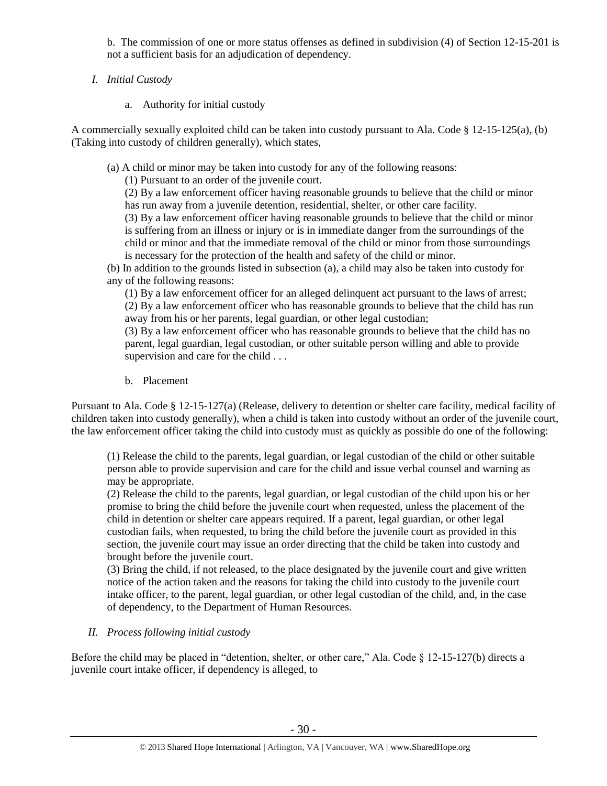b. The commission of one or more status offenses as defined in subdivision (4) of Section 12-15-201 is not a sufficient basis for an adjudication of dependency.

- *I. Initial Custody*
	- a. Authority for initial custody

A commercially sexually exploited child can be taken into custody pursuant to Ala. Code § 12-15-125(a), (b) (Taking into custody of children generally), which states,

(a) A child or minor may be taken into custody for any of the following reasons:

(1) Pursuant to an order of the juvenile court.

(2) By a law enforcement officer having reasonable grounds to believe that the child or minor has run away from a juvenile detention, residential, shelter, or other care facility.

(3) By a law enforcement officer having reasonable grounds to believe that the child or minor is suffering from an illness or injury or is in immediate danger from the surroundings of the child or minor and that the immediate removal of the child or minor from those surroundings is necessary for the protection of the health and safety of the child or minor.

(b) In addition to the grounds listed in subsection (a), a child may also be taken into custody for any of the following reasons:

(1) By a law enforcement officer for an alleged delinquent act pursuant to the laws of arrest; (2) By a law enforcement officer who has reasonable grounds to believe that the child has run away from his or her parents, legal guardian, or other legal custodian;

(3) By a law enforcement officer who has reasonable grounds to believe that the child has no parent, legal guardian, legal custodian, or other suitable person willing and able to provide supervision and care for the child . . .

b. Placement

Pursuant to Ala. Code § 12-15-127(a) (Release, delivery to detention or shelter care facility, medical facility of children taken into custody generally), when a child is taken into custody without an order of the juvenile court, the law enforcement officer taking the child into custody must as quickly as possible do one of the following:

(1) Release the child to the parents, legal guardian, or legal custodian of the child or other suitable person able to provide supervision and care for the child and issue verbal counsel and warning as may be appropriate.

(2) Release the child to the parents, legal guardian, or legal custodian of the child upon his or her promise to bring the child before the juvenile court when requested, unless the placement of the child in detention or shelter care appears required. If a parent, legal guardian, or other legal custodian fails, when requested, to bring the child before the juvenile court as provided in this section, the juvenile court may issue an order directing that the child be taken into custody and brought before the juvenile court.

(3) Bring the child, if not released, to the place designated by the juvenile court and give written notice of the action taken and the reasons for taking the child into custody to the juvenile court intake officer, to the parent, legal guardian, or other legal custodian of the child, and, in the case of dependency, to the Department of Human Resources.

# *II. Process following initial custody*

Before the child may be placed in "detention, shelter, or other care," Ala. Code  $\S$  12-15-127(b) directs a juvenile court intake officer, if dependency is alleged, to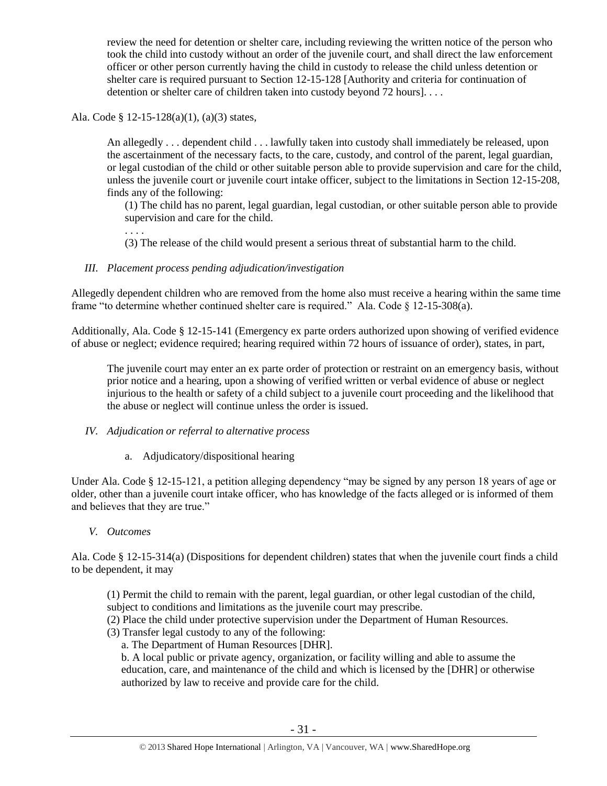review the need for detention or shelter care, including reviewing the written notice of the person who took the child into custody without an order of the juvenile court, and shall direct the law enforcement officer or other person currently having the child in custody to release the child unless detention or shelter care is required pursuant to Section 12-15-128 [Authority and criteria for continuation of detention or shelter care of children taken into custody beyond 72 hours]...

Ala. Code § 12-15-128(a)(1), (a)(3) states,

. . . .

An allegedly . . . dependent child . . . lawfully taken into custody shall immediately be released, upon the ascertainment of the necessary facts, to the care, custody, and control of the parent, legal guardian, or legal custodian of the child or other suitable person able to provide supervision and care for the child, unless the juvenile court or juvenile court intake officer, subject to the limitations in Section 12-15-208, finds any of the following:

(1) The child has no parent, legal guardian, legal custodian, or other suitable person able to provide supervision and care for the child.

(3) The release of the child would present a serious threat of substantial harm to the child.

# *III. Placement process pending adjudication/investigation*

Allegedly dependent children who are removed from the home also must receive a hearing within the same time frame "to determine whether continued shelter care is required." Ala. Code § 12-15-308(a).

Additionally, Ala. Code § 12-15-141 (Emergency ex parte orders authorized upon showing of verified evidence of abuse or neglect; evidence required; hearing required within 72 hours of issuance of order), states, in part,

The juvenile court may enter an ex parte order of protection or restraint on an emergency basis, without prior notice and a hearing, upon a showing of verified written or verbal evidence of abuse or neglect injurious to the health or safety of a child subject to a juvenile court proceeding and the likelihood that the abuse or neglect will continue unless the order is issued.

# *IV. Adjudication or referral to alternative process*

a. Adjudicatory/dispositional hearing

Under Ala. Code § 12-15-121, a petition alleging dependency "may be signed by any person 18 years of age or older, other than a juvenile court intake officer, who has knowledge of the facts alleged or is informed of them and believes that they are true."

# *V. Outcomes*

Ala. Code § 12-15-314(a) (Dispositions for dependent children) states that when the juvenile court finds a child to be dependent, it may

(1) Permit the child to remain with the parent, legal guardian, or other legal custodian of the child, subject to conditions and limitations as the juvenile court may prescribe.

- (2) Place the child under protective supervision under the Department of Human Resources.
- (3) Transfer legal custody to any of the following:
	- a. The Department of Human Resources [DHR].

b. A local public or private agency, organization, or facility willing and able to assume the education, care, and maintenance of the child and which is licensed by the [DHR] or otherwise authorized by law to receive and provide care for the child.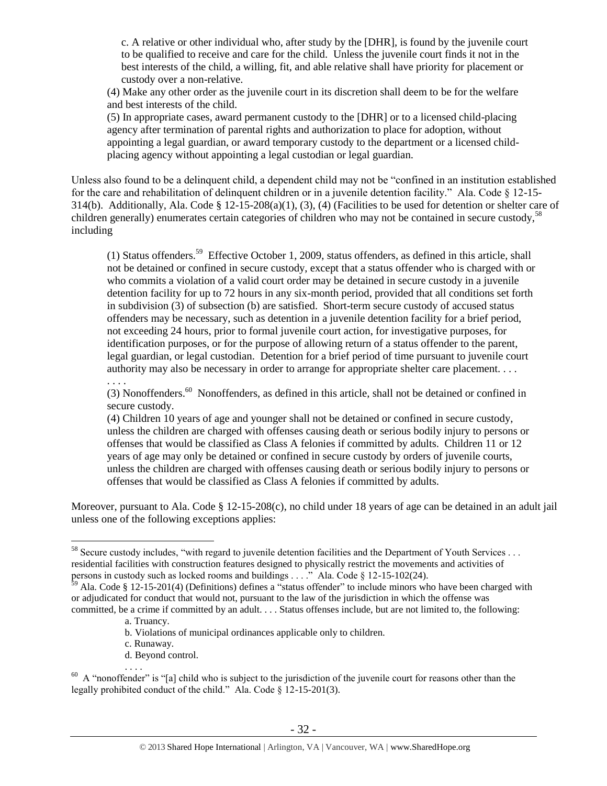c. A relative or other individual who, after study by the [DHR], is found by the juvenile court to be qualified to receive and care for the child. Unless the juvenile court finds it not in the best interests of the child, a willing, fit, and able relative shall have priority for placement or custody over a non-relative.

(4) Make any other order as the juvenile court in its discretion shall deem to be for the welfare and best interests of the child.

(5) In appropriate cases, award permanent custody to the [DHR] or to a licensed child-placing agency after termination of parental rights and authorization to place for adoption, without appointing a legal guardian, or award temporary custody to the department or a licensed childplacing agency without appointing a legal custodian or legal guardian.

Unless also found to be a delinquent child, a dependent child may not be "confined in an institution established for the care and rehabilitation of delinquent children or in a juvenile detention facility." Ala. Code § 12-15- 314(b). Additionally, Ala. Code §  $12-15-208(a)(1)$ , (3), (4) (Facilities to be used for detention or shelter care of children generally) enumerates certain categories of children who may not be contained in secure custody,<sup>58</sup> including

(1) Status offenders.<sup>59</sup> Effective October 1, 2009, status offenders, as defined in this article, shall not be detained or confined in secure custody, except that a status offender who is charged with or who commits a violation of a valid court order may be detained in secure custody in a juvenile detention facility for up to 72 hours in any six-month period, provided that all conditions set forth in subdivision (3) of subsection (b) are satisfied. Short-term secure custody of accused status offenders may be necessary, such as detention in a juvenile detention facility for a brief period, not exceeding 24 hours, prior to formal juvenile court action, for investigative purposes, for identification purposes, or for the purpose of allowing return of a status offender to the parent, legal guardian, or legal custodian. Detention for a brief period of time pursuant to juvenile court authority may also be necessary in order to arrange for appropriate shelter care placement. . . .

(3) Nonoffenders.<sup>60</sup> Nonoffenders, as defined in this article, shall not be detained or confined in secure custody.

(4) Children 10 years of age and younger shall not be detained or confined in secure custody, unless the children are charged with offenses causing death or serious bodily injury to persons or offenses that would be classified as Class A felonies if committed by adults. Children 11 or 12 years of age may only be detained or confined in secure custody by orders of juvenile courts, unless the children are charged with offenses causing death or serious bodily injury to persons or offenses that would be classified as Class A felonies if committed by adults.

Moreover, pursuant to Ala. Code § 12-15-208(c), no child under 18 years of age can be detained in an adult jail unless one of the following exceptions applies:

. . . .

. . . .

- b. Violations of municipal ordinances applicable only to children.
- c. Runaway.
- d. Beyond control.

<sup>&</sup>lt;sup>58</sup> Secure custody includes, "with regard to juvenile detention facilities and the Department of Youth Services ... residential facilities with construction features designed to physically restrict the movements and activities of persons in custody such as locked rooms and buildings . . . ." Ala. Code § 12-15-102(24).

 $\frac{59}{2}$  Ala. Code § 12-15-201(4) (Definitions) defines a "status offender" to include minors who have been charged with or adjudicated for conduct that would not, pursuant to the law of the jurisdiction in which the offense was committed, be a crime if committed by an adult. . . . Status offenses include, but are not limited to, the following:

a. Truancy.

 $60$  A "nonoffender" is "[a] child who is subject to the jurisdiction of the juvenile court for reasons other than the legally prohibited conduct of the child." Ala. Code § 12-15-201(3).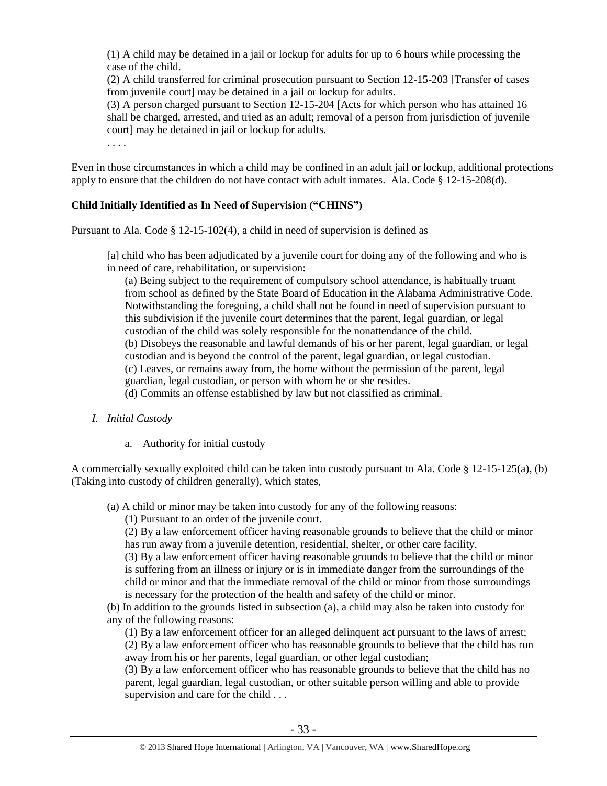(1) A child may be detained in a jail or lockup for adults for up to 6 hours while processing the case of the child.

(2) A child transferred for criminal prosecution pursuant to Section 12-15-203 [Transfer of cases from juvenile court] may be detained in a jail or lockup for adults.

(3) A person charged pursuant to Section 12-15-204 [Acts for which person who has attained 16 shall be charged, arrested, and tried as an adult; removal of a person from jurisdiction of juvenile court] may be detained in jail or lockup for adults.

. . . .

Even in those circumstances in which a child may be confined in an adult jail or lockup, additional protections apply to ensure that the children do not have contact with adult inmates. Ala. Code § 12-15-208(d).

# **Child Initially Identified as In Need of Supervision ("CHINS")**

Pursuant to Ala. Code § 12-15-102(4), a child in need of supervision is defined as

[a] child who has been adjudicated by a juvenile court for doing any of the following and who is in need of care, rehabilitation, or supervision:

(a) Being subject to the requirement of compulsory school attendance, is habitually truant from school as defined by the State Board of Education in the Alabama Administrative Code. Notwithstanding the foregoing, a child shall not be found in need of supervision pursuant to this subdivision if the juvenile court determines that the parent, legal guardian, or legal custodian of the child was solely responsible for the nonattendance of the child. (b) Disobeys the reasonable and lawful demands of his or her parent, legal guardian, or legal custodian and is beyond the control of the parent, legal guardian, or legal custodian. (c) Leaves, or remains away from, the home without the permission of the parent, legal guardian, legal custodian, or person with whom he or she resides.

(d) Commits an offense established by law but not classified as criminal.

- *I. Initial Custody*
	- a. Authority for initial custody

A commercially sexually exploited child can be taken into custody pursuant to Ala. Code  $\S$  12-15-125(a), (b) (Taking into custody of children generally), which states,

(a) A child or minor may be taken into custody for any of the following reasons:

(1) Pursuant to an order of the juvenile court.

(2) By a law enforcement officer having reasonable grounds to believe that the child or minor has run away from a juvenile detention, residential, shelter, or other care facility.

(3) By a law enforcement officer having reasonable grounds to believe that the child or minor is suffering from an illness or injury or is in immediate danger from the surroundings of the child or minor and that the immediate removal of the child or minor from those surroundings is necessary for the protection of the health and safety of the child or minor.

(b) In addition to the grounds listed in subsection (a), a child may also be taken into custody for any of the following reasons:

(1) By a law enforcement officer for an alleged delinquent act pursuant to the laws of arrest; (2) By a law enforcement officer who has reasonable grounds to believe that the child has run away from his or her parents, legal guardian, or other legal custodian;

(3) By a law enforcement officer who has reasonable grounds to believe that the child has no parent, legal guardian, legal custodian, or other suitable person willing and able to provide supervision and care for the child . . .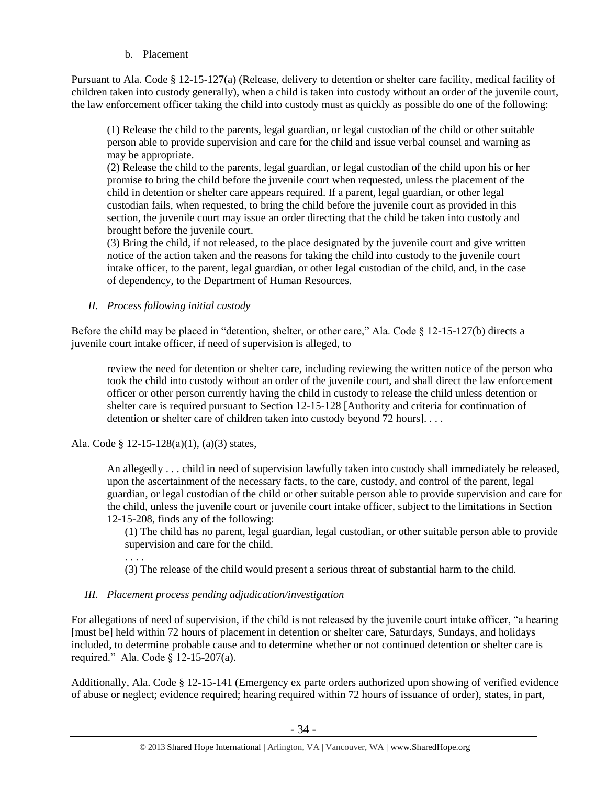### b. Placement

Pursuant to Ala. Code § 12-15-127(a) (Release, delivery to detention or shelter care facility, medical facility of children taken into custody generally), when a child is taken into custody without an order of the juvenile court, the law enforcement officer taking the child into custody must as quickly as possible do one of the following:

(1) Release the child to the parents, legal guardian, or legal custodian of the child or other suitable person able to provide supervision and care for the child and issue verbal counsel and warning as may be appropriate.

(2) Release the child to the parents, legal guardian, or legal custodian of the child upon his or her promise to bring the child before the juvenile court when requested, unless the placement of the child in detention or shelter care appears required. If a parent, legal guardian, or other legal custodian fails, when requested, to bring the child before the juvenile court as provided in this section, the juvenile court may issue an order directing that the child be taken into custody and brought before the juvenile court.

(3) Bring the child, if not released, to the place designated by the juvenile court and give written notice of the action taken and the reasons for taking the child into custody to the juvenile court intake officer, to the parent, legal guardian, or other legal custodian of the child, and, in the case of dependency, to the Department of Human Resources.

### *II. Process following initial custody*

Before the child may be placed in "detention, shelter, or other care," Ala. Code § 12-15-127(b) directs a juvenile court intake officer, if need of supervision is alleged, to

review the need for detention or shelter care, including reviewing the written notice of the person who took the child into custody without an order of the juvenile court, and shall direct the law enforcement officer or other person currently having the child in custody to release the child unless detention or shelter care is required pursuant to Section 12-15-128 [Authority and criteria for continuation of detention or shelter care of children taken into custody beyond 72 hours]...

Ala. Code § 12-15-128(a)(1), (a)(3) states,

An allegedly . . . child in need of supervision lawfully taken into custody shall immediately be released, upon the ascertainment of the necessary facts, to the care, custody, and control of the parent, legal guardian, or legal custodian of the child or other suitable person able to provide supervision and care for the child, unless the juvenile court or juvenile court intake officer, subject to the limitations in Section 12-15-208, finds any of the following:

(1) The child has no parent, legal guardian, legal custodian, or other suitable person able to provide supervision and care for the child.

. . . .

(3) The release of the child would present a serious threat of substantial harm to the child.

### *III. Placement process pending adjudication/investigation*

For allegations of need of supervision, if the child is not released by the juvenile court intake officer, "a hearing [must be] held within 72 hours of placement in detention or shelter care, Saturdays, Sundays, and holidays included, to determine probable cause and to determine whether or not continued detention or shelter care is required." Ala. Code § 12-15-207(a).

Additionally, Ala. Code § 12-15-141 (Emergency ex parte orders authorized upon showing of verified evidence of abuse or neglect; evidence required; hearing required within 72 hours of issuance of order), states, in part,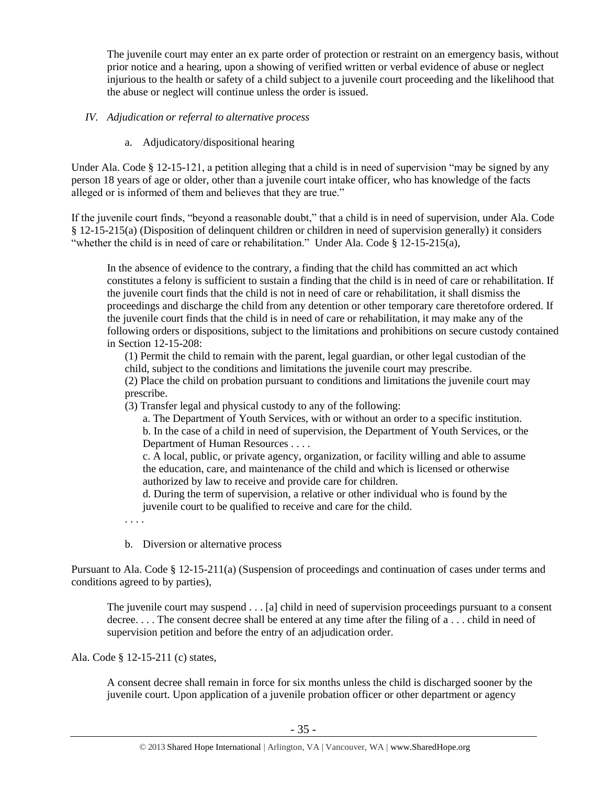The juvenile court may enter an ex parte order of protection or restraint on an emergency basis, without prior notice and a hearing, upon a showing of verified written or verbal evidence of abuse or neglect injurious to the health or safety of a child subject to a juvenile court proceeding and the likelihood that the abuse or neglect will continue unless the order is issued.

# *IV. Adjudication or referral to alternative process*

a. Adjudicatory/dispositional hearing

Under Ala. Code § 12-15-121, a petition alleging that a child is in need of supervision "may be signed by any person 18 years of age or older, other than a juvenile court intake officer, who has knowledge of the facts alleged or is informed of them and believes that they are true."

If the juvenile court finds, "beyond a reasonable doubt," that a child is in need of supervision, under Ala. Code § 12-15-215(a) (Disposition of delinquent children or children in need of supervision generally) it considers "whether the child is in need of care or rehabilitation." Under Ala. Code § 12-15-215(a),

In the absence of evidence to the contrary, a finding that the child has committed an act which constitutes a felony is sufficient to sustain a finding that the child is in need of care or rehabilitation. If the juvenile court finds that the child is not in need of care or rehabilitation, it shall dismiss the proceedings and discharge the child from any detention or other temporary care theretofore ordered. If the juvenile court finds that the child is in need of care or rehabilitation, it may make any of the following orders or dispositions, subject to the limitations and prohibitions on secure custody contained in Section 12-15-208:

(1) Permit the child to remain with the parent, legal guardian, or other legal custodian of the child, subject to the conditions and limitations the juvenile court may prescribe.

(2) Place the child on probation pursuant to conditions and limitations the juvenile court may prescribe.

(3) Transfer legal and physical custody to any of the following:

a. The Department of Youth Services, with or without an order to a specific institution.

b. In the case of a child in need of supervision, the Department of Youth Services, or the Department of Human Resources . . . .

c. A local, public, or private agency, organization, or facility willing and able to assume the education, care, and maintenance of the child and which is licensed or otherwise authorized by law to receive and provide care for children.

d. During the term of supervision, a relative or other individual who is found by the juvenile court to be qualified to receive and care for the child.

. . . .

b. Diversion or alternative process

Pursuant to Ala. Code § 12-15-211(a) (Suspension of proceedings and continuation of cases under terms and conditions agreed to by parties),

The juvenile court may suspend . . . [a] child in need of supervision proceedings pursuant to a consent decree. . . . The consent decree shall be entered at any time after the filing of a . . . child in need of supervision petition and before the entry of an adjudication order.

Ala. Code § 12-15-211 (c) states,

A consent decree shall remain in force for six months unless the child is discharged sooner by the juvenile court. Upon application of a juvenile probation officer or other department or agency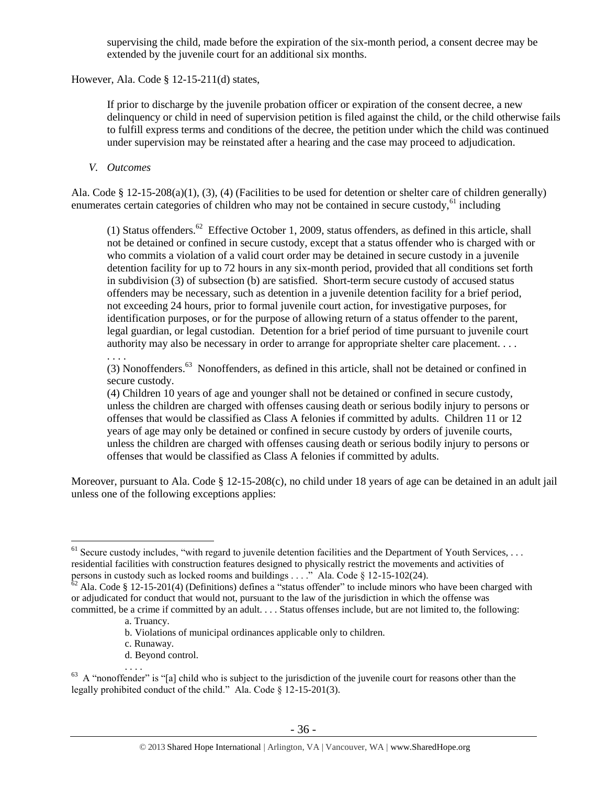supervising the child, made before the expiration of the six-month period, a consent decree may be extended by the juvenile court for an additional six months.

However, Ala. Code § 12-15-211(d) states,

If prior to discharge by the juvenile probation officer or expiration of the consent decree, a new delinquency or child in need of supervision petition is filed against the child, or the child otherwise fails to fulfill express terms and conditions of the decree, the petition under which the child was continued under supervision may be reinstated after a hearing and the case may proceed to adjudication.

# *V. Outcomes*

. . . .

 $\overline{a}$ 

Ala. Code § 12-15-208(a)(1), (3), (4) (Facilities to be used for detention or shelter care of children generally) enumerates certain categories of children who may not be contained in secure custody, $61$  including

(1) Status offenders.<sup>62</sup> Effective October 1, 2009, status offenders, as defined in this article, shall not be detained or confined in secure custody, except that a status offender who is charged with or who commits a violation of a valid court order may be detained in secure custody in a juvenile detention facility for up to 72 hours in any six-month period, provided that all conditions set forth in subdivision (3) of subsection (b) are satisfied. Short-term secure custody of accused status offenders may be necessary, such as detention in a juvenile detention facility for a brief period, not exceeding 24 hours, prior to formal juvenile court action, for investigative purposes, for identification purposes, or for the purpose of allowing return of a status offender to the parent, legal guardian, or legal custodian. Detention for a brief period of time pursuant to juvenile court authority may also be necessary in order to arrange for appropriate shelter care placement. . . .

(3) Nonoffenders.<sup>63</sup> Nonoffenders, as defined in this article, shall not be detained or confined in secure custody.

(4) Children 10 years of age and younger shall not be detained or confined in secure custody, unless the children are charged with offenses causing death or serious bodily injury to persons or offenses that would be classified as Class A felonies if committed by adults. Children 11 or 12 years of age may only be detained or confined in secure custody by orders of juvenile courts, unless the children are charged with offenses causing death or serious bodily injury to persons or offenses that would be classified as Class A felonies if committed by adults.

Moreover, pursuant to Ala. Code § 12-15-208(c), no child under 18 years of age can be detained in an adult jail unless one of the following exceptions applies:

- b. Violations of municipal ordinances applicable only to children.
- c. Runaway.
- d. Beyond control.

 $61$  Secure custody includes, "with regard to juvenile detention facilities and the Department of Youth Services, ... residential facilities with construction features designed to physically restrict the movements and activities of persons in custody such as locked rooms and buildings . . . ." Ala. Code § 12-15-102(24).

 $\frac{62}{62}$  Ala. Code § 12-15-201(4) (Definitions) defines a "status offender" to include minors who have been charged with or adjudicated for conduct that would not, pursuant to the law of the jurisdiction in which the offense was committed, be a crime if committed by an adult. . . . Status offenses include, but are not limited to, the following:

a. Truancy.

 $\cdots$ <br><sup>63</sup> A "nonoffender" is "[a] child who is subject to the jurisdiction of the juvenile court for reasons other than the legally prohibited conduct of the child." Ala. Code § 12-15-201(3).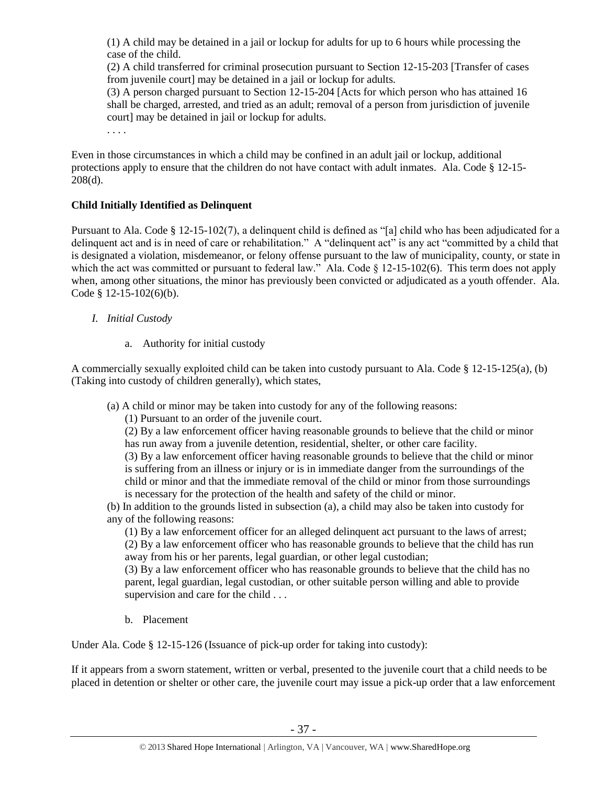(1) A child may be detained in a jail or lockup for adults for up to 6 hours while processing the case of the child.

(2) A child transferred for criminal prosecution pursuant to Section 12-15-203 [Transfer of cases from juvenile court] may be detained in a jail or lockup for adults.

(3) A person charged pursuant to Section 12-15-204 [Acts for which person who has attained 16 shall be charged, arrested, and tried as an adult; removal of a person from jurisdiction of juvenile court] may be detained in jail or lockup for adults.

. . . .

Even in those circumstances in which a child may be confined in an adult jail or lockup, additional protections apply to ensure that the children do not have contact with adult inmates. Ala. Code § 12-15- 208(d).

# **Child Initially Identified as Delinquent**

Pursuant to Ala. Code § 12-15-102(7), a delinquent child is defined as "[a] child who has been adjudicated for a delinquent act and is in need of care or rehabilitation." A "delinquent act" is any act "committed by a child that is designated a violation, misdemeanor, or felony offense pursuant to the law of municipality, county, or state in which the act was committed or pursuant to federal law." Ala. Code § 12-15-102(6). This term does not apply when, among other situations, the minor has previously been convicted or adjudicated as a youth offender. Ala. Code  $§$  12-15-102(6)(b).

- *I. Initial Custody*
	- a. Authority for initial custody

A commercially sexually exploited child can be taken into custody pursuant to Ala. Code  $\S$  12-15-125(a), (b) (Taking into custody of children generally), which states,

(a) A child or minor may be taken into custody for any of the following reasons:

(1) Pursuant to an order of the juvenile court.

(2) By a law enforcement officer having reasonable grounds to believe that the child or minor has run away from a juvenile detention, residential, shelter, or other care facility.

(3) By a law enforcement officer having reasonable grounds to believe that the child or minor is suffering from an illness or injury or is in immediate danger from the surroundings of the child or minor and that the immediate removal of the child or minor from those surroundings is necessary for the protection of the health and safety of the child or minor.

(b) In addition to the grounds listed in subsection (a), a child may also be taken into custody for any of the following reasons:

(1) By a law enforcement officer for an alleged delinquent act pursuant to the laws of arrest; (2) By a law enforcement officer who has reasonable grounds to believe that the child has run away from his or her parents, legal guardian, or other legal custodian;

(3) By a law enforcement officer who has reasonable grounds to believe that the child has no parent, legal guardian, legal custodian, or other suitable person willing and able to provide supervision and care for the child . . .

b. Placement

Under Ala. Code § 12-15-126 (Issuance of pick-up order for taking into custody):

If it appears from a sworn statement, written or verbal, presented to the juvenile court that a child needs to be placed in detention or shelter or other care, the juvenile court may issue a pick-up order that a law enforcement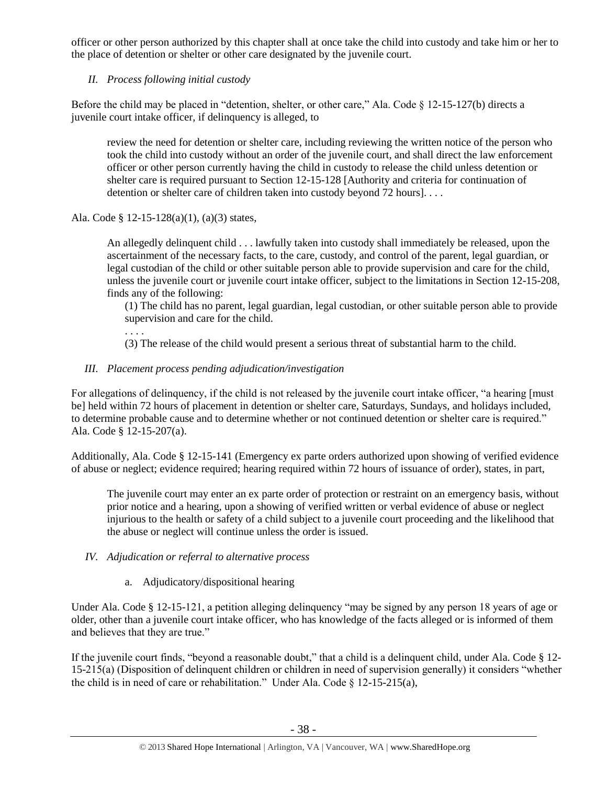officer or other person authorized by this chapter shall at once take the child into custody and take him or her to the place of detention or shelter or other care designated by the juvenile court.

# *II. Process following initial custody*

Before the child may be placed in "detention, shelter, or other care," Ala. Code  $\S$  12-15-127(b) directs a juvenile court intake officer, if delinquency is alleged, to

review the need for detention or shelter care, including reviewing the written notice of the person who took the child into custody without an order of the juvenile court, and shall direct the law enforcement officer or other person currently having the child in custody to release the child unless detention or shelter care is required pursuant to Section 12-15-128 [Authority and criteria for continuation of detention or shelter care of children taken into custody beyond 72 hours]....

# Ala. Code § 12-15-128(a)(1), (a)(3) states,

An allegedly delinquent child . . . lawfully taken into custody shall immediately be released, upon the ascertainment of the necessary facts, to the care, custody, and control of the parent, legal guardian, or legal custodian of the child or other suitable person able to provide supervision and care for the child, unless the juvenile court or juvenile court intake officer, subject to the limitations in Section 12-15-208, finds any of the following:

(1) The child has no parent, legal guardian, legal custodian, or other suitable person able to provide supervision and care for the child.

. . . . (3) The release of the child would present a serious threat of substantial harm to the child.

# *III. Placement process pending adjudication/investigation*

For allegations of delinquency, if the child is not released by the juvenile court intake officer, "a hearing [must be] held within 72 hours of placement in detention or shelter care, Saturdays, Sundays, and holidays included, to determine probable cause and to determine whether or not continued detention or shelter care is required." Ala. Code § 12-15-207(a).

Additionally, Ala. Code § 12-15-141 (Emergency ex parte orders authorized upon showing of verified evidence of abuse or neglect; evidence required; hearing required within 72 hours of issuance of order), states, in part,

The juvenile court may enter an ex parte order of protection or restraint on an emergency basis, without prior notice and a hearing, upon a showing of verified written or verbal evidence of abuse or neglect injurious to the health or safety of a child subject to a juvenile court proceeding and the likelihood that the abuse or neglect will continue unless the order is issued.

# *IV. Adjudication or referral to alternative process*

# a. Adjudicatory/dispositional hearing

Under Ala. Code § 12-15-121, a petition alleging delinquency "may be signed by any person 18 years of age or older, other than a juvenile court intake officer, who has knowledge of the facts alleged or is informed of them and believes that they are true."

If the juvenile court finds, "beyond a reasonable doubt," that a child is a delinquent child, under Ala. Code § 12- 15-215(a) (Disposition of delinquent children or children in need of supervision generally) it considers "whether the child is in need of care or rehabilitation." Under Ala. Code § 12-15-215(a),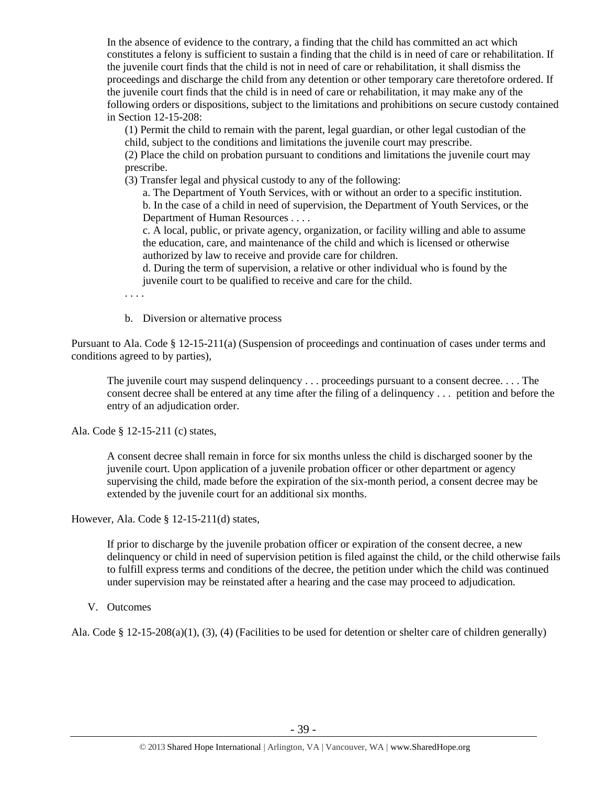In the absence of evidence to the contrary, a finding that the child has committed an act which constitutes a felony is sufficient to sustain a finding that the child is in need of care or rehabilitation. If the juvenile court finds that the child is not in need of care or rehabilitation, it shall dismiss the proceedings and discharge the child from any detention or other temporary care theretofore ordered. If the juvenile court finds that the child is in need of care or rehabilitation, it may make any of the following orders or dispositions, subject to the limitations and prohibitions on secure custody contained in Section 12-15-208:

(1) Permit the child to remain with the parent, legal guardian, or other legal custodian of the child, subject to the conditions and limitations the juvenile court may prescribe.

(2) Place the child on probation pursuant to conditions and limitations the juvenile court may prescribe.

(3) Transfer legal and physical custody to any of the following:

a. The Department of Youth Services, with or without an order to a specific institution. b. In the case of a child in need of supervision, the Department of Youth Services, or the Department of Human Resources . . . .

c. A local, public, or private agency, organization, or facility willing and able to assume the education, care, and maintenance of the child and which is licensed or otherwise authorized by law to receive and provide care for children.

d. During the term of supervision, a relative or other individual who is found by the juvenile court to be qualified to receive and care for the child.

. . . .

b. Diversion or alternative process

Pursuant to Ala. Code § 12-15-211(a) (Suspension of proceedings and continuation of cases under terms and conditions agreed to by parties),

The juvenile court may suspend delinquency . . . proceedings pursuant to a consent decree. . . . The consent decree shall be entered at any time after the filing of a delinquency . . . petition and before the entry of an adjudication order.

Ala. Code § 12-15-211 (c) states,

A consent decree shall remain in force for six months unless the child is discharged sooner by the juvenile court. Upon application of a juvenile probation officer or other department or agency supervising the child, made before the expiration of the six-month period, a consent decree may be extended by the juvenile court for an additional six months.

However, Ala. Code § 12-15-211(d) states,

If prior to discharge by the juvenile probation officer or expiration of the consent decree, a new delinquency or child in need of supervision petition is filed against the child, or the child otherwise fails to fulfill express terms and conditions of the decree, the petition under which the child was continued under supervision may be reinstated after a hearing and the case may proceed to adjudication.

V. Outcomes

Ala. Code § 12-15-208(a)(1), (3), (4) (Facilities to be used for detention or shelter care of children generally)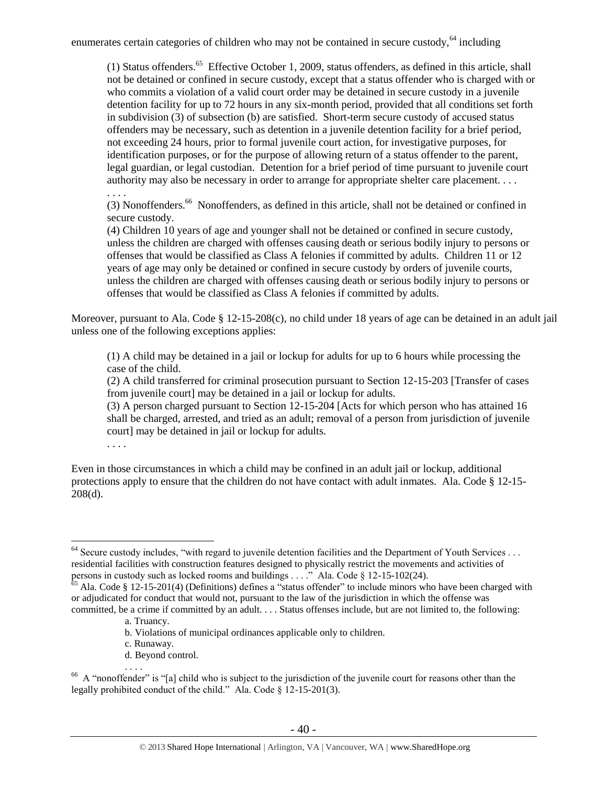enumerates certain categories of children who may not be contained in secure custody, $64$  including

(1) Status offenders.<sup>65</sup> Effective October 1, 2009, status offenders, as defined in this article, shall not be detained or confined in secure custody, except that a status offender who is charged with or who commits a violation of a valid court order may be detained in secure custody in a juvenile detention facility for up to 72 hours in any six-month period, provided that all conditions set forth in subdivision (3) of subsection (b) are satisfied. Short-term secure custody of accused status offenders may be necessary, such as detention in a juvenile detention facility for a brief period, not exceeding 24 hours, prior to formal juvenile court action, for investigative purposes, for identification purposes, or for the purpose of allowing return of a status offender to the parent, legal guardian, or legal custodian. Detention for a brief period of time pursuant to juvenile court authority may also be necessary in order to arrange for appropriate shelter care placement. . . .

(3) Nonoffenders.<sup>66</sup> Nonoffenders, as defined in this article, shall not be detained or confined in secure custody.

(4) Children 10 years of age and younger shall not be detained or confined in secure custody, unless the children are charged with offenses causing death or serious bodily injury to persons or offenses that would be classified as Class A felonies if committed by adults. Children 11 or 12 years of age may only be detained or confined in secure custody by orders of juvenile courts, unless the children are charged with offenses causing death or serious bodily injury to persons or offenses that would be classified as Class A felonies if committed by adults.

Moreover, pursuant to Ala. Code § 12-15-208(c), no child under 18 years of age can be detained in an adult jail unless one of the following exceptions applies:

(1) A child may be detained in a jail or lockup for adults for up to 6 hours while processing the case of the child.

(2) A child transferred for criminal prosecution pursuant to Section 12-15-203 [Transfer of cases from juvenile court] may be detained in a jail or lockup for adults.

(3) A person charged pursuant to Section 12-15-204 [Acts for which person who has attained 16 shall be charged, arrested, and tried as an adult; removal of a person from jurisdiction of juvenile court] may be detained in jail or lockup for adults.

. . . .

 $\overline{a}$ 

. . . .

Even in those circumstances in which a child may be confined in an adult jail or lockup, additional protections apply to ensure that the children do not have contact with adult inmates. Ala. Code § 12-15- 208(d).

- b. Violations of municipal ordinances applicable only to children.
- c. Runaway.
- d. Beyond control.

<sup>&</sup>lt;sup>64</sup> Secure custody includes, "with regard to juvenile detention facilities and the Department of Youth Services . . . residential facilities with construction features designed to physically restrict the movements and activities of persons in custody such as locked rooms and buildings . . . ." Ala. Code  $\S$  12-15-102(24).

 $65$  Ala. Code § 12-15-201(4) (Definitions) defines a "status offender" to include minors who have been charged with or adjudicated for conduct that would not, pursuant to the law of the jurisdiction in which the offense was committed, be a crime if committed by an adult. . . . Status offenses include, but are not limited to, the following:

a. Truancy.

<sup>&</sup>lt;sup>66</sup> A "nonoffender" is "[a] child who is subject to the jurisdiction of the juvenile court for reasons other than the legally prohibited conduct of the child." Ala. Code § 12-15-201(3).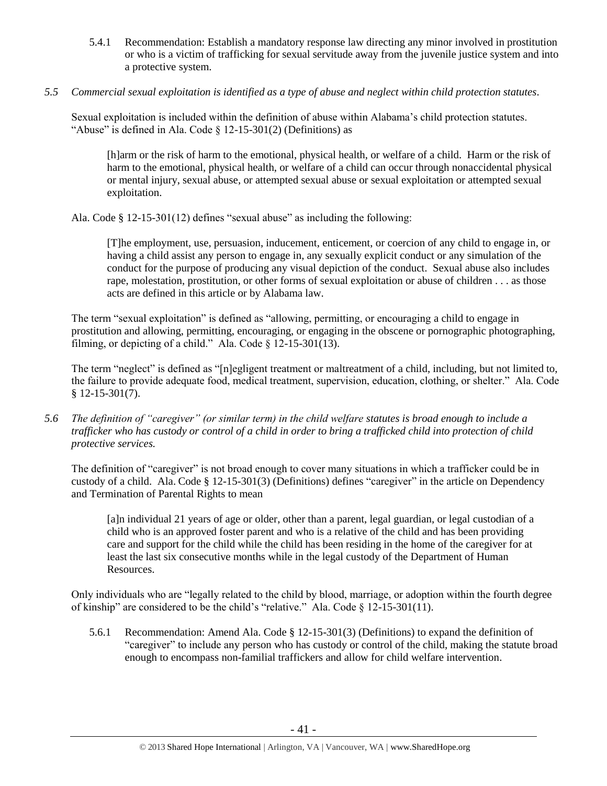- 5.4.1 Recommendation: Establish a mandatory response law directing any minor involved in prostitution or who is a victim of trafficking for sexual servitude away from the juvenile justice system and into a protective system.
- *5.5 Commercial sexual exploitation is identified as a type of abuse and neglect within child protection statutes.*

Sexual exploitation is included within the definition of abuse within Alabama's child protection statutes. "Abuse" is defined in Ala. Code  $\S$  12-15-301(2) (Definitions) as

[h]arm or the risk of harm to the emotional, physical health, or welfare of a child. Harm or the risk of harm to the emotional, physical health, or welfare of a child can occur through nonaccidental physical or mental injury, sexual abuse, or attempted sexual abuse or sexual exploitation or attempted sexual exploitation.

Ala. Code § 12-15-301(12) defines "sexual abuse" as including the following:

[T]he employment, use, persuasion, inducement, enticement, or coercion of any child to engage in, or having a child assist any person to engage in, any sexually explicit conduct or any simulation of the conduct for the purpose of producing any visual depiction of the conduct. Sexual abuse also includes rape, molestation, prostitution, or other forms of sexual exploitation or abuse of children . . . as those acts are defined in this article or by Alabama law.

The term "sexual exploitation" is defined as "allowing, permitting, or encouraging a child to engage in prostitution and allowing, permitting, encouraging, or engaging in the obscene or pornographic photographing, filming, or depicting of a child." Ala. Code § 12-15-301(13).

The term "neglect" is defined as "[n]egligent treatment or maltreatment of a child, including, but not limited to, the failure to provide adequate food, medical treatment, supervision, education, clothing, or shelter." Ala. Code § 12-15-301(7).

*5.6 The definition of "caregiver" (or similar term) in the child welfare statutes is broad enough to include a trafficker who has custody or control of a child in order to bring a trafficked child into protection of child protective services.*

The definition of "caregiver" is not broad enough to cover many situations in which a trafficker could be in custody of a child. Ala. Code § 12-15-301(3) (Definitions) defines "caregiver" in the article on Dependency and Termination of Parental Rights to mean

[a]n individual 21 years of age or older, other than a parent, legal guardian, or legal custodian of a child who is an approved foster parent and who is a relative of the child and has been providing care and support for the child while the child has been residing in the home of the caregiver for at least the last six consecutive months while in the legal custody of the Department of Human Resources.

Only individuals who are "legally related to the child by blood, marriage, or adoption within the fourth degree of kinship" are considered to be the child's "relative." Ala. Code  $\S$  12-15-301(11).

5.6.1 Recommendation: Amend Ala. Code § 12-15-301(3) (Definitions) to expand the definition of "caregiver" to include any person who has custody or control of the child, making the statute broad enough to encompass non-familial traffickers and allow for child welfare intervention.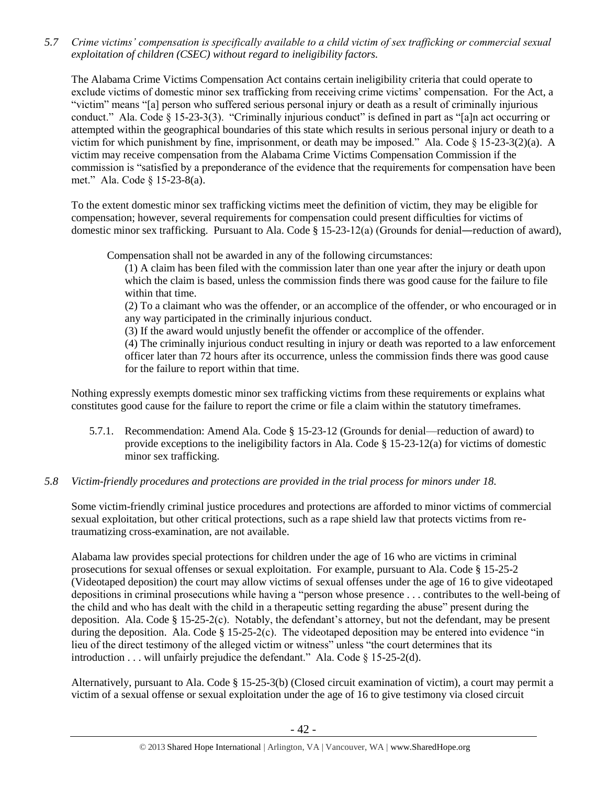*5.7 Crime victims' compensation is specifically available to a child victim of sex trafficking or commercial sexual exploitation of children (CSEC) without regard to ineligibility factors.*

The Alabama Crime Victims Compensation Act contains certain ineligibility criteria that could operate to exclude victims of domestic minor sex trafficking from receiving crime victims' compensation. For the Act, a "victim" means "[a] person who suffered serious personal injury or death as a result of criminally injurious conduct." Ala. Code § 15-23-3(3). "Criminally injurious conduct" is defined in part as "[a]n act occurring or attempted within the geographical boundaries of this state which results in serious personal injury or death to a victim for which punishment by fine, imprisonment, or death may be imposed." Ala. Code § 15-23-3(2)(a). A victim may receive compensation from the Alabama Crime Victims Compensation Commission if the commission is "satisfied by a preponderance of the evidence that the requirements for compensation have been met." Ala. Code § 15-23-8(a).

To the extent domestic minor sex trafficking victims meet the definition of victim, they may be eligible for compensation; however, several requirements for compensation could present difficulties for victims of domestic minor sex trafficking. Pursuant to Ala. Code § 15-23-12(a) (Grounds for denial―reduction of award),

Compensation shall not be awarded in any of the following circumstances:

(1) A claim has been filed with the commission later than one year after the injury or death upon which the claim is based, unless the commission finds there was good cause for the failure to file within that time.

(2) To a claimant who was the offender, or an accomplice of the offender, or who encouraged or in any way participated in the criminally injurious conduct.

(3) If the award would unjustly benefit the offender or accomplice of the offender.

(4) The criminally injurious conduct resulting in injury or death was reported to a law enforcement officer later than 72 hours after its occurrence, unless the commission finds there was good cause for the failure to report within that time.

Nothing expressly exempts domestic minor sex trafficking victims from these requirements or explains what constitutes good cause for the failure to report the crime or file a claim within the statutory timeframes.

5.7.1. Recommendation: Amend Ala. Code § 15-23-12 (Grounds for denial—reduction of award) to provide exceptions to the ineligibility factors in Ala. Code § 15-23-12(a) for victims of domestic minor sex trafficking.

# *5.8 Victim-friendly procedures and protections are provided in the trial process for minors under 18.*

Some victim-friendly criminal justice procedures and protections are afforded to minor victims of commercial sexual exploitation, but other critical protections, such as a rape shield law that protects victims from retraumatizing cross-examination, are not available.

Alabama law provides special protections for children under the age of 16 who are victims in criminal prosecutions for sexual offenses or sexual exploitation. For example, pursuant to Ala. Code § 15-25-2 (Videotaped deposition) the court may allow victims of sexual offenses under the age of 16 to give videotaped depositions in criminal prosecutions while having a "person whose presence . . . contributes to the well-being of the child and who has dealt with the child in a therapeutic setting regarding the abuse" present during the deposition. Ala. Code  $\S 15-25-2(c)$ . Notably, the defendant's attorney, but not the defendant, may be present during the deposition. Ala. Code § 15-25-2(c). The videotaped deposition may be entered into evidence "in lieu of the direct testimony of the alleged victim or witness" unless "the court determines that its introduction . . . will unfairly prejudice the defendant." Ala. Code § 15-25-2(d).

Alternatively, pursuant to Ala. Code § 15-25-3(b) (Closed circuit examination of victim), a court may permit a victim of a sexual offense or sexual exploitation under the age of 16 to give testimony via closed circuit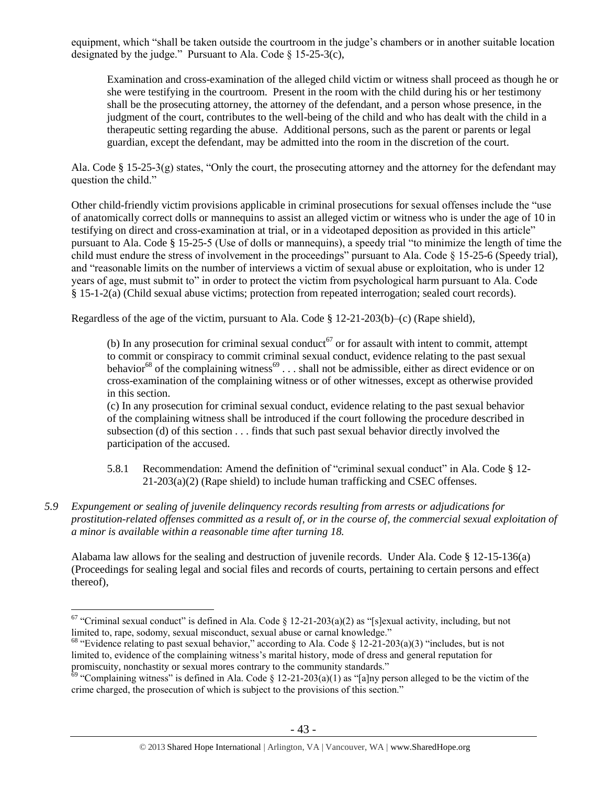equipment, which "shall be taken outside the courtroom in the judge's chambers or in another suitable location designated by the judge." Pursuant to Ala. Code  $\S$  15-25-3(c),

Examination and cross-examination of the alleged child victim or witness shall proceed as though he or she were testifying in the courtroom. Present in the room with the child during his or her testimony shall be the prosecuting attorney, the attorney of the defendant, and a person whose presence, in the judgment of the court, contributes to the well-being of the child and who has dealt with the child in a therapeutic setting regarding the abuse. Additional persons, such as the parent or parents or legal guardian, except the defendant, may be admitted into the room in the discretion of the court.

Ala. Code § 15-25-3(g) states, "Only the court, the prosecuting attorney and the attorney for the defendant may question the child."

Other child-friendly victim provisions applicable in criminal prosecutions for sexual offenses include the "use of anatomically correct dolls or mannequins to assist an alleged victim or witness who is under the age of 10 in testifying on direct and cross-examination at trial, or in a videotaped deposition as provided in this article" pursuant to Ala. Code § 15-25-5 (Use of dolls or mannequins), a speedy trial "to minimize the length of time the child must endure the stress of involvement in the proceedings" pursuant to Ala. Code § 15-25-6 (Speedy trial), and "reasonable limits on the number of interviews a victim of sexual abuse or exploitation, who is under 12 years of age, must submit to" in order to protect the victim from psychological harm pursuant to Ala. Code § 15-1-2(a) (Child sexual abuse victims; protection from repeated interrogation; sealed court records).

Regardless of the age of the victim, pursuant to Ala. Code § 12-21-203(b)–(c) (Rape shield),

(b) In any prosecution for criminal sexual conduct<sup>67</sup> or for assault with intent to commit, attempt to commit or conspiracy to commit criminal sexual conduct, evidence relating to the past sexual behavior<sup>68</sup> of the complaining witness<sup>69</sup> . . . shall not be admissible, either as direct evidence or on cross-examination of the complaining witness or of other witnesses, except as otherwise provided in this section.

(c) In any prosecution for criminal sexual conduct, evidence relating to the past sexual behavior of the complaining witness shall be introduced if the court following the procedure described in subsection (d) of this section . . . finds that such past sexual behavior directly involved the participation of the accused.

- 5.8.1 Recommendation: Amend the definition of "criminal sexual conduct" in Ala. Code § 12- 21-203(a)(2) (Rape shield) to include human trafficking and CSEC offenses.
- *5.9 Expungement or sealing of juvenile delinquency records resulting from arrests or adjudications for prostitution-related offenses committed as a result of, or in the course of, the commercial sexual exploitation of a minor is available within a reasonable time after turning 18.*

Alabama law allows for the sealing and destruction of juvenile records. Under Ala. Code § 12-15-136(a) (Proceedings for sealing legal and social files and records of courts, pertaining to certain persons and effect thereof),

 $67$  "Criminal sexual conduct" is defined in Ala. Code § 12-21-203(a)(2) as "[s]exual activity, including, but not limited to, rape, sodomy, sexual misconduct, sexual abuse or carnal knowledge."

<sup>&</sup>lt;sup>68</sup> "Evidence relating to past sexual behavior," according to Ala. Code § 12-21-203(a)(3) "includes, but is not limited to, evidence of the complaining witness's marital history, mode of dress and general reputation for promiscuity, nonchastity or sexual mores contrary to the community standards."

 $\frac{69}{12}$  "Complaining witness" is defined in Ala. Code § 12-21-203(a)(1) as "[a]ny person alleged to be the victim of the crime charged, the prosecution of which is subject to the provisions of this section."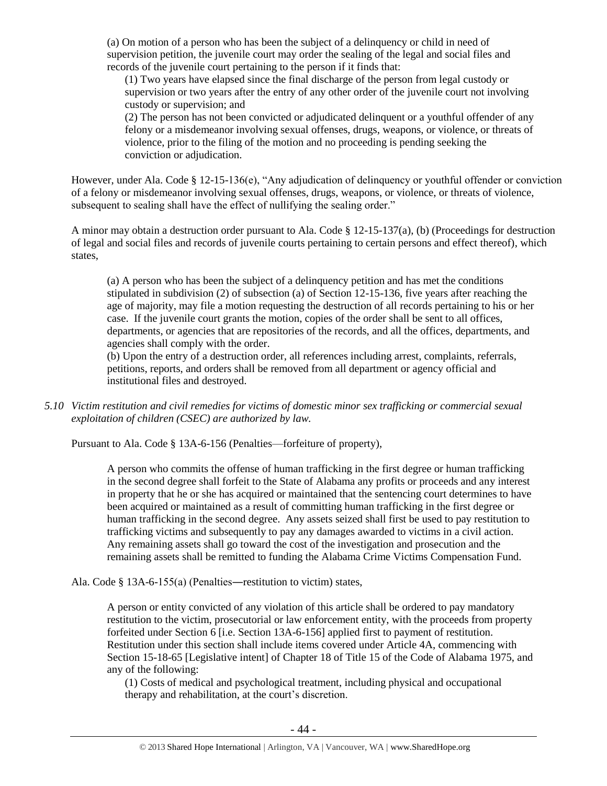(a) On motion of a person who has been the subject of a delinquency or child in need of supervision petition, the juvenile court may order the sealing of the legal and social files and records of the juvenile court pertaining to the person if it finds that:

(1) Two years have elapsed since the final discharge of the person from legal custody or supervision or two years after the entry of any other order of the juvenile court not involving custody or supervision; and

(2) The person has not been convicted or adjudicated delinquent or a youthful offender of any felony or a misdemeanor involving sexual offenses, drugs, weapons, or violence, or threats of violence, prior to the filing of the motion and no proceeding is pending seeking the conviction or adjudication.

However, under Ala. Code § 12-15-136(e), "Any adjudication of delinquency or youthful offender or conviction of a felony or misdemeanor involving sexual offenses, drugs, weapons, or violence, or threats of violence, subsequent to sealing shall have the effect of nullifying the sealing order."

A minor may obtain a destruction order pursuant to Ala. Code § 12-15-137(a), (b) (Proceedings for destruction of legal and social files and records of juvenile courts pertaining to certain persons and effect thereof), which states,

(a) A person who has been the subject of a delinquency petition and has met the conditions stipulated in subdivision (2) of subsection (a) of Section 12-15-136, five years after reaching the age of majority, may file a motion requesting the destruction of all records pertaining to his or her case. If the juvenile court grants the motion, copies of the order shall be sent to all offices, departments, or agencies that are repositories of the records, and all the offices, departments, and agencies shall comply with the order.

(b) Upon the entry of a destruction order, all references including arrest, complaints, referrals, petitions, reports, and orders shall be removed from all department or agency official and institutional files and destroyed.

*5.10 Victim restitution and civil remedies for victims of domestic minor sex trafficking or commercial sexual exploitation of children (CSEC) are authorized by law.* 

Pursuant to Ala. Code § 13A-6-156 (Penalties—forfeiture of property),

A person who commits the offense of human trafficking in the first degree or human trafficking in the second degree shall forfeit to the State of Alabama any profits or proceeds and any interest in property that he or she has acquired or maintained that the sentencing court determines to have been acquired or maintained as a result of committing human trafficking in the first degree or human trafficking in the second degree. Any assets seized shall first be used to pay restitution to trafficking victims and subsequently to pay any damages awarded to victims in a civil action. Any remaining assets shall go toward the cost of the investigation and prosecution and the remaining assets shall be remitted to funding the Alabama Crime Victims Compensation Fund.

Ala. Code § 13A-6-155(a) (Penalties―restitution to victim) states,

A person or entity convicted of any violation of this article shall be ordered to pay mandatory restitution to the victim, prosecutorial or law enforcement entity, with the proceeds from property forfeited under Section 6 [i.e. Section 13A-6-156] applied first to payment of restitution. Restitution under this section shall include items covered under Article 4A, commencing with Section 15-18-65 [Legislative intent] of Chapter 18 of Title 15 of the Code of Alabama 1975, and any of the following:

(1) Costs of medical and psychological treatment, including physical and occupational therapy and rehabilitation, at the court's discretion.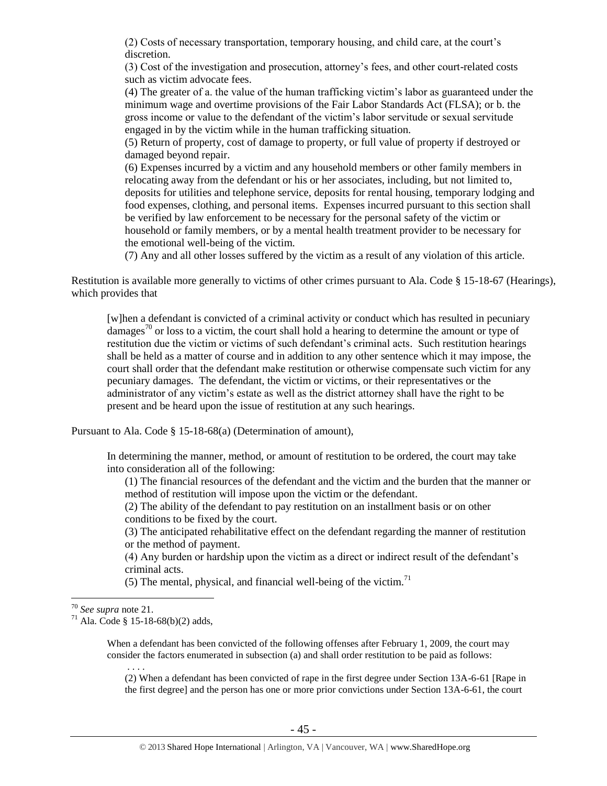(2) Costs of necessary transportation, temporary housing, and child care, at the court's discretion.

(3) Cost of the investigation and prosecution, attorney's fees, and other court-related costs such as victim advocate fees.

(4) The greater of a. the value of the human trafficking victim's labor as guaranteed under the minimum wage and overtime provisions of the Fair Labor Standards Act (FLSA); or b. the gross income or value to the defendant of the victim's labor servitude or sexual servitude engaged in by the victim while in the human trafficking situation.

(5) Return of property, cost of damage to property, or full value of property if destroyed or damaged beyond repair.

(6) Expenses incurred by a victim and any household members or other family members in relocating away from the defendant or his or her associates, including, but not limited to, deposits for utilities and telephone service, deposits for rental housing, temporary lodging and food expenses, clothing, and personal items. Expenses incurred pursuant to this section shall be verified by law enforcement to be necessary for the personal safety of the victim or household or family members, or by a mental health treatment provider to be necessary for the emotional well-being of the victim.

(7) Any and all other losses suffered by the victim as a result of any violation of this article.

Restitution is available more generally to victims of other crimes pursuant to Ala. Code § 15-18-67 (Hearings), which provides that

[w]hen a defendant is convicted of a criminal activity or conduct which has resulted in pecuniary damages<sup>70</sup> or loss to a victim, the court shall hold a hearing to determine the amount or type of restitution due the victim or victims of such defendant's criminal acts. Such restitution hearings shall be held as a matter of course and in addition to any other sentence which it may impose, the court shall order that the defendant make restitution or otherwise compensate such victim for any pecuniary damages. The defendant, the victim or victims, or their representatives or the administrator of any victim's estate as well as the district attorney shall have the right to be present and be heard upon the issue of restitution at any such hearings.

Pursuant to Ala. Code § 15-18-68(a) (Determination of amount),

In determining the manner, method, or amount of restitution to be ordered, the court may take into consideration all of the following:

(1) The financial resources of the defendant and the victim and the burden that the manner or method of restitution will impose upon the victim or the defendant.

(2) The ability of the defendant to pay restitution on an installment basis or on other conditions to be fixed by the court.

(3) The anticipated rehabilitative effect on the defendant regarding the manner of restitution or the method of payment.

(4) Any burden or hardship upon the victim as a direct or indirect result of the defendant's criminal acts.

(5) The mental, physical, and financial well-being of the victim.<sup>71</sup>

 $\overline{a}$ 

. . . .

When a defendant has been convicted of the following offenses after February 1, 2009, the court may consider the factors enumerated in subsection (a) and shall order restitution to be paid as follows:

(2) When a defendant has been convicted of rape in the first degree under Section 13A-6-61 [Rape in the first degree] and the person has one or more prior convictions under Section 13A-6-61, the court

<sup>70</sup> *See supra* note [21.](#page-12-0) 

 $71$  Ala. Code § 15-18-68(b)(2) adds,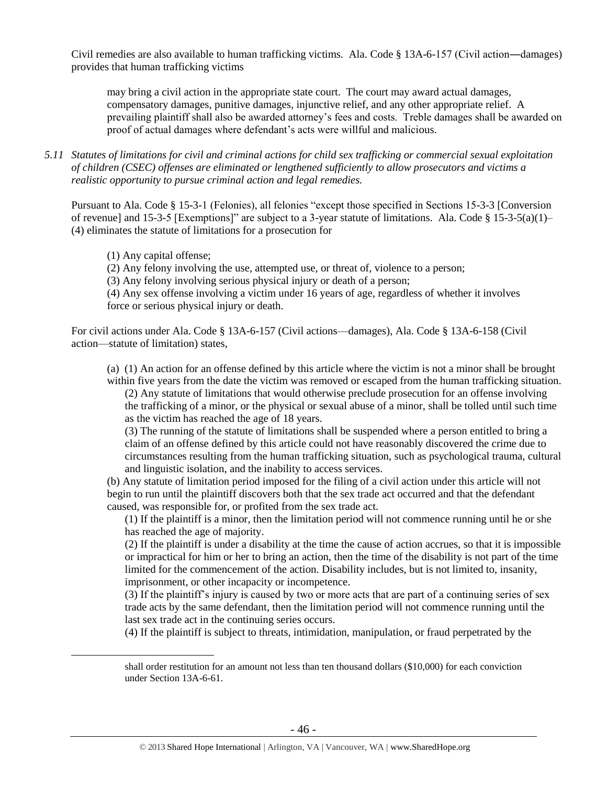Civil remedies are also available to human trafficking victims. Ala. Code § 13A-6-157 (Civil action―damages) provides that human trafficking victims

may bring a civil action in the appropriate state court. The court may award actual damages, compensatory damages, punitive damages, injunctive relief, and any other appropriate relief. A prevailing plaintiff shall also be awarded attorney's fees and costs. Treble damages shall be awarded on proof of actual damages where defendant's acts were willful and malicious.

*5.11 Statutes of limitations for civil and criminal actions for child sex trafficking or commercial sexual exploitation of children (CSEC) offenses are eliminated or lengthened sufficiently to allow prosecutors and victims a realistic opportunity to pursue criminal action and legal remedies.*

Pursuant to Ala. Code § 15-3-1 (Felonies), all felonies "except those specified in Sections 15-3-3 [Conversion of revenue] and 15-3-5 [Exemptions]" are subject to a 3-year statute of limitations. Ala. Code § 15-3-5(a)(1)– (4) eliminates the statute of limitations for a prosecution for

(1) Any capital offense;

 $\overline{a}$ 

(2) Any felony involving the use, attempted use, or threat of, violence to a person;

(3) Any felony involving serious physical injury or death of a person;

(4) Any sex offense involving a victim under 16 years of age, regardless of whether it involves force or serious physical injury or death.

For civil actions under Ala. Code § 13A-6-157 (Civil actions—damages), Ala. Code § 13A-6-158 (Civil action—statute of limitation) states,

(a) (1) An action for an offense defined by this article where the victim is not a minor shall be brought within five years from the date the victim was removed or escaped from the human trafficking situation.

(2) Any statute of limitations that would otherwise preclude prosecution for an offense involving the trafficking of a minor, or the physical or sexual abuse of a minor, shall be tolled until such time as the victim has reached the age of 18 years.

(3) The running of the statute of limitations shall be suspended where a person entitled to bring a claim of an offense defined by this article could not have reasonably discovered the crime due to circumstances resulting from the human trafficking situation, such as psychological trauma, cultural and linguistic isolation, and the inability to access services.

(b) Any statute of limitation period imposed for the filing of a civil action under this article will not begin to run until the plaintiff discovers both that the sex trade act occurred and that the defendant caused, was responsible for, or profited from the sex trade act.

(1) If the plaintiff is a minor, then the limitation period will not commence running until he or she has reached the age of majority.

(2) If the plaintiff is under a disability at the time the cause of action accrues, so that it is impossible or impractical for him or her to bring an action, then the time of the disability is not part of the time limited for the commencement of the action. Disability includes, but is not limited to, insanity, imprisonment, or other incapacity or incompetence.

(3) If the plaintiff's injury is caused by two or more acts that are part of a continuing series of sex trade acts by the same defendant, then the limitation period will not commence running until the last sex trade act in the continuing series occurs.

(4) If the plaintiff is subject to threats, intimidation, manipulation, or fraud perpetrated by the

shall order restitution for an amount not less than ten thousand dollars (\$10,000) for each conviction under Section 13A-6-61.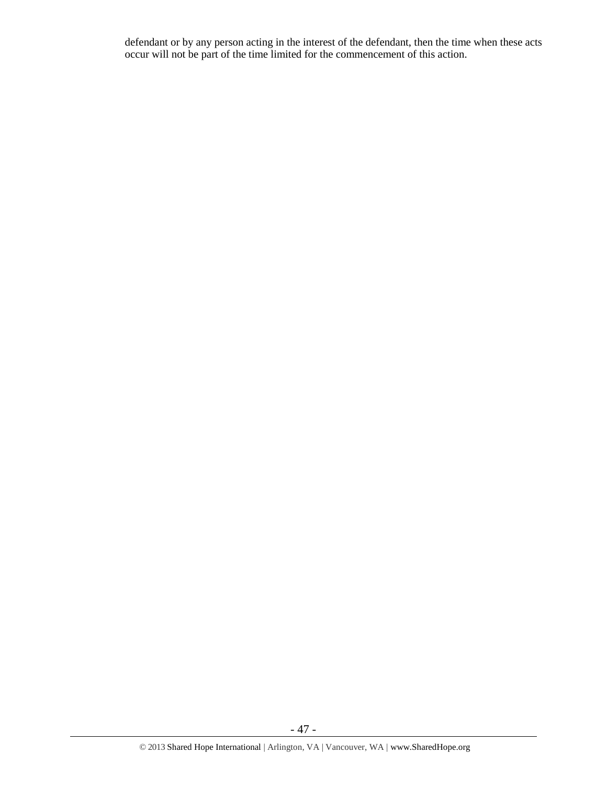defendant or by any person acting in the interest of the defendant, then the time when these acts occur will not be part of the time limited for the commencement of this action.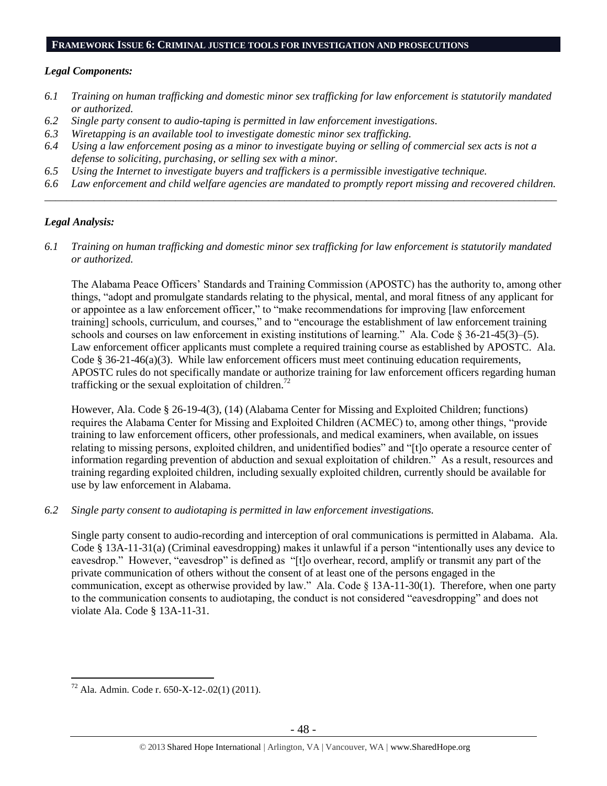### **FRAMEWORK ISSUE 6: CRIMINAL JUSTICE TOOLS FOR INVESTIGATION AND PROSECUTIONS**

### *Legal Components:*

- *6.1 Training on human trafficking and domestic minor sex trafficking for law enforcement is statutorily mandated or authorized.*
- *6.2 Single party consent to audio-taping is permitted in law enforcement investigations.*
- *6.3 Wiretapping is an available tool to investigate domestic minor sex trafficking.*
- *6.4 Using a law enforcement posing as a minor to investigate buying or selling of commercial sex acts is not a defense to soliciting, purchasing, or selling sex with a minor.*
- *6.5 Using the Internet to investigate buyers and traffickers is a permissible investigative technique.*
- *6.6 Law enforcement and child welfare agencies are mandated to promptly report missing and recovered children. \_\_\_\_\_\_\_\_\_\_\_\_\_\_\_\_\_\_\_\_\_\_\_\_\_\_\_\_\_\_\_\_\_\_\_\_\_\_\_\_\_\_\_\_\_\_\_\_\_\_\_\_\_\_\_\_\_\_\_\_\_\_\_\_\_\_\_\_\_\_\_\_\_\_\_\_\_\_\_\_\_\_\_\_\_\_\_\_\_\_\_\_\_\_*

# *Legal Analysis:*

 $\overline{a}$ 

*6.1 Training on human trafficking and domestic minor sex trafficking for law enforcement is statutorily mandated or authorized.*

The Alabama Peace Officers' Standards and Training Commission (APOSTC) has the authority to, among other things, "adopt and promulgate standards relating to the physical, mental, and moral fitness of any applicant for or appointee as a law enforcement officer," to "make recommendations for improving [law enforcement training] schools, curriculum, and courses," and to "encourage the establishment of law enforcement training schools and courses on law enforcement in existing institutions of learning." Ala. Code § 36-21-45(3)–(5). Law enforcement officer applicants must complete a required training course as established by APOSTC. Ala. Code § 36-21-46(a)(3). While law enforcement officers must meet continuing education requirements, APOSTC rules do not specifically mandate or authorize training for law enforcement officers regarding human trafficking or the sexual exploitation of children.<sup>72</sup>

However, Ala. Code § 26-19-4(3), (14) (Alabama Center for Missing and Exploited Children; functions) requires the Alabama Center for Missing and Exploited Children (ACMEC) to, among other things, "provide training to law enforcement officers, other professionals, and medical examiners, when available, on issues relating to missing persons, exploited children, and unidentified bodies" and "[t]o operate a resource center of information regarding prevention of abduction and sexual exploitation of children." As a result, resources and training regarding exploited children, including sexually exploited children, currently should be available for use by law enforcement in Alabama.

*6.2 Single party consent to audiotaping is permitted in law enforcement investigations.*

Single party consent to audio-recording and interception of oral communications is permitted in Alabama. Ala. Code § 13A-11-31(a) (Criminal eavesdropping) makes it unlawful if a person "intentionally uses any device to eavesdrop." However, "eavesdrop" is defined as "[t]o overhear, record, amplify or transmit any part of the private communication of others without the consent of at least one of the persons engaged in the communication, except as otherwise provided by law." Ala. Code § 13A-11-30(1). Therefore, when one party to the communication consents to audiotaping, the conduct is not considered "eavesdropping" and does not violate Ala. Code § 13A-11-31.

<sup>72</sup> Ala. Admin. Code r. 650-X-12-.02(1) (2011).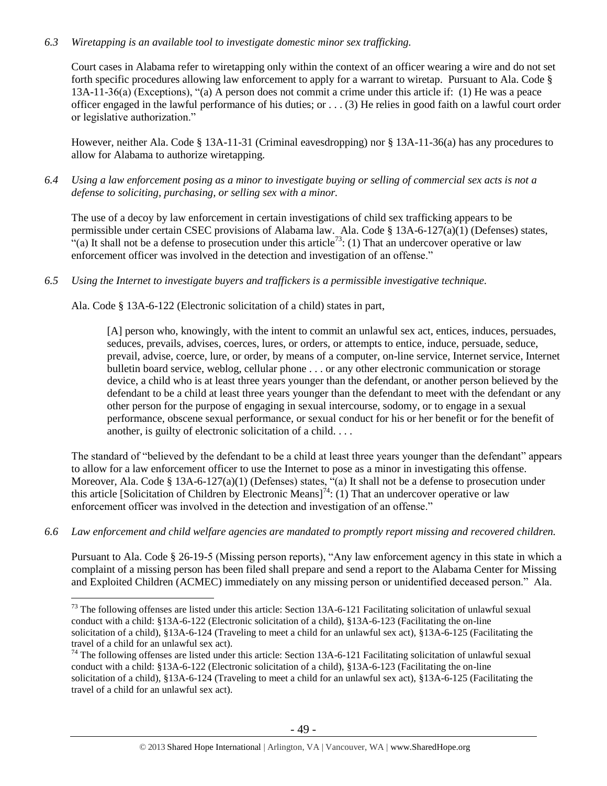# *6.3 Wiretapping is an available tool to investigate domestic minor sex trafficking.*

Court cases in Alabama refer to wiretapping only within the context of an officer wearing a wire and do not set forth specific procedures allowing law enforcement to apply for a warrant to wiretap. Pursuant to Ala. Code § 13A-11-36(a) (Exceptions), "(a) A person does not commit a crime under this article if: (1) He was a peace officer engaged in the lawful performance of his duties; or . . . (3) He relies in good faith on a lawful court order or legislative authorization."

However, neither Ala. Code § 13A-11-31 (Criminal eavesdropping) nor § 13A-11-36(a) has any procedures to allow for Alabama to authorize wiretapping.

*6.4 Using a law enforcement posing as a minor to investigate buying or selling of commercial sex acts is not a defense to soliciting, purchasing, or selling sex with a minor.*

The use of a decoy by law enforcement in certain investigations of child sex trafficking appears to be permissible under certain CSEC provisions of Alabama law. Ala. Code § 13A-6-127(a)(1) (Defenses) states,  $\cdot$  (a) It shall not be a defense to prosecution under this article<sup>73</sup>: (1) That an undercover operative or law enforcement officer was involved in the detection and investigation of an offense."

*6.5 Using the Internet to investigate buyers and traffickers is a permissible investigative technique.*

Ala. Code § 13A-6-122 (Electronic solicitation of a child) states in part,

[A] person who, knowingly, with the intent to commit an unlawful sex act, entices, induces, persuades, seduces, prevails, advises, coerces, lures, or orders, or attempts to entice, induce, persuade, seduce, prevail, advise, coerce, lure, or order, by means of a computer, on-line service, Internet service, Internet bulletin board service, weblog, cellular phone . . . or any other electronic communication or storage device, a child who is at least three years younger than the defendant, or another person believed by the defendant to be a child at least three years younger than the defendant to meet with the defendant or any other person for the purpose of engaging in sexual intercourse, sodomy, or to engage in a sexual performance, obscene sexual performance, or sexual conduct for his or her benefit or for the benefit of another, is guilty of electronic solicitation of a child. . . .

The standard of "believed by the defendant to be a child at least three years younger than the defendant" appears to allow for a law enforcement officer to use the Internet to pose as a minor in investigating this offense. Moreover, Ala. Code § 13A-6-127(a)(1) (Defenses) states, "(a) It shall not be a defense to prosecution under this article [Solicitation of Children by Electronic Means]<sup>74</sup>: (1) That an undercover operative or law enforcement officer was involved in the detection and investigation of an offense."

*6.6 Law enforcement and child welfare agencies are mandated to promptly report missing and recovered children.* 

Pursuant to Ala. Code § 26-19-5 (Missing person reports), "Any law enforcement agency in this state in which a complaint of a missing person has been filed shall prepare and send a report to the Alabama Center for Missing and Exploited Children (ACMEC) immediately on any missing person or unidentified deceased person." Ala.

 $\overline{a}$  $73$  The following offenses are listed under this article: Section 13A-6-121 Facilitating solicitation of unlawful sexual conduct with a child: §13A-6-122 (Electronic solicitation of a child), §13A-6-123 (Facilitating the on-line solicitation of a child), §13A-6-124 (Traveling to meet a child for an unlawful sex act), §13A-6-125 (Facilitating the travel of a child for an unlawful sex act).

 $74$  The following offenses are listed under this article: Section 13A-6-121 Facilitating solicitation of unlawful sexual conduct with a child: §13A-6-122 (Electronic solicitation of a child), §13A-6-123 (Facilitating the on-line solicitation of a child), §13A-6-124 (Traveling to meet a child for an unlawful sex act), §13A-6-125 (Facilitating the travel of a child for an unlawful sex act).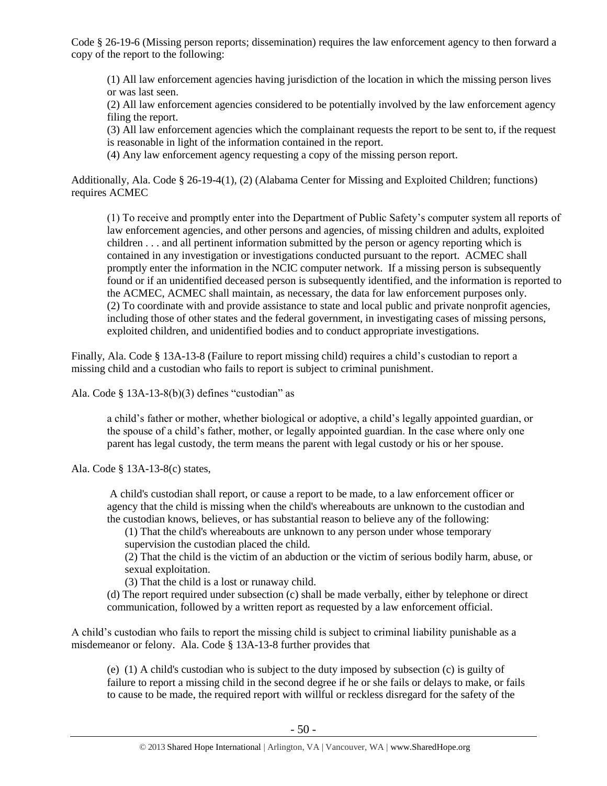Code § 26-19-6 (Missing person reports; dissemination) requires the law enforcement agency to then forward a copy of the report to the following:

(1) All law enforcement agencies having jurisdiction of the location in which the missing person lives or was last seen.

(2) All law enforcement agencies considered to be potentially involved by the law enforcement agency filing the report.

(3) All law enforcement agencies which the complainant requests the report to be sent to, if the request is reasonable in light of the information contained in the report.

(4) Any law enforcement agency requesting a copy of the missing person report.

Additionally, Ala. Code § 26-19-4(1), (2) (Alabama Center for Missing and Exploited Children; functions) requires ACMEC

(1) To receive and promptly enter into the Department of Public Safety's computer system all reports of law enforcement agencies, and other persons and agencies, of missing children and adults, exploited children . . . and all pertinent information submitted by the person or agency reporting which is contained in any investigation or investigations conducted pursuant to the report. ACMEC shall promptly enter the information in the NCIC computer network. If a missing person is subsequently found or if an unidentified deceased person is subsequently identified, and the information is reported to the ACMEC, ACMEC shall maintain, as necessary, the data for law enforcement purposes only. (2) To coordinate with and provide assistance to state and local public and private nonprofit agencies, including those of other states and the federal government, in investigating cases of missing persons, exploited children, and unidentified bodies and to conduct appropriate investigations.

Finally, Ala. Code § 13A-13-8 (Failure to report missing child) requires a child's custodian to report a missing child and a custodian who fails to report is subject to criminal punishment.

Ala. Code § 13A-13-8(b)(3) defines "custodian" as

a child's father or mother, whether biological or adoptive, a child's legally appointed guardian, or the spouse of a child's father, mother, or legally appointed guardian. In the case where only one parent has legal custody, the term means the parent with legal custody or his or her spouse.

Ala. Code § 13A-13-8(c) states,

A child's custodian shall report, or cause a report to be made, to a law enforcement officer or agency that the child is missing when the child's whereabouts are unknown to the custodian and the custodian knows, believes, or has substantial reason to believe any of the following:

(1) That the child's whereabouts are unknown to any person under whose temporary supervision the custodian placed the child.

(2) That the child is the victim of an abduction or the victim of serious bodily harm, abuse, or sexual exploitation.

(3) That the child is a lost or runaway child.

(d) The report required under subsection (c) shall be made verbally, either by telephone or direct communication, followed by a written report as requested by a law enforcement official.

A child's custodian who fails to report the missing child is subject to criminal liability punishable as a misdemeanor or felony. Ala. Code § 13A-13-8 further provides that

(e) (1) A child's custodian who is subject to the duty imposed by subsection (c) is guilty of failure to report a missing child in the second degree if he or she fails or delays to make, or fails to cause to be made, the required report with willful or reckless disregard for the safety of the